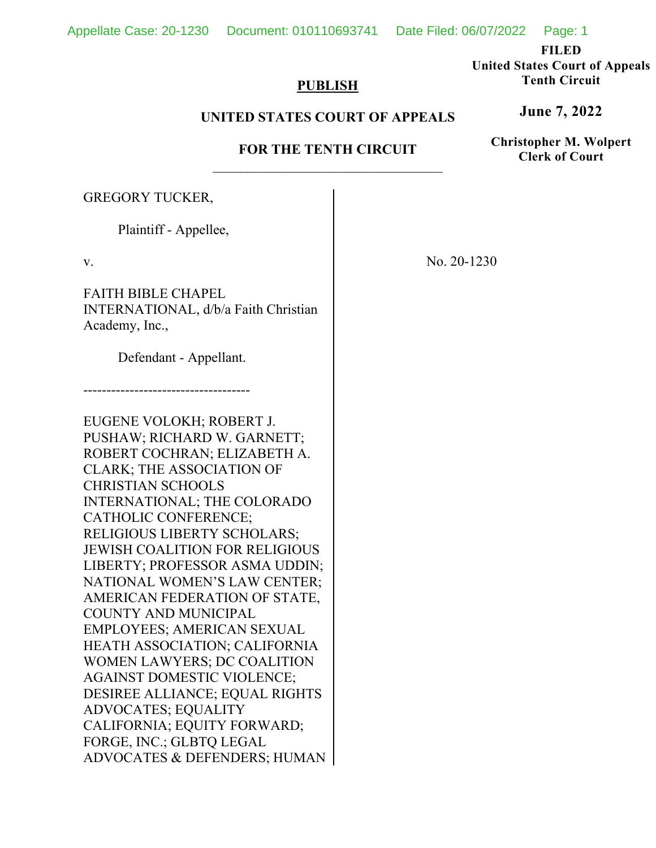Appellate Case: 20-1230 Document: 010110693741 Date Filed: 06/07/2022 Page: 1

**United States Court of Appeals Tenth Circuit** 

**June 7, 2022**

**Christopher M. Wolpert Clerk of Court**

# **PUBLISH**

## **UNITED STATES COURT OF APPEALS**

# **FOR THE TENTH CIRCUIT**

GREGORY TUCKER,

Plaintiff - Appellee,

v.

FAITH BIBLE CHAPEL INTERNATIONAL, d/b/a Faith Christian Academy, Inc.,

Defendant - Appellant.

------------------------------------

EUGENE VOLOKH; ROBERT J. PUSHAW; RICHARD W. GARNETT; ROBERT COCHRAN; ELIZABETH A. CLARK; THE ASSOCIATION OF CHRISTIAN SCHOOLS INTERNATIONAL; THE COLORADO CATHOLIC CONFERENCE; RELIGIOUS LIBERTY SCHOLARS; JEWISH COALITION FOR RELIGIOUS LIBERTY; PROFESSOR ASMA UDDIN; NATIONAL WOMEN'S LAW CENTER; AMERICAN FEDERATION OF STATE, COUNTY AND MUNICIPAL EMPLOYEES; AMERICAN SEXUAL HEATH ASSOCIATION; CALIFORNIA WOMEN LAWYERS; DC COALITION AGAINST DOMESTIC VIOLENCE; DESIREE ALLIANCE; EQUAL RIGHTS ADVOCATES; EQUALITY CALIFORNIA; EQUITY FORWARD; FORGE, INC.; GLBTQ LEGAL ADVOCATES & DEFENDERS; HUMAN No. 20-1230

**FILED**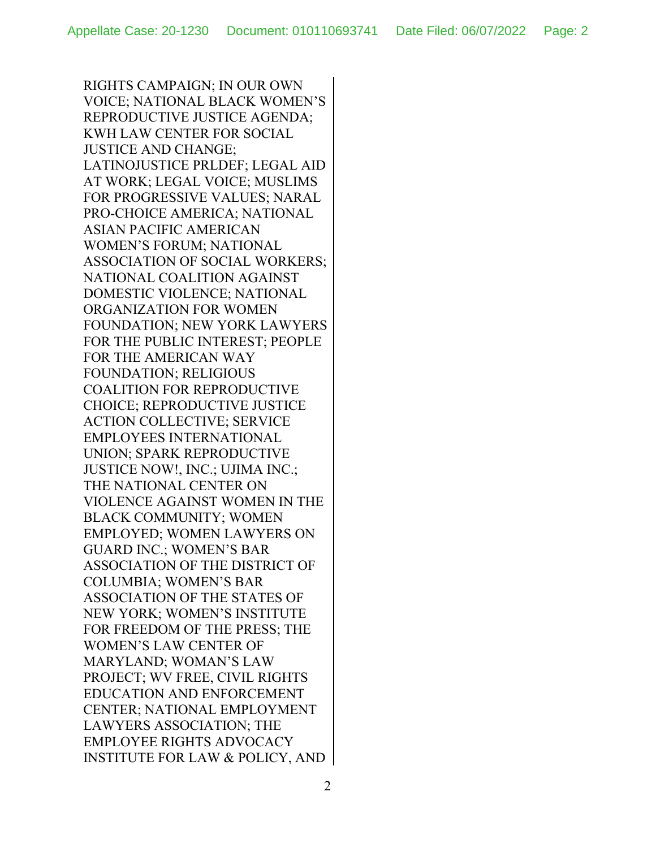RIGHTS CAMPAIGN; IN OUR OWN VOICE; NATIONAL BLACK WOMEN'S REPRODUCTIVE JUSTICE AGENDA; KWH LAW CENTER FOR SOCIAL JUSTICE AND CHANGE; LATINOJUSTICE PRLDEF; LEGAL AID AT WORK; LEGAL VOICE; MUSLIMS FOR PROGRESSIVE VALUES; NARAL PRO-CHOICE AMERICA; NATIONAL ASIAN PACIFIC AMERICAN WOMEN'S FORUM; NATIONAL ASSOCIATION OF SOCIAL WORKERS; NATIONAL COALITION AGAINST DOMESTIC VIOLENCE; NATIONAL ORGANIZATION FOR WOMEN FOUNDATION; NEW YORK LAWYERS FOR THE PUBLIC INTEREST; PEOPLE FOR THE AMERICAN WAY FOUNDATION; RELIGIOUS COALITION FOR REPRODUCTIVE CHOICE; REPRODUCTIVE JUSTICE ACTION COLLECTIVE; SERVICE EMPLOYEES INTERNATIONAL UNION; SPARK REPRODUCTIVE JUSTICE NOW!, INC.; UJIMA INC.; THE NATIONAL CENTER ON VIOLENCE AGAINST WOMEN IN THE BLACK COMMUNITY; WOMEN EMPLOYED; WOMEN LAWYERS ON GUARD INC.; WOMEN'S BAR ASSOCIATION OF THE DISTRICT OF COLUMBIA; WOMEN'S BAR ASSOCIATION OF THE STATES OF NEW YORK; WOMEN'S INSTITUTE FOR FREEDOM OF THE PRESS; THE WOMEN'S LAW CENTER OF MARYLAND; WOMAN'S LAW PROJECT; WV FREE, CIVIL RIGHTS EDUCATION AND ENFORCEMENT CENTER; NATIONAL EMPLOYMENT LAWYERS ASSOCIATION; THE EMPLOYEE RIGHTS ADVOCACY INSTITUTE FOR LAW & POLICY, AND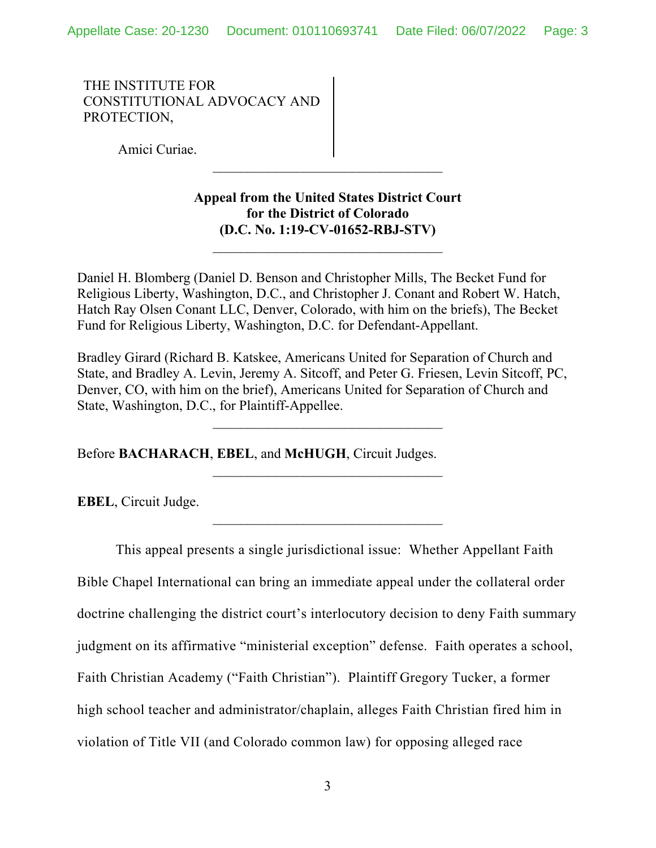THE INSTITUTE FOR CONSTITUTIONAL ADVOCACY AND PROTECTION,

Amici Curiae.

# **Appeal from the United States District Court for the District of Colorado (D.C. No. 1:19-CV-01652-RBJ-STV)**

 $\mathcal{L}_\text{max}$ 

Daniel H. Blomberg (Daniel D. Benson and Christopher Mills, The Becket Fund for Religious Liberty, Washington, D.C., and Christopher J. Conant and Robert W. Hatch, Hatch Ray Olsen Conant LLC, Denver, Colorado, with him on the briefs), The Becket Fund for Religious Liberty, Washington, D.C. for Defendant-Appellant.

Bradley Girard (Richard B. Katskee, Americans United for Separation of Church and State, and Bradley A. Levin, Jeremy A. Sitcoff, and Peter G. Friesen, Levin Sitcoff, PC, Denver, CO, with him on the brief), Americans United for Separation of Church and State, Washington, D.C., for Plaintiff-Appellee.

 $\mathcal{L}_\text{max}$ 

 $\mathcal{L}_\text{max}$ 

Before **BACHARACH**, **EBEL**, and **McHUGH**, Circuit Judges.

**EBEL**, Circuit Judge.

This appeal presents a single jurisdictional issue: Whether Appellant Faith Bible Chapel International can bring an immediate appeal under the collateral order doctrine challenging the district court's interlocutory decision to deny Faith summary judgment on its affirmative "ministerial exception" defense. Faith operates a school, Faith Christian Academy ("Faith Christian"). Plaintiff Gregory Tucker, a former high school teacher and administrator/chaplain, alleges Faith Christian fired him in violation of Title VII (and Colorado common law) for opposing alleged race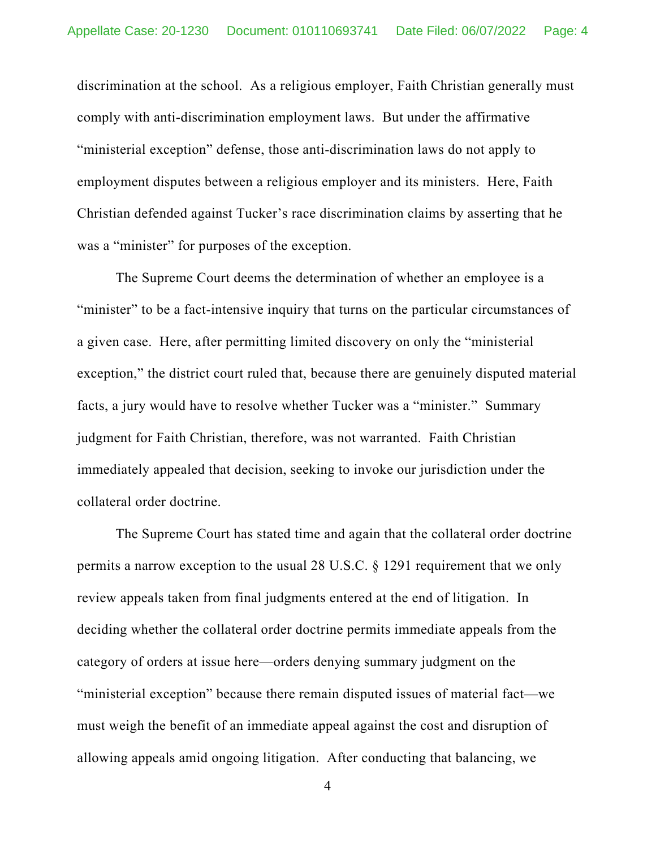discrimination at the school. As a religious employer, Faith Christian generally must comply with anti-discrimination employment laws. But under the affirmative "ministerial exception" defense, those anti-discrimination laws do not apply to employment disputes between a religious employer and its ministers. Here, Faith Christian defended against Tucker's race discrimination claims by asserting that he was a "minister" for purposes of the exception.

The Supreme Court deems the determination of whether an employee is a "minister" to be a fact-intensive inquiry that turns on the particular circumstances of a given case. Here, after permitting limited discovery on only the "ministerial exception," the district court ruled that, because there are genuinely disputed material facts, a jury would have to resolve whether Tucker was a "minister." Summary judgment for Faith Christian, therefore, was not warranted. Faith Christian immediately appealed that decision, seeking to invoke our jurisdiction under the collateral order doctrine.

The Supreme Court has stated time and again that the collateral order doctrine permits a narrow exception to the usual 28 U.S.C. § 1291 requirement that we only review appeals taken from final judgments entered at the end of litigation. In deciding whether the collateral order doctrine permits immediate appeals from the category of orders at issue here—orders denying summary judgment on the "ministerial exception" because there remain disputed issues of material fact—we must weigh the benefit of an immediate appeal against the cost and disruption of allowing appeals amid ongoing litigation. After conducting that balancing, we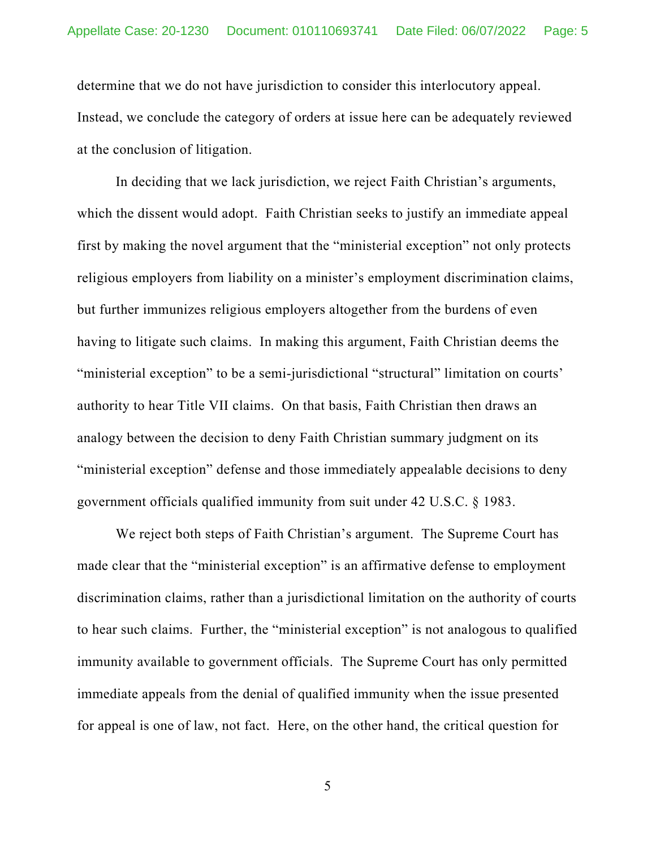determine that we do not have jurisdiction to consider this interlocutory appeal. Instead, we conclude the category of orders at issue here can be adequately reviewed at the conclusion of litigation.

In deciding that we lack jurisdiction, we reject Faith Christian's arguments, which the dissent would adopt. Faith Christian seeks to justify an immediate appeal first by making the novel argument that the "ministerial exception" not only protects religious employers from liability on a minister's employment discrimination claims, but further immunizes religious employers altogether from the burdens of even having to litigate such claims. In making this argument, Faith Christian deems the "ministerial exception" to be a semi-jurisdictional "structural" limitation on courts' authority to hear Title VII claims. On that basis, Faith Christian then draws an analogy between the decision to deny Faith Christian summary judgment on its "ministerial exception" defense and those immediately appealable decisions to deny government officials qualified immunity from suit under 42 U.S.C. § 1983.

We reject both steps of Faith Christian's argument. The Supreme Court has made clear that the "ministerial exception" is an affirmative defense to employment discrimination claims, rather than a jurisdictional limitation on the authority of courts to hear such claims. Further, the "ministerial exception" is not analogous to qualified immunity available to government officials. The Supreme Court has only permitted immediate appeals from the denial of qualified immunity when the issue presented for appeal is one of law, not fact. Here, on the other hand, the critical question for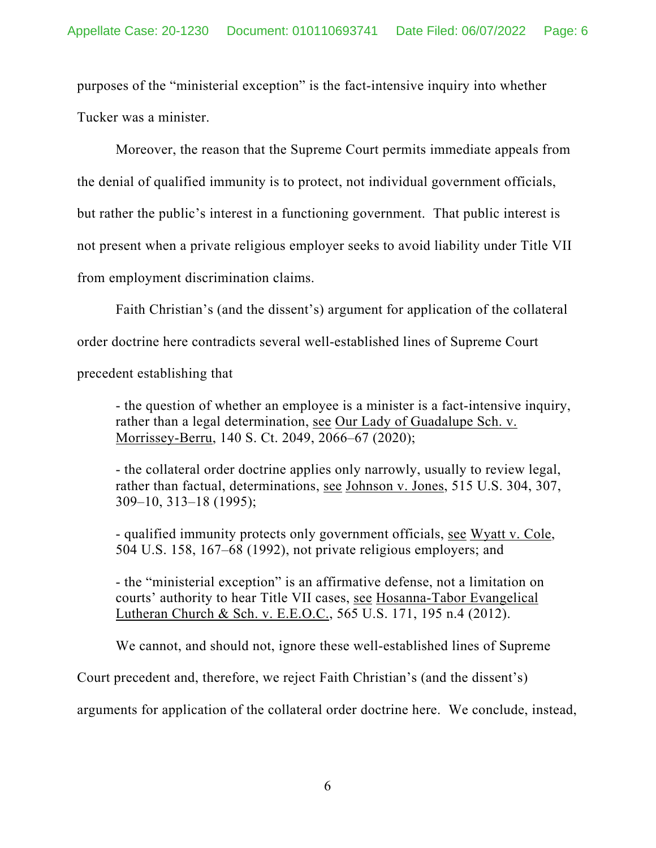purposes of the "ministerial exception" is the fact-intensive inquiry into whether Tucker was a minister.

Moreover, the reason that the Supreme Court permits immediate appeals from the denial of qualified immunity is to protect, not individual government officials, but rather the public's interest in a functioning government. That public interest is not present when a private religious employer seeks to avoid liability under Title VII from employment discrimination claims.

Faith Christian's (and the dissent's) argument for application of the collateral

order doctrine here contradicts several well-established lines of Supreme Court

precedent establishing that

- the question of whether an employee is a minister is a fact-intensive inquiry, rather than a legal determination, see Our Lady of Guadalupe Sch. v. Morrissey-Berru, 140 S. Ct. 2049, 2066–67 (2020);

- the collateral order doctrine applies only narrowly, usually to review legal, rather than factual, determinations, see Johnson v. Jones, 515 U.S. 304, 307, 309–10, 313–18 (1995);

- qualified immunity protects only government officials, see Wyatt v. Cole, 504 U.S. 158, 167–68 (1992), not private religious employers; and

- the "ministerial exception" is an affirmative defense, not a limitation on courts' authority to hear Title VII cases, see Hosanna-Tabor Evangelical Lutheran Church & Sch. v. E.E.O.C., 565 U.S. 171, 195 n.4 (2012).

We cannot, and should not, ignore these well-established lines of Supreme

Court precedent and, therefore, we reject Faith Christian's (and the dissent's)

arguments for application of the collateral order doctrine here. We conclude, instead,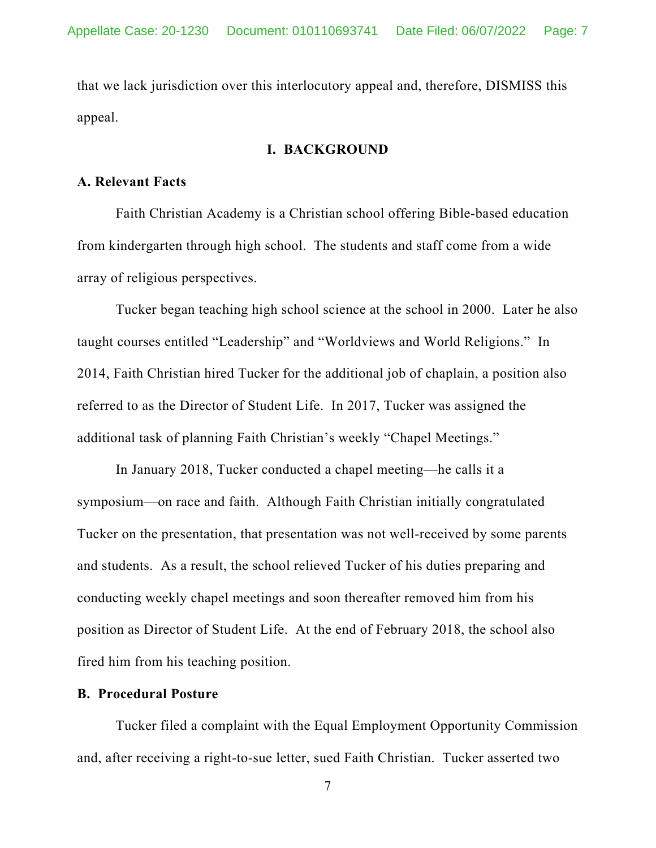that we lack jurisdiction over this interlocutory appeal and, therefore, DISMISS this appeal.

#### **I. BACKGROUND**

#### **A. Relevant Facts**

Faith Christian Academy is a Christian school offering Bible-based education from kindergarten through high school. The students and staff come from a wide array of religious perspectives.

Tucker began teaching high school science at the school in 2000. Later he also taught courses entitled "Leadership" and "Worldviews and World Religions." In 2014, Faith Christian hired Tucker for the additional job of chaplain, a position also referred to as the Director of Student Life. In 2017, Tucker was assigned the additional task of planning Faith Christian's weekly "Chapel Meetings."

 In January 2018, Tucker conducted a chapel meeting—he calls it a symposium—on race and faith. Although Faith Christian initially congratulated Tucker on the presentation, that presentation was not well-received by some parents and students. As a result, the school relieved Tucker of his duties preparing and conducting weekly chapel meetings and soon thereafter removed him from his position as Director of Student Life. At the end of February 2018, the school also fired him from his teaching position.

#### **B. Procedural Posture**

Tucker filed a complaint with the Equal Employment Opportunity Commission and, after receiving a right-to-sue letter, sued Faith Christian. Tucker asserted two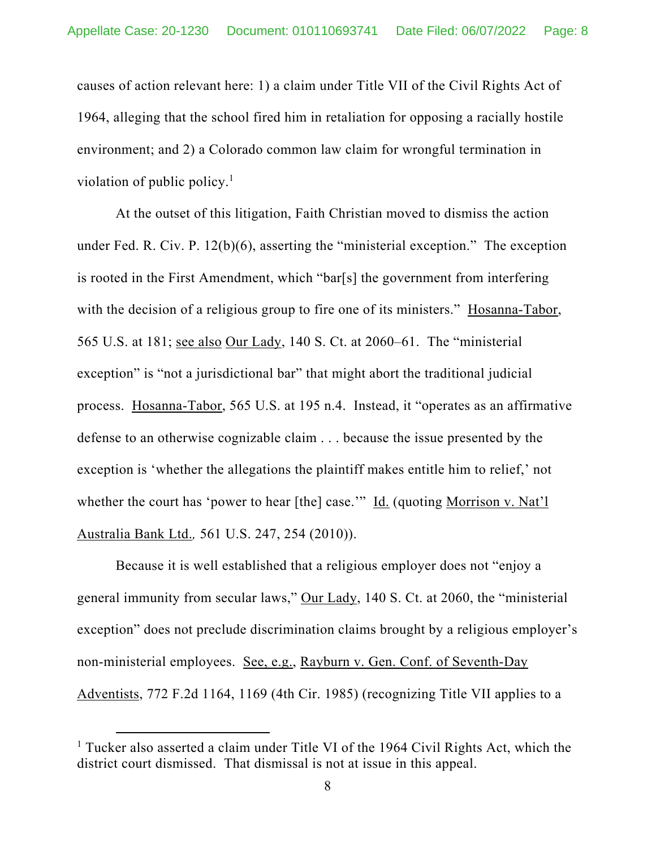causes of action relevant here: 1) a claim under Title VII of the Civil Rights Act of 1964, alleging that the school fired him in retaliation for opposing a racially hostile environment; and 2) a Colorado common law claim for wrongful termination in violation of public policy. $<sup>1</sup>$ </sup>

At the outset of this litigation, Faith Christian moved to dismiss the action under Fed. R. Civ. P. 12(b)(6), asserting the "ministerial exception." The exception is rooted in the First Amendment, which "bar[s] the government from interfering with the decision of a religious group to fire one of its ministers." Hosanna-Tabor, 565 U.S. at 181; see also Our Lady, 140 S. Ct. at 2060–61. The "ministerial exception" is "not a jurisdictional bar" that might abort the traditional judicial process. Hosanna-Tabor, 565 U.S. at 195 n.4. Instead, it "operates as an affirmative defense to an otherwise cognizable claim . . . because the issue presented by the exception is 'whether the allegations the plaintiff makes entitle him to relief,' not whether the court has 'power to hear [the] case.'" Id. (quoting Morrison v. Nat'l Australia Bank Ltd.*,* 561 U.S. 247, 254 (2010)).

Because it is well established that a religious employer does not "enjoy a general immunity from secular laws," Our Lady, 140 S. Ct. at 2060, the "ministerial exception" does not preclude discrimination claims brought by a religious employer's non-ministerial employees. See, e.g., Rayburn v. Gen. Conf. of Seventh-Day Adventists, 772 F.2d 1164, 1169 (4th Cir. 1985) (recognizing Title VII applies to a

<sup>&</sup>lt;sup>1</sup> Tucker also asserted a claim under Title VI of the 1964 Civil Rights Act, which the district court dismissed. That dismissal is not at issue in this appeal.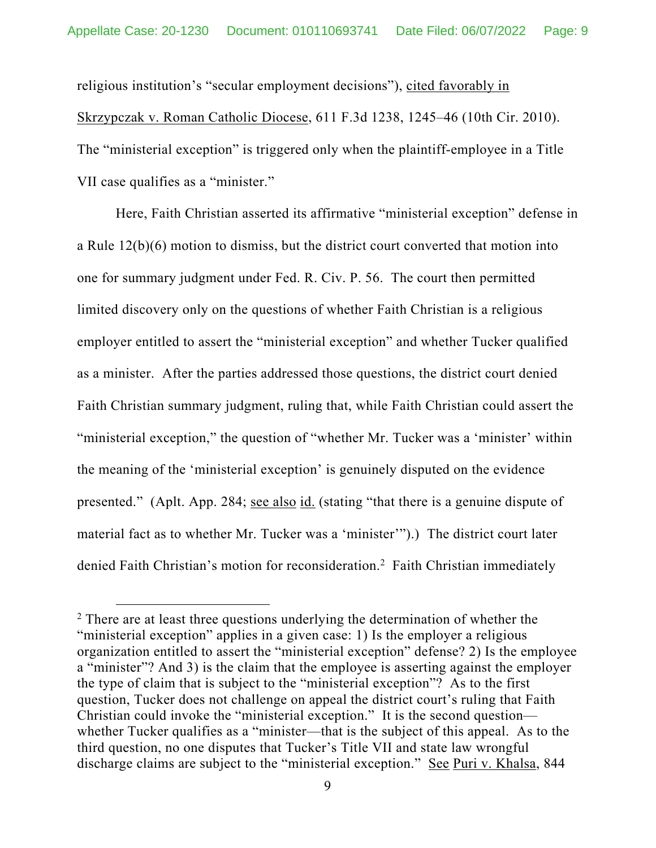religious institution's "secular employment decisions"), cited favorably in Skrzypczak v. Roman Catholic Diocese, 611 F.3d 1238, 1245–46 (10th Cir. 2010). The "ministerial exception" is triggered only when the plaintiff-employee in a Title VII case qualifies as a "minister."

Here, Faith Christian asserted its affirmative "ministerial exception" defense in a Rule 12(b)(6) motion to dismiss, but the district court converted that motion into one for summary judgment under Fed. R. Civ. P. 56. The court then permitted limited discovery only on the questions of whether Faith Christian is a religious employer entitled to assert the "ministerial exception" and whether Tucker qualified as a minister. After the parties addressed those questions, the district court denied Faith Christian summary judgment, ruling that, while Faith Christian could assert the "ministerial exception," the question of "whether Mr. Tucker was a 'minister' within the meaning of the 'ministerial exception' is genuinely disputed on the evidence presented." (Aplt. App. 284; see also id. (stating "that there is a genuine dispute of material fact as to whether Mr. Tucker was a 'minister'").) The district court later denied Faith Christian's motion for reconsideration.<sup>2</sup> Faith Christian immediately

 $2$  There are at least three questions underlying the determination of whether the "ministerial exception" applies in a given case: 1) Is the employer a religious organization entitled to assert the "ministerial exception" defense? 2) Is the employee a "minister"? And 3) is the claim that the employee is asserting against the employer the type of claim that is subject to the "ministerial exception"? As to the first question, Tucker does not challenge on appeal the district court's ruling that Faith Christian could invoke the "ministerial exception." It is the second question whether Tucker qualifies as a "minister—that is the subject of this appeal. As to the third question, no one disputes that Tucker's Title VII and state law wrongful discharge claims are subject to the "ministerial exception." See Puri v. Khalsa, 844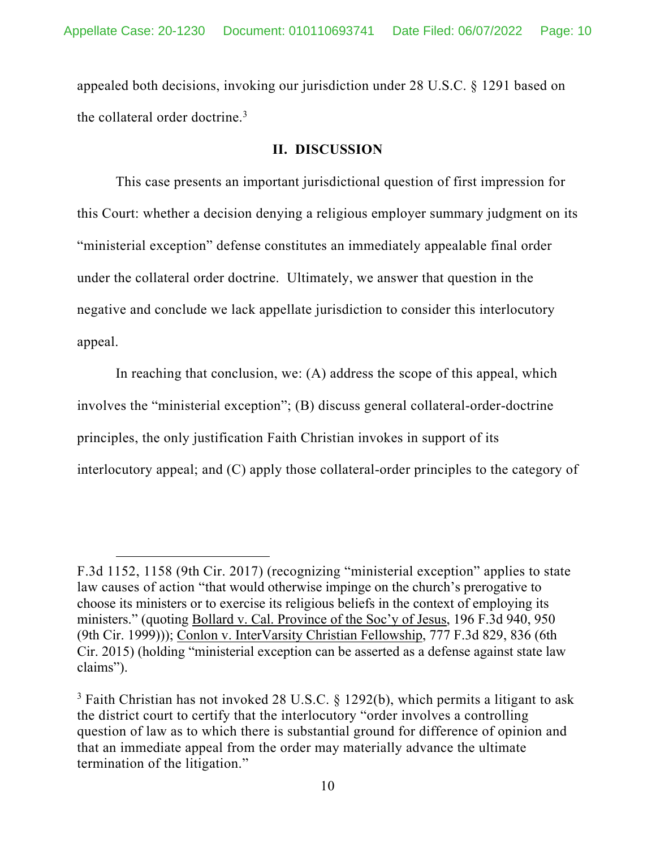appealed both decisions, invoking our jurisdiction under 28 U.S.C. § 1291 based on the collateral order doctrine.<sup>3</sup>

#### **II. DISCUSSION**

This case presents an important jurisdictional question of first impression for this Court: whether a decision denying a religious employer summary judgment on its "ministerial exception" defense constitutes an immediately appealable final order under the collateral order doctrine. Ultimately, we answer that question in the negative and conclude we lack appellate jurisdiction to consider this interlocutory appeal.

In reaching that conclusion, we: (A) address the scope of this appeal, which involves the "ministerial exception"; (B) discuss general collateral-order-doctrine principles, the only justification Faith Christian invokes in support of its interlocutory appeal; and (C) apply those collateral-order principles to the category of

F.3d 1152, 1158 (9th Cir. 2017) (recognizing "ministerial exception" applies to state law causes of action "that would otherwise impinge on the church's prerogative to choose its ministers or to exercise its religious beliefs in the context of employing its ministers." (quoting Bollard v. Cal. Province of the Soc'y of Jesus, 196 F.3d 940, 950 (9th Cir. 1999))); Conlon v. InterVarsity Christian Fellowship, 777 F.3d 829, 836 (6th Cir. 2015) (holding "ministerial exception can be asserted as a defense against state law claims").

<sup>&</sup>lt;sup>3</sup> Faith Christian has not invoked 28 U.S.C. § 1292(b), which permits a litigant to ask the district court to certify that the interlocutory "order involves a controlling question of law as to which there is substantial ground for difference of opinion and that an immediate appeal from the order may materially advance the ultimate termination of the litigation."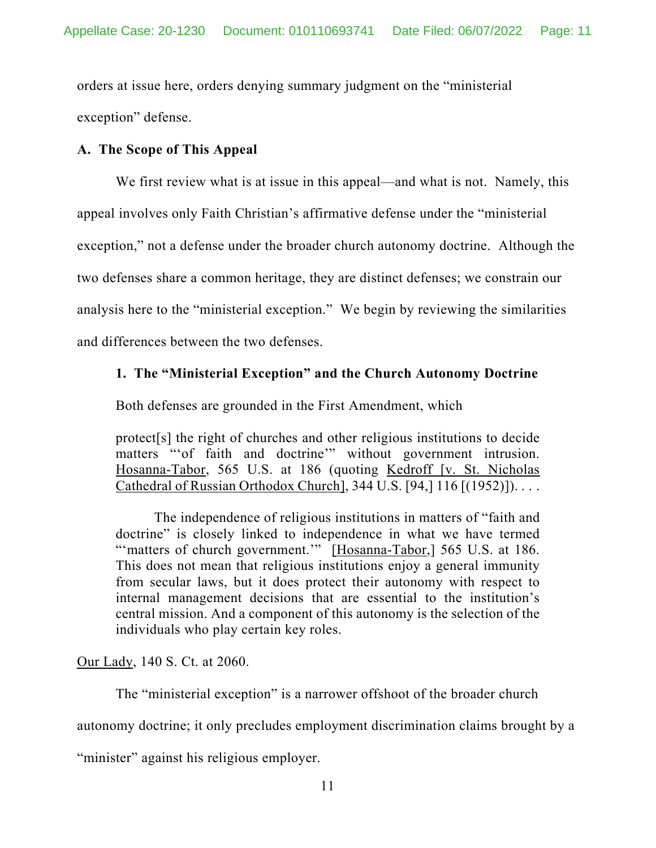orders at issue here, orders denying summary judgment on the "ministerial exception" defense.

## **A. The Scope of This Appeal**

We first review what is at issue in this appeal—and what is not. Namely, this

appeal involves only Faith Christian's affirmative defense under the "ministerial

exception," not a defense under the broader church autonomy doctrine. Although the

two defenses share a common heritage, they are distinct defenses; we constrain our

analysis here to the "ministerial exception." We begin by reviewing the similarities

and differences between the two defenses.

## **1. The "Ministerial Exception" and the Church Autonomy Doctrine**

Both defenses are grounded in the First Amendment, which

protect[s] the right of churches and other religious institutions to decide matters "of faith and doctrine" without government intrusion. Hosanna-Tabor, 565 U.S. at 186 (quoting Kedroff [v. St. Nicholas Cathedral of Russian Orthodox Church], 344 U.S. [94,] 116 [(1952)]). . . .

The independence of religious institutions in matters of "faith and doctrine" is closely linked to independence in what we have termed "'matters of church government."" [Hosanna-Tabor,] 565 U.S. at 186. This does not mean that religious institutions enjoy a general immunity from secular laws, but it does protect their autonomy with respect to internal management decisions that are essential to the institution's central mission. And a component of this autonomy is the selection of the individuals who play certain key roles.

Our Lady, 140 S. Ct. at 2060.

The "ministerial exception" is a narrower offshoot of the broader church

autonomy doctrine; it only precludes employment discrimination claims brought by a

"minister" against his religious employer.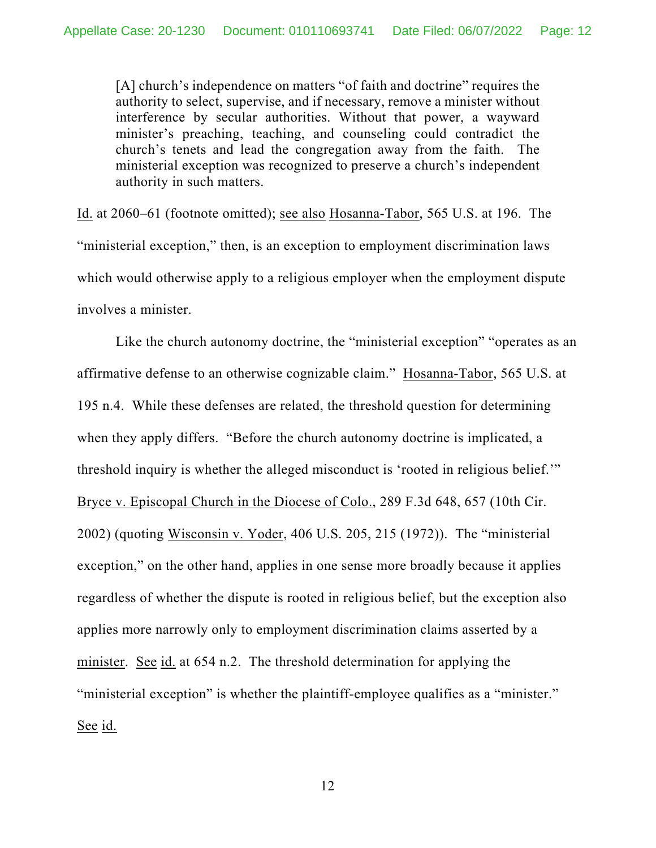[A] church's independence on matters "of faith and doctrine" requires the authority to select, supervise, and if necessary, remove a minister without interference by secular authorities. Without that power, a wayward minister's preaching, teaching, and counseling could contradict the church's tenets and lead the congregation away from the faith. The ministerial exception was recognized to preserve a church's independent authority in such matters.

Id. at 2060–61 (footnote omitted); see also Hosanna-Tabor, 565 U.S. at 196. The "ministerial exception," then, is an exception to employment discrimination laws which would otherwise apply to a religious employer when the employment dispute involves a minister.

Like the church autonomy doctrine, the "ministerial exception" "operates as an affirmative defense to an otherwise cognizable claim." Hosanna-Tabor, 565 U.S. at 195 n.4. While these defenses are related, the threshold question for determining when they apply differs. "Before the church autonomy doctrine is implicated, a threshold inquiry is whether the alleged misconduct is 'rooted in religious belief.'" Bryce v. Episcopal Church in the Diocese of Colo., 289 F.3d 648, 657 (10th Cir. 2002) (quoting Wisconsin v. Yoder, 406 U.S. 205, 215 (1972)). The "ministerial exception," on the other hand, applies in one sense more broadly because it applies regardless of whether the dispute is rooted in religious belief, but the exception also applies more narrowly only to employment discrimination claims asserted by a minister. See id. at 654 n.2. The threshold determination for applying the "ministerial exception" is whether the plaintiff-employee qualifies as a "minister." See id.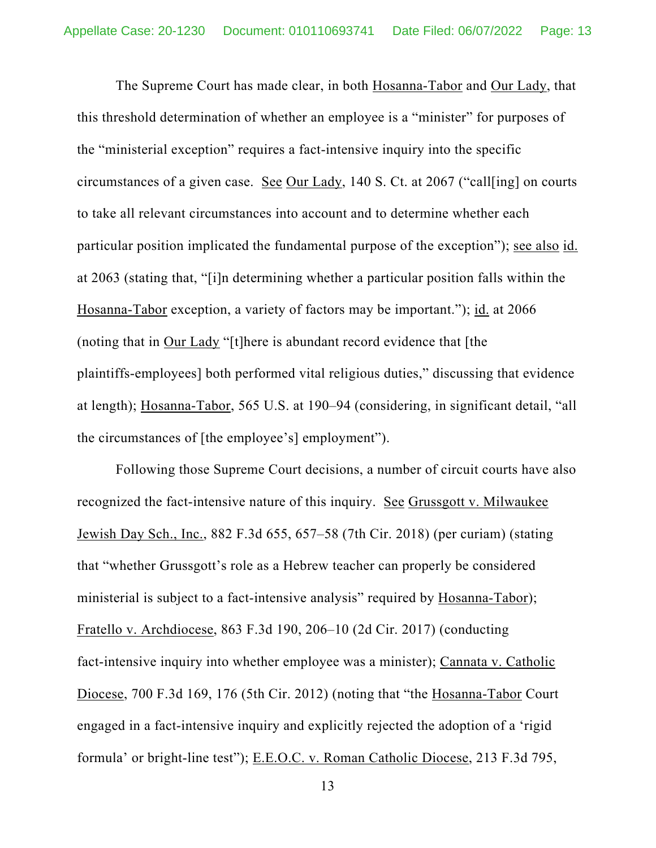The Supreme Court has made clear, in both Hosanna-Tabor and Our Lady, that this threshold determination of whether an employee is a "minister" for purposes of the "ministerial exception" requires a fact-intensive inquiry into the specific circumstances of a given case. See Our Lady, 140 S. Ct. at 2067 ("call[ing] on courts to take all relevant circumstances into account and to determine whether each particular position implicated the fundamental purpose of the exception"); see also id. at 2063 (stating that, "[i]n determining whether a particular position falls within the Hosanna-Tabor exception, a variety of factors may be important."); id. at 2066 (noting that in Our Lady "[t]here is abundant record evidence that [the plaintiffs-employees] both performed vital religious duties," discussing that evidence at length); Hosanna-Tabor, 565 U.S. at 190–94 (considering, in significant detail, "all the circumstances of [the employee's] employment").

Following those Supreme Court decisions, a number of circuit courts have also recognized the fact-intensive nature of this inquiry. See Grussgott v. Milwaukee Jewish Day Sch., Inc., 882 F.3d 655, 657–58 (7th Cir. 2018) (per curiam) (stating that "whether Grussgott's role as a Hebrew teacher can properly be considered ministerial is subject to a fact-intensive analysis" required by Hosanna-Tabor); Fratello v. Archdiocese, 863 F.3d 190, 206–10 (2d Cir. 2017) (conducting fact-intensive inquiry into whether employee was a minister); Cannata v. Catholic Diocese, 700 F.3d 169, 176 (5th Cir. 2012) (noting that "the Hosanna-Tabor Court engaged in a fact-intensive inquiry and explicitly rejected the adoption of a 'rigid formula' or bright-line test"); E.E.O.C. v. Roman Catholic Diocese, 213 F.3d 795,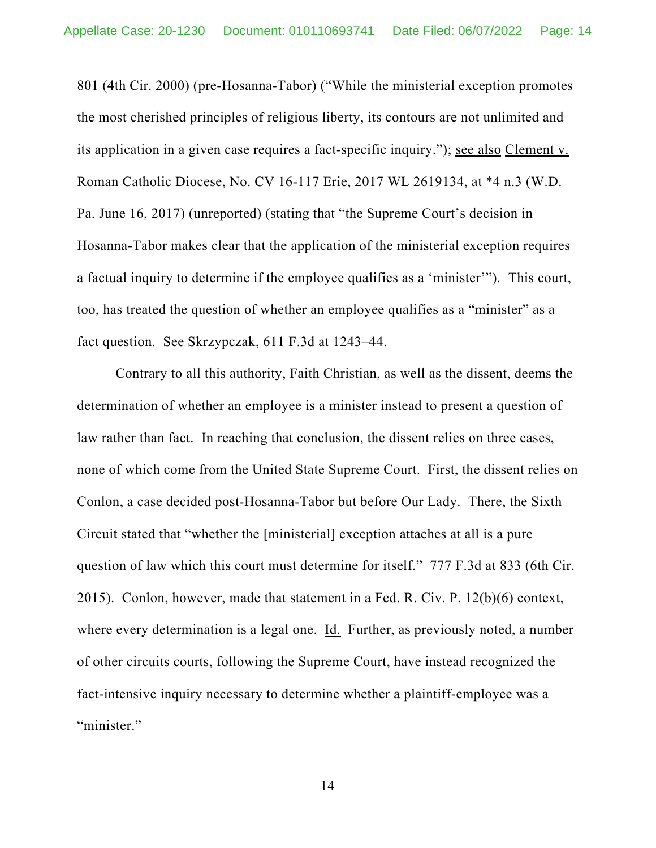801 (4th Cir. 2000) (pre-Hosanna-Tabor) ("While the ministerial exception promotes the most cherished principles of religious liberty, its contours are not unlimited and its application in a given case requires a fact-specific inquiry."); see also Clement v. Roman Catholic Diocese, No. CV 16-117 Erie, 2017 WL 2619134, at \*4 n.3 (W.D. Pa. June 16, 2017) (unreported) (stating that "the Supreme Court's decision in Hosanna-Tabor makes clear that the application of the ministerial exception requires a factual inquiry to determine if the employee qualifies as a 'minister'"). This court, too, has treated the question of whether an employee qualifies as a "minister" as a fact question. See Skrzypczak, 611 F.3d at 1243–44.

Contrary to all this authority, Faith Christian, as well as the dissent, deems the determination of whether an employee is a minister instead to present a question of law rather than fact. In reaching that conclusion, the dissent relies on three cases, none of which come from the United State Supreme Court. First, the dissent relies on Conlon, a case decided post-Hosanna-Tabor but before Our Lady. There, the Sixth Circuit stated that "whether the [ministerial] exception attaches at all is a pure question of law which this court must determine for itself." 777 F.3d at 833 (6th Cir. 2015). Conlon, however, made that statement in a Fed. R. Civ. P. 12(b)(6) context, where every determination is a legal one. Id. Further, as previously noted, a number of other circuits courts, following the Supreme Court, have instead recognized the fact-intensive inquiry necessary to determine whether a plaintiff-employee was a "minister."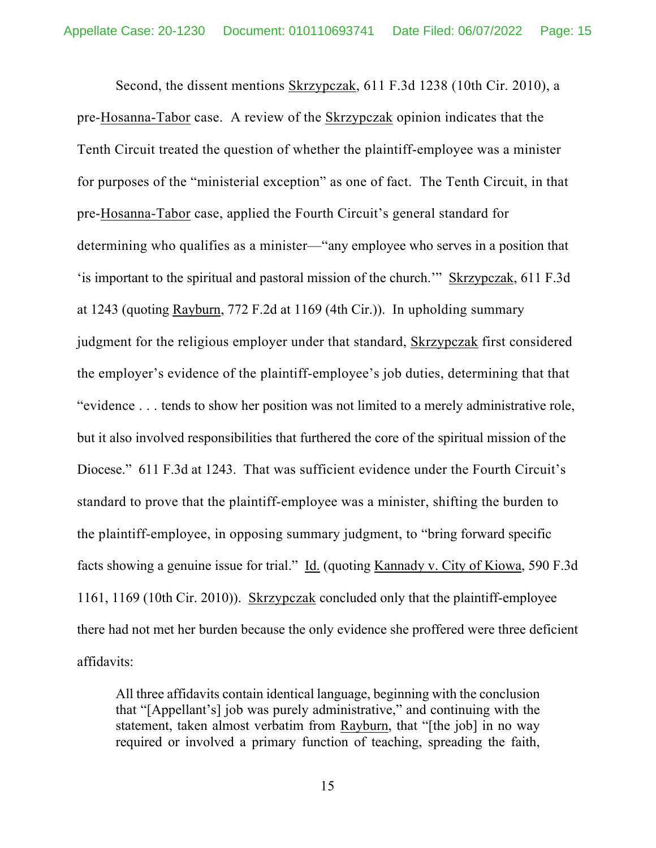Second, the dissent mentions Skrzypczak, 611 F.3d 1238 (10th Cir. 2010), a pre-Hosanna-Tabor case. A review of the Skrzypczak opinion indicates that the Tenth Circuit treated the question of whether the plaintiff-employee was a minister for purposes of the "ministerial exception" as one of fact. The Tenth Circuit, in that pre-Hosanna-Tabor case, applied the Fourth Circuit's general standard for determining who qualifies as a minister—"any employee who serves in a position that 'is important to the spiritual and pastoral mission of the church.'" Skrzypczak, 611 F.3d at 1243 (quoting Rayburn, 772 F.2d at 1169 (4th Cir.)). In upholding summary judgment for the religious employer under that standard, Skrzypczak first considered the employer's evidence of the plaintiff-employee's job duties, determining that that "evidence . . . tends to show her position was not limited to a merely administrative role, but it also involved responsibilities that furthered the core of the spiritual mission of the Diocese." 611 F.3d at 1243. That was sufficient evidence under the Fourth Circuit's standard to prove that the plaintiff-employee was a minister, shifting the burden to the plaintiff-employee, in opposing summary judgment, to "bring forward specific facts showing a genuine issue for trial." Id. (quoting Kannady v. City of Kiowa, 590 F.3d 1161, 1169 (10th Cir. 2010)). Skrzypczak concluded only that the plaintiff-employee there had not met her burden because the only evidence she proffered were three deficient affidavits:

All three affidavits contain identical language, beginning with the conclusion that "[Appellant's] job was purely administrative," and continuing with the statement, taken almost verbatim from Rayburn, that "[the job] in no way required or involved a primary function of teaching, spreading the faith,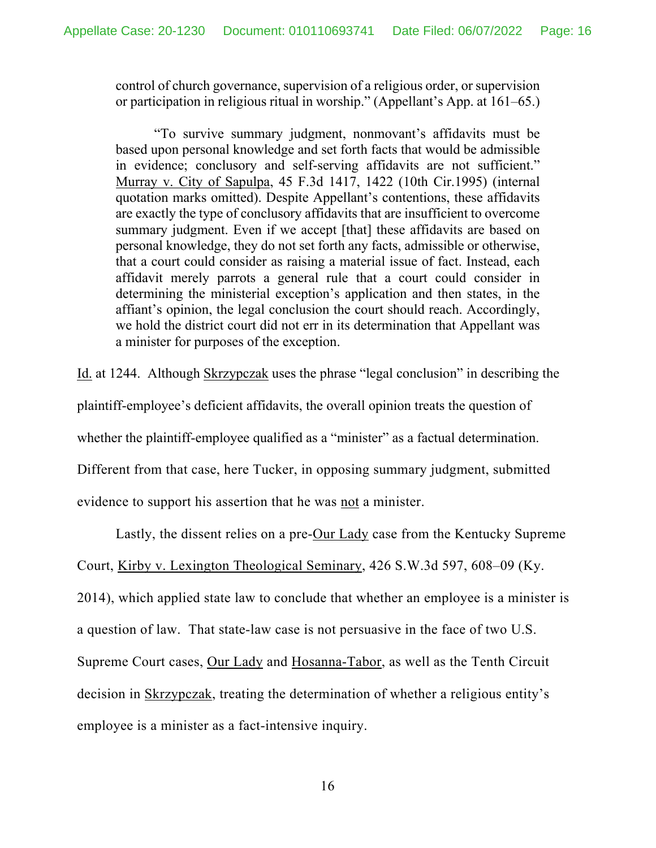control of church governance, supervision of a religious order, or supervision or participation in religious ritual in worship." (Appellant's App. at 161–65.)

"To survive summary judgment, nonmovant's affidavits must be based upon personal knowledge and set forth facts that would be admissible in evidence; conclusory and self-serving affidavits are not sufficient." Murray v. City of Sapulpa, 45 F.3d 1417, 1422 (10th Cir.1995) (internal quotation marks omitted). Despite Appellant's contentions, these affidavits are exactly the type of conclusory affidavits that are insufficient to overcome summary judgment. Even if we accept [that] these affidavits are based on personal knowledge, they do not set forth any facts, admissible or otherwise, that a court could consider as raising a material issue of fact. Instead, each affidavit merely parrots a general rule that a court could consider in determining the ministerial exception's application and then states, in the affiant's opinion, the legal conclusion the court should reach. Accordingly, we hold the district court did not err in its determination that Appellant was a minister for purposes of the exception.

Id. at 1244. Although Skrzypczak uses the phrase "legal conclusion" in describing the

plaintiff-employee's deficient affidavits, the overall opinion treats the question of

whether the plaintiff-employee qualified as a "minister" as a factual determination.

Different from that case, here Tucker, in opposing summary judgment, submitted

evidence to support his assertion that he was not a minister.

Lastly, the dissent relies on a pre-Our Lady case from the Kentucky Supreme Court, Kirby v. Lexington Theological Seminary, 426 S.W.3d 597, 608–09 (Ky. 2014), which applied state law to conclude that whether an employee is a minister is a question of law. That state-law case is not persuasive in the face of two U.S. Supreme Court cases, Our Lady and Hosanna-Tabor, as well as the Tenth Circuit decision in Skrzypczak, treating the determination of whether a religious entity's employee is a minister as a fact-intensive inquiry.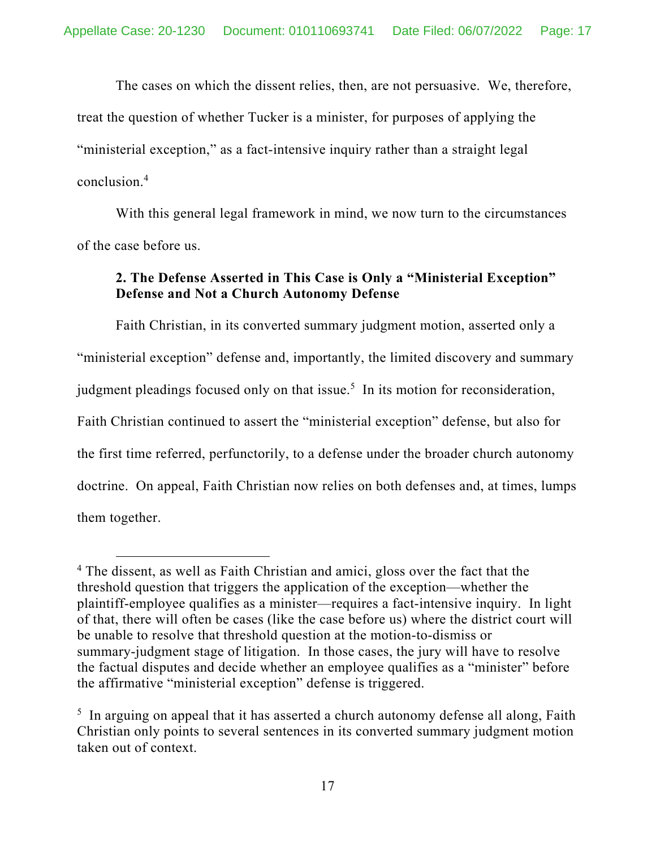The cases on which the dissent relies, then, are not persuasive. We, therefore, treat the question of whether Tucker is a minister, for purposes of applying the "ministerial exception," as a fact-intensive inquiry rather than a straight legal conclusion.4

With this general legal framework in mind, we now turn to the circumstances of the case before us.

# **2. The Defense Asserted in This Case is Only a "Ministerial Exception" Defense and Not a Church Autonomy Defense**

 Faith Christian, in its converted summary judgment motion, asserted only a "ministerial exception" defense and, importantly, the limited discovery and summary judgment pleadings focused only on that issue.<sup>5</sup> In its motion for reconsideration, Faith Christian continued to assert the "ministerial exception" defense, but also for the first time referred, perfunctorily, to a defense under the broader church autonomy doctrine. On appeal, Faith Christian now relies on both defenses and, at times, lumps them together.

<sup>&</sup>lt;sup>4</sup> The dissent, as well as Faith Christian and amici, gloss over the fact that the threshold question that triggers the application of the exception—whether the plaintiff-employee qualifies as a minister—requires a fact-intensive inquiry. In light of that, there will often be cases (like the case before us) where the district court will be unable to resolve that threshold question at the motion-to-dismiss or summary-judgment stage of litigation. In those cases, the jury will have to resolve the factual disputes and decide whether an employee qualifies as a "minister" before the affirmative "ministerial exception" defense is triggered.

 $5$  In arguing on appeal that it has asserted a church autonomy defense all along, Faith Christian only points to several sentences in its converted summary judgment motion taken out of context.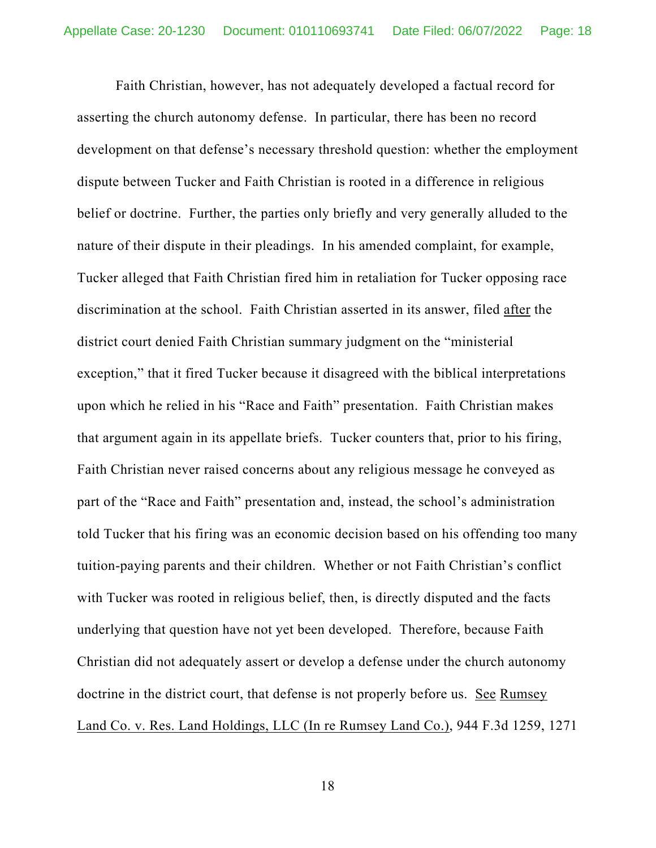Faith Christian, however, has not adequately developed a factual record for asserting the church autonomy defense. In particular, there has been no record development on that defense's necessary threshold question: whether the employment dispute between Tucker and Faith Christian is rooted in a difference in religious belief or doctrine. Further, the parties only briefly and very generally alluded to the nature of their dispute in their pleadings. In his amended complaint, for example, Tucker alleged that Faith Christian fired him in retaliation for Tucker opposing race discrimination at the school. Faith Christian asserted in its answer, filed after the district court denied Faith Christian summary judgment on the "ministerial exception," that it fired Tucker because it disagreed with the biblical interpretations upon which he relied in his "Race and Faith" presentation. Faith Christian makes that argument again in its appellate briefs. Tucker counters that, prior to his firing, Faith Christian never raised concerns about any religious message he conveyed as part of the "Race and Faith" presentation and, instead, the school's administration told Tucker that his firing was an economic decision based on his offending too many tuition-paying parents and their children. Whether or not Faith Christian's conflict with Tucker was rooted in religious belief, then, is directly disputed and the facts underlying that question have not yet been developed. Therefore, because Faith Christian did not adequately assert or develop a defense under the church autonomy doctrine in the district court, that defense is not properly before us. See Rumsey Land Co. v. Res. Land Holdings, LLC (In re Rumsey Land Co.), 944 F.3d 1259, 1271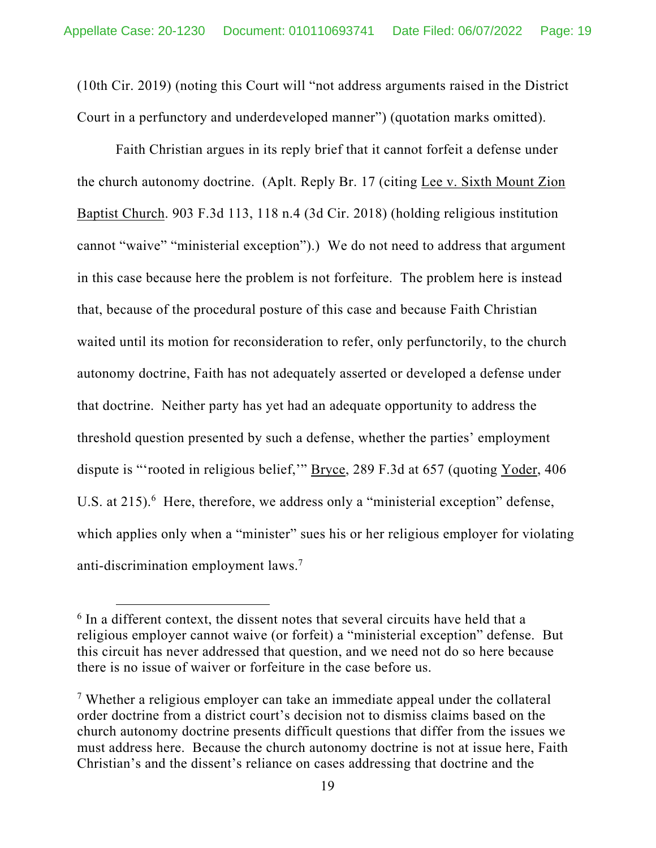(10th Cir. 2019) (noting this Court will "not address arguments raised in the District Court in a perfunctory and underdeveloped manner") (quotation marks omitted).

Faith Christian argues in its reply brief that it cannot forfeit a defense under the church autonomy doctrine. (Aplt. Reply Br. 17 (citing Lee v. Sixth Mount Zion Baptist Church. 903 F.3d 113, 118 n.4 (3d Cir. 2018) (holding religious institution cannot "waive" "ministerial exception").) We do not need to address that argument in this case because here the problem is not forfeiture. The problem here is instead that, because of the procedural posture of this case and because Faith Christian waited until its motion for reconsideration to refer, only perfunctorily, to the church autonomy doctrine, Faith has not adequately asserted or developed a defense under that doctrine. Neither party has yet had an adequate opportunity to address the threshold question presented by such a defense, whether the parties' employment dispute is "'rooted in religious belief,'" Bryce, 289 F.3d at 657 (quoting Yoder, 406 U.S. at 215).<sup>6</sup> Here, therefore, we address only a "ministerial exception" defense, which applies only when a "minister" sues his or her religious employer for violating anti-discrimination employment laws.7

<sup>&</sup>lt;sup>6</sup> In a different context, the dissent notes that several circuits have held that a religious employer cannot waive (or forfeit) a "ministerial exception" defense. But this circuit has never addressed that question, and we need not do so here because there is no issue of waiver or forfeiture in the case before us.

<sup>&</sup>lt;sup>7</sup> Whether a religious employer can take an immediate appeal under the collateral order doctrine from a district court's decision not to dismiss claims based on the church autonomy doctrine presents difficult questions that differ from the issues we must address here. Because the church autonomy doctrine is not at issue here, Faith Christian's and the dissent's reliance on cases addressing that doctrine and the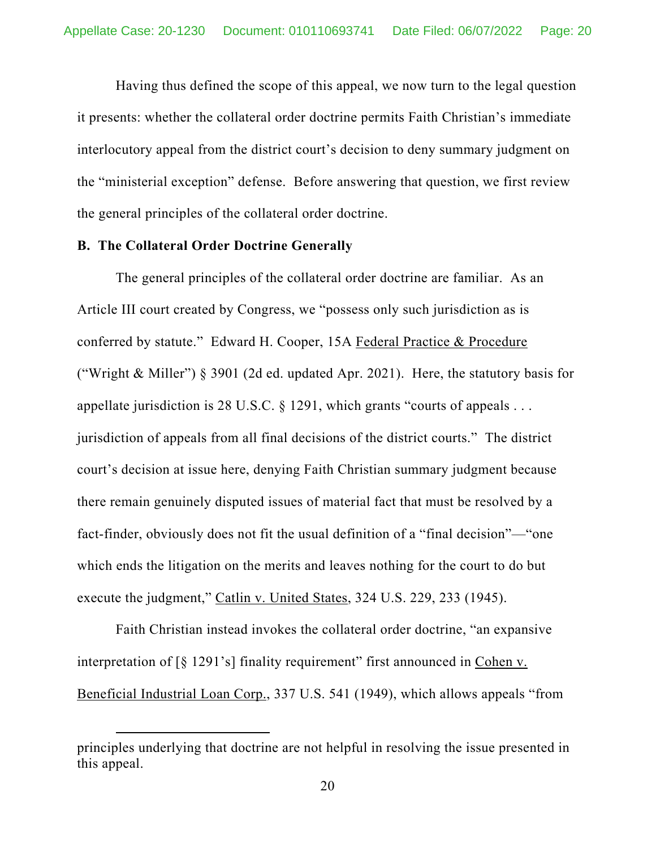Having thus defined the scope of this appeal, we now turn to the legal question it presents: whether the collateral order doctrine permits Faith Christian's immediate interlocutory appeal from the district court's decision to deny summary judgment on the "ministerial exception" defense. Before answering that question, we first review the general principles of the collateral order doctrine.

#### **B. The Collateral Order Doctrine Generally**

The general principles of the collateral order doctrine are familiar. As an Article III court created by Congress, we "possess only such jurisdiction as is conferred by statute." Edward H. Cooper, 15A Federal Practice & Procedure ("Wright & Miller") § 3901 (2d ed. updated Apr. 2021). Here, the statutory basis for appellate jurisdiction is 28 U.S.C. § 1291, which grants "courts of appeals . . . jurisdiction of appeals from all final decisions of the district courts." The district court's decision at issue here, denying Faith Christian summary judgment because there remain genuinely disputed issues of material fact that must be resolved by a fact-finder, obviously does not fit the usual definition of a "final decision"—"one which ends the litigation on the merits and leaves nothing for the court to do but execute the judgment," Catlin v. United States, 324 U.S. 229, 233 (1945).

Faith Christian instead invokes the collateral order doctrine, "an expansive interpretation of [§ 1291's] finality requirement" first announced in Cohen v. Beneficial Industrial Loan Corp., 337 U.S. 541 (1949), which allows appeals "from

principles underlying that doctrine are not helpful in resolving the issue presented in this appeal.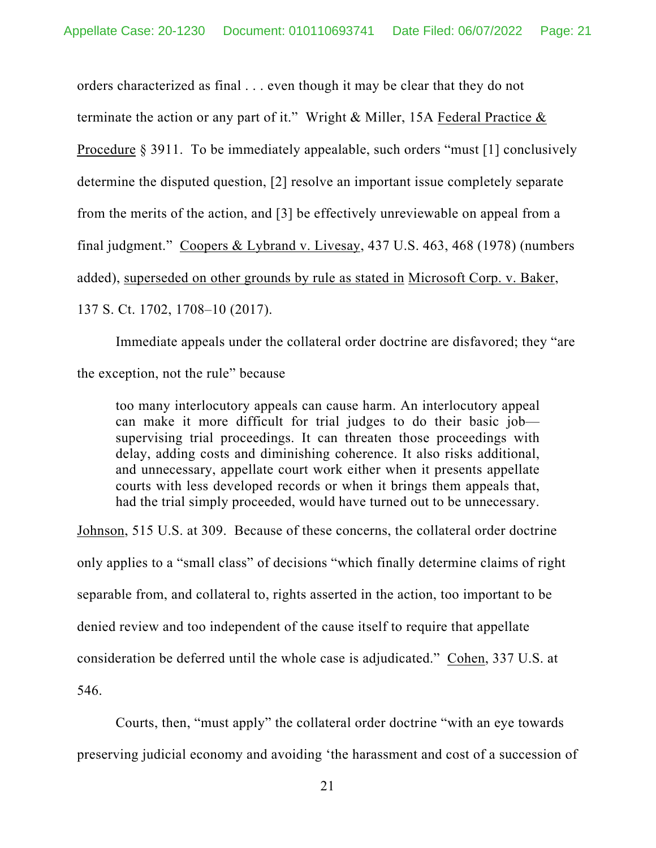orders characterized as final . . . even though it may be clear that they do not terminate the action or any part of it." Wright & Miller, 15A Federal Practice & Procedure § 3911. To be immediately appealable, such orders "must [1] conclusively determine the disputed question, [2] resolve an important issue completely separate from the merits of the action, and [3] be effectively unreviewable on appeal from a final judgment." Coopers & Lybrand v. Livesay, 437 U.S. 463, 468 (1978) (numbers added), superseded on other grounds by rule as stated in Microsoft Corp. v. Baker, 137 S. Ct. 1702, 1708–10 (2017).

Immediate appeals under the collateral order doctrine are disfavored; they "are the exception, not the rule" because

too many interlocutory appeals can cause harm. An interlocutory appeal can make it more difficult for trial judges to do their basic job supervising trial proceedings. It can threaten those proceedings with delay, adding costs and diminishing coherence. It also risks additional, and unnecessary, appellate court work either when it presents appellate courts with less developed records or when it brings them appeals that, had the trial simply proceeded, would have turned out to be unnecessary.

Johnson, 515 U.S. at 309. Because of these concerns, the collateral order doctrine only applies to a "small class" of decisions "which finally determine claims of right separable from, and collateral to, rights asserted in the action, too important to be denied review and too independent of the cause itself to require that appellate consideration be deferred until the whole case is adjudicated." Cohen, 337 U.S. at 546.

Courts, then, "must apply" the collateral order doctrine "with an eye towards preserving judicial economy and avoiding 'the harassment and cost of a succession of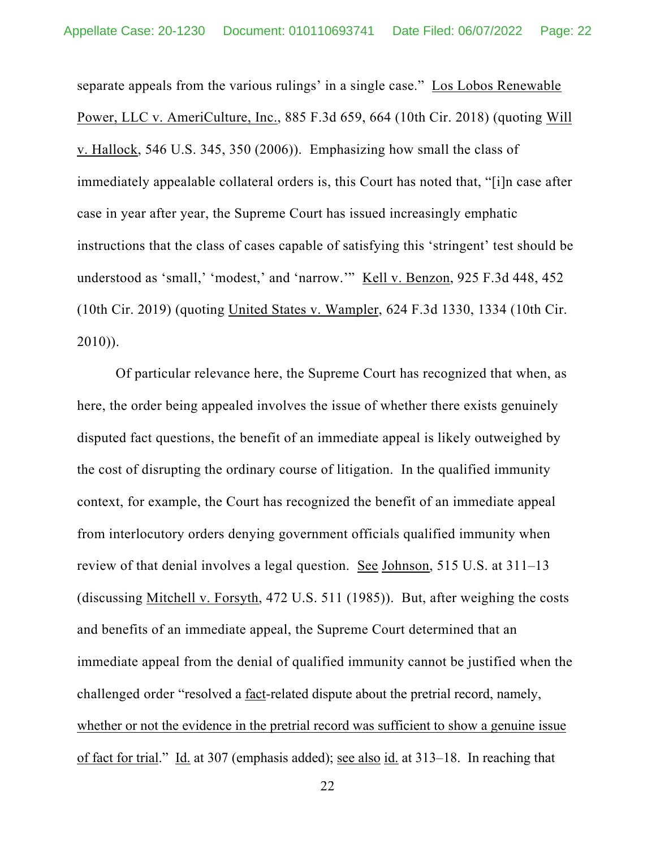separate appeals from the various rulings' in a single case." Los Lobos Renewable Power, LLC v. AmeriCulture, Inc., 885 F.3d 659, 664 (10th Cir. 2018) (quoting Will v. Hallock, 546 U.S. 345, 350 (2006)). Emphasizing how small the class of immediately appealable collateral orders is, this Court has noted that, "[i]n case after case in year after year, the Supreme Court has issued increasingly emphatic instructions that the class of cases capable of satisfying this 'stringent' test should be understood as 'small,' 'modest,' and 'narrow.'" Kell v. Benzon, 925 F.3d 448, 452 (10th Cir. 2019) (quoting United States v. Wampler, 624 F.3d 1330, 1334 (10th Cir. 2010)).

Of particular relevance here, the Supreme Court has recognized that when, as here, the order being appealed involves the issue of whether there exists genuinely disputed fact questions, the benefit of an immediate appeal is likely outweighed by the cost of disrupting the ordinary course of litigation. In the qualified immunity context, for example, the Court has recognized the benefit of an immediate appeal from interlocutory orders denying government officials qualified immunity when review of that denial involves a legal question. See Johnson, 515 U.S. at 311–13 (discussing Mitchell v. Forsyth, 472 U.S. 511 (1985)). But, after weighing the costs and benefits of an immediate appeal, the Supreme Court determined that an immediate appeal from the denial of qualified immunity cannot be justified when the challenged order "resolved a fact-related dispute about the pretrial record, namely, whether or not the evidence in the pretrial record was sufficient to show a genuine issue of fact for trial." Id. at 307 (emphasis added); see also id. at 313–18. In reaching that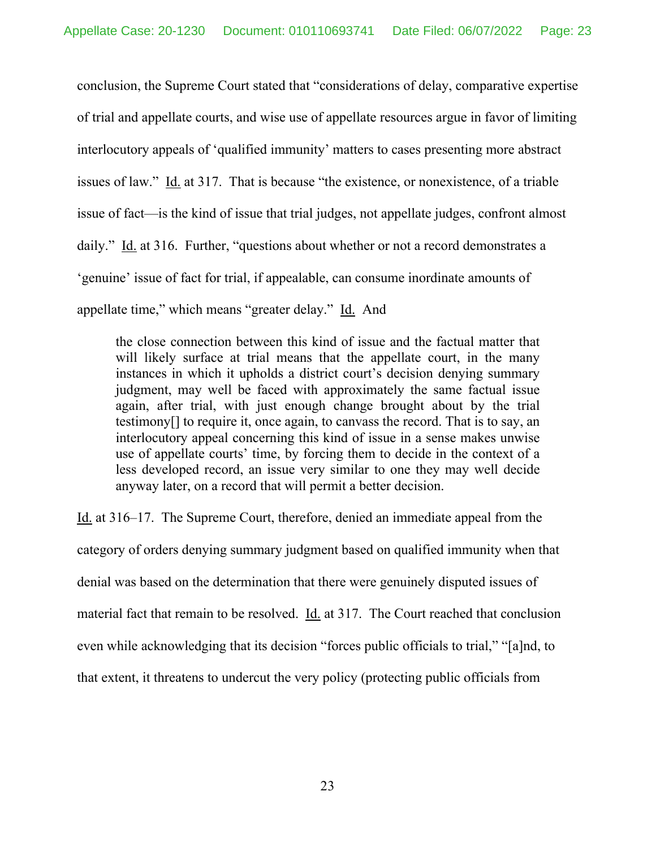conclusion, the Supreme Court stated that "considerations of delay, comparative expertise of trial and appellate courts, and wise use of appellate resources argue in favor of limiting interlocutory appeals of 'qualified immunity' matters to cases presenting more abstract issues of law." Id. at 317. That is because "the existence, or nonexistence, of a triable issue of fact—is the kind of issue that trial judges, not appellate judges, confront almost daily." Id. at 316. Further, "questions about whether or not a record demonstrates a 'genuine' issue of fact for trial, if appealable, can consume inordinate amounts of appellate time," which means "greater delay." Id. And

the close connection between this kind of issue and the factual matter that will likely surface at trial means that the appellate court, in the many instances in which it upholds a district court's decision denying summary judgment, may well be faced with approximately the same factual issue again, after trial, with just enough change brought about by the trial testimony[] to require it, once again, to canvass the record. That is to say, an interlocutory appeal concerning this kind of issue in a sense makes unwise use of appellate courts' time, by forcing them to decide in the context of a less developed record, an issue very similar to one they may well decide anyway later, on a record that will permit a better decision.

Id. at 316–17. The Supreme Court, therefore, denied an immediate appeal from the category of orders denying summary judgment based on qualified immunity when that denial was based on the determination that there were genuinely disputed issues of material fact that remain to be resolved. Id. at 317. The Court reached that conclusion even while acknowledging that its decision "forces public officials to trial," "[a]nd, to that extent, it threatens to undercut the very policy (protecting public officials from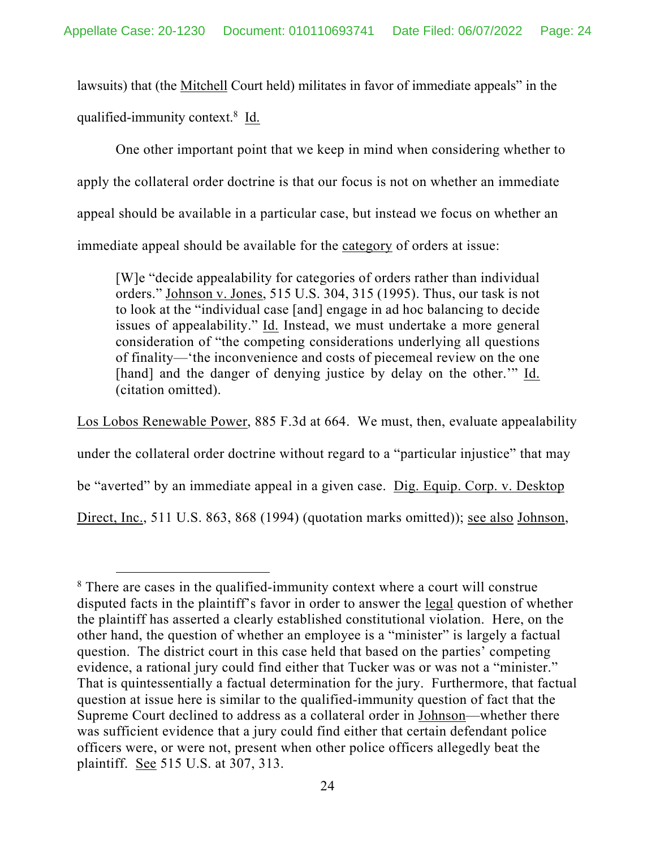lawsuits) that (the Mitchell Court held) militates in favor of immediate appeals" in the qualified-immunity context.<sup>8</sup> Id.

One other important point that we keep in mind when considering whether to apply the collateral order doctrine is that our focus is not on whether an immediate appeal should be available in a particular case, but instead we focus on whether an immediate appeal should be available for the category of orders at issue:

[W]e "decide appealability for categories of orders rather than individual orders." Johnson v. Jones, 515 U.S. 304, 315 (1995). Thus, our task is not to look at the "individual case [and] engage in ad hoc balancing to decide issues of appealability." Id. Instead, we must undertake a more general consideration of "the competing considerations underlying all questions of finality—'the inconvenience and costs of piecemeal review on the one [hand] and the danger of denying justice by delay on the other." Id. (citation omitted).

Los Lobos Renewable Power, 885 F.3d at 664. We must, then, evaluate appealability under the collateral order doctrine without regard to a "particular injustice" that may be "averted" by an immediate appeal in a given case. Dig. Equip. Corp. v. Desktop Direct, Inc., 511 U.S. 863, 868 (1994) (quotation marks omitted)); see also Johnson,

<sup>&</sup>lt;sup>8</sup> There are cases in the qualified-immunity context where a court will construe disputed facts in the plaintiff's favor in order to answer the legal question of whether the plaintiff has asserted a clearly established constitutional violation. Here, on the other hand, the question of whether an employee is a "minister" is largely a factual question. The district court in this case held that based on the parties' competing evidence, a rational jury could find either that Tucker was or was not a "minister." That is quintessentially a factual determination for the jury. Furthermore, that factual question at issue here is similar to the qualified-immunity question of fact that the Supreme Court declined to address as a collateral order in Johnson—whether there was sufficient evidence that a jury could find either that certain defendant police officers were, or were not, present when other police officers allegedly beat the plaintiff. See 515 U.S. at 307, 313.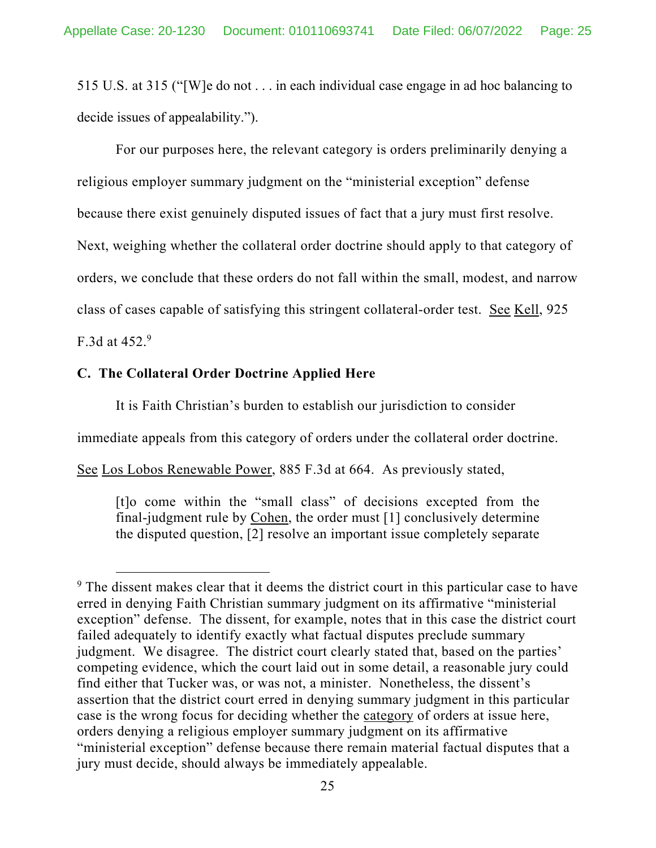515 U.S. at 315 ("[W]e do not . . . in each individual case engage in ad hoc balancing to decide issues of appealability.").

For our purposes here, the relevant category is orders preliminarily denying a religious employer summary judgment on the "ministerial exception" defense because there exist genuinely disputed issues of fact that a jury must first resolve. Next, weighing whether the collateral order doctrine should apply to that category of orders, we conclude that these orders do not fall within the small, modest, and narrow class of cases capable of satisfying this stringent collateral-order test. See Kell, 925

F.3d at  $452.<sup>9</sup>$ 

## **C. The Collateral Order Doctrine Applied Here**

It is Faith Christian's burden to establish our jurisdiction to consider

immediate appeals from this category of orders under the collateral order doctrine.

See Los Lobos Renewable Power, 885 F.3d at 664. As previously stated,

[t]o come within the "small class" of decisions excepted from the final-judgment rule by Cohen, the order must [1] conclusively determine the disputed question, [2] resolve an important issue completely separate

<sup>&</sup>lt;sup>9</sup> The dissent makes clear that it deems the district court in this particular case to have erred in denying Faith Christian summary judgment on its affirmative "ministerial exception" defense. The dissent, for example, notes that in this case the district court failed adequately to identify exactly what factual disputes preclude summary judgment. We disagree. The district court clearly stated that, based on the parties' competing evidence, which the court laid out in some detail, a reasonable jury could find either that Tucker was, or was not, a minister. Nonetheless, the dissent's assertion that the district court erred in denying summary judgment in this particular case is the wrong focus for deciding whether the category of orders at issue here, orders denying a religious employer summary judgment on its affirmative "ministerial exception" defense because there remain material factual disputes that a jury must decide, should always be immediately appealable.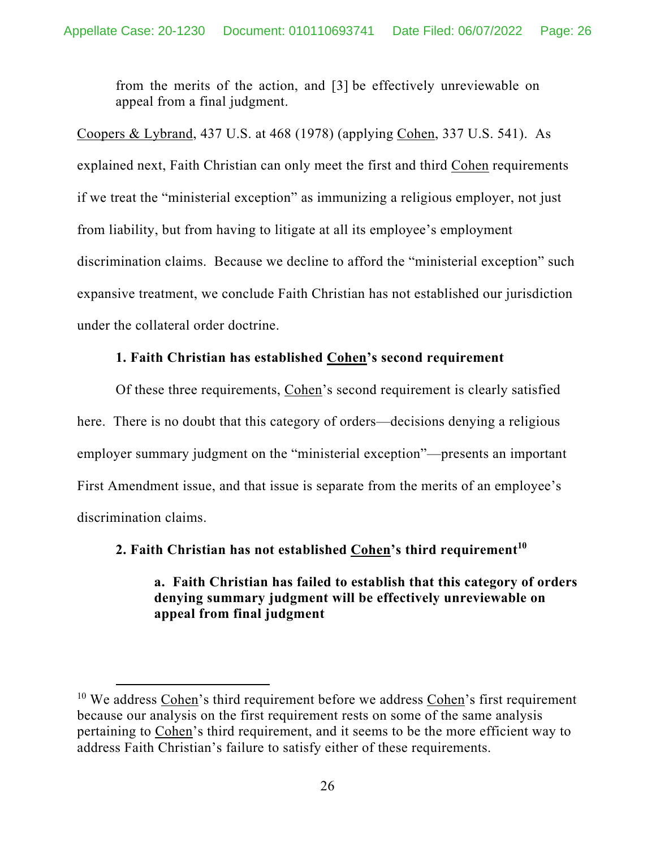from the merits of the action, and [3] be effectively unreviewable on appeal from a final judgment.

Coopers & Lybrand, 437 U.S. at 468 (1978) (applying Cohen, 337 U.S. 541). As explained next, Faith Christian can only meet the first and third Cohen requirements if we treat the "ministerial exception" as immunizing a religious employer, not just from liability, but from having to litigate at all its employee's employment discrimination claims. Because we decline to afford the "ministerial exception" such expansive treatment, we conclude Faith Christian has not established our jurisdiction under the collateral order doctrine.

## **1. Faith Christian has established Cohen's second requirement**

Of these three requirements, Cohen's second requirement is clearly satisfied here. There is no doubt that this category of orders—decisions denying a religious employer summary judgment on the "ministerial exception"—presents an important First Amendment issue, and that issue is separate from the merits of an employee's discrimination claims.

## **2. Faith Christian has not established Cohen's third requirement<sup>10</sup>**

**a. Faith Christian has failed to establish that this category of orders denying summary judgment will be effectively unreviewable on appeal from final judgment** 

 $10$  We address Cohen's third requirement before we address Cohen's first requirement because our analysis on the first requirement rests on some of the same analysis pertaining to Cohen's third requirement, and it seems to be the more efficient way to address Faith Christian's failure to satisfy either of these requirements.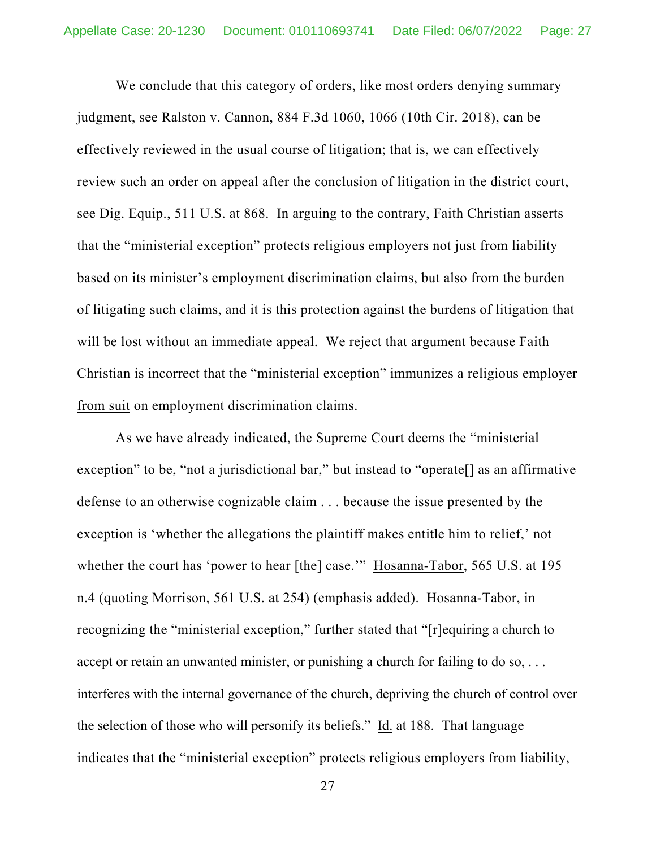We conclude that this category of orders, like most orders denying summary judgment, see Ralston v. Cannon, 884 F.3d 1060, 1066 (10th Cir. 2018), can be effectively reviewed in the usual course of litigation; that is, we can effectively review such an order on appeal after the conclusion of litigation in the district court, see Dig. Equip., 511 U.S. at 868. In arguing to the contrary, Faith Christian asserts that the "ministerial exception" protects religious employers not just from liability based on its minister's employment discrimination claims, but also from the burden of litigating such claims, and it is this protection against the burdens of litigation that will be lost without an immediate appeal. We reject that argument because Faith Christian is incorrect that the "ministerial exception" immunizes a religious employer from suit on employment discrimination claims.

As we have already indicated, the Supreme Court deems the "ministerial exception" to be, "not a jurisdictional bar," but instead to "operate[] as an affirmative defense to an otherwise cognizable claim . . . because the issue presented by the exception is 'whether the allegations the plaintiff makes entitle him to relief,' not whether the court has 'power to hear [the] case.'" Hosanna-Tabor, 565 U.S. at 195 n.4 (quoting Morrison, 561 U.S. at 254) (emphasis added). Hosanna-Tabor, in recognizing the "ministerial exception," further stated that "[r]equiring a church to accept or retain an unwanted minister, or punishing a church for failing to do so, ... interferes with the internal governance of the church, depriving the church of control over the selection of those who will personify its beliefs." Id. at 188. That language indicates that the "ministerial exception" protects religious employers from liability,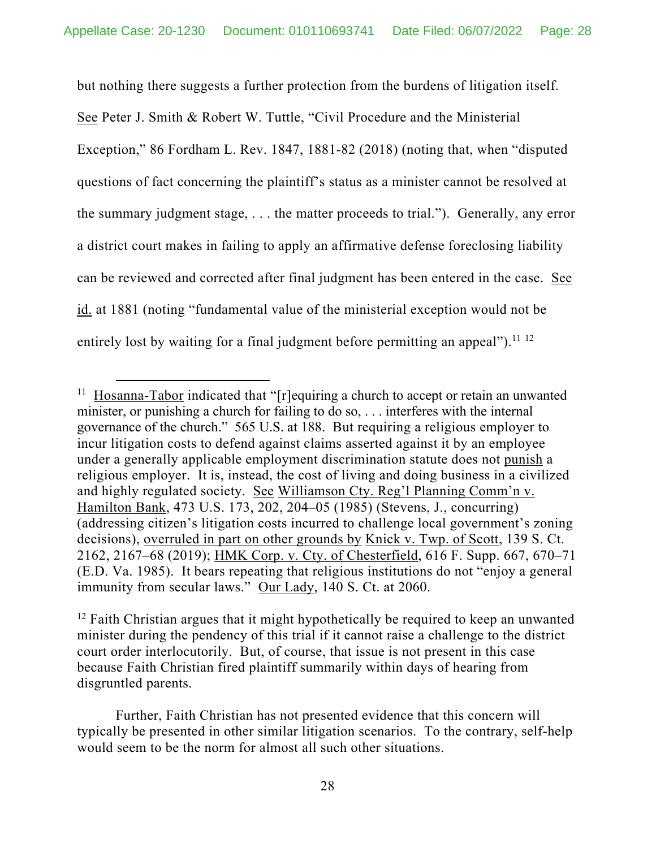but nothing there suggests a further protection from the burdens of litigation itself.

See Peter J. Smith & Robert W. Tuttle, "Civil Procedure and the Ministerial Exception," 86 Fordham L. Rev. 1847, 1881-82 (2018) (noting that, when "disputed questions of fact concerning the plaintiff's status as a minister cannot be resolved at the summary judgment stage, . . . the matter proceeds to trial."). Generally, any error a district court makes in failing to apply an affirmative defense foreclosing liability can be reviewed and corrected after final judgment has been entered in the case. See id. at 1881 (noting "fundamental value of the ministerial exception would not be entirely lost by waiting for a final judgment before permitting an appeal").<sup>11 12</sup>

 $11$  Hosanna-Tabor indicated that "[r]equiring a church to accept or retain an unwanted minister, or punishing a church for failing to do so, . . . interferes with the internal governance of the church." 565 U.S. at 188. But requiring a religious employer to incur litigation costs to defend against claims asserted against it by an employee under a generally applicable employment discrimination statute does not punish a religious employer. It is, instead, the cost of living and doing business in a civilized and highly regulated society. See Williamson Cty. Reg'l Planning Comm'n v. Hamilton Bank, 473 U.S. 173, 202, 204–05 (1985) (Stevens, J., concurring) (addressing citizen's litigation costs incurred to challenge local government's zoning decisions), overruled in part on other grounds by Knick v. Twp. of Scott, 139 S. Ct. 2162, 2167–68 (2019); HMK Corp. v. Cty. of Chesterfield, 616 F. Supp. 667, 670–71 (E.D. Va. 1985). It bears repeating that religious institutions do not "enjoy a general immunity from secular laws." Our Lady, 140 S. Ct. at 2060.

 $12$  Faith Christian argues that it might hypothetically be required to keep an unwanted minister during the pendency of this trial if it cannot raise a challenge to the district court order interlocutorily. But, of course, that issue is not present in this case because Faith Christian fired plaintiff summarily within days of hearing from disgruntled parents.

Further, Faith Christian has not presented evidence that this concern will typically be presented in other similar litigation scenarios. To the contrary, self-help would seem to be the norm for almost all such other situations.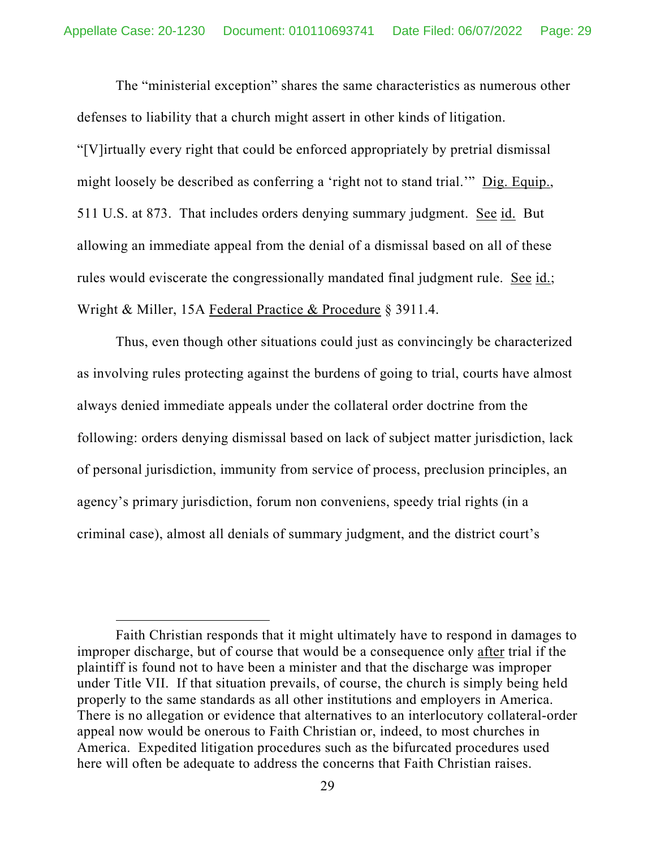The "ministerial exception" shares the same characteristics as numerous other defenses to liability that a church might assert in other kinds of litigation. "[V]irtually every right that could be enforced appropriately by pretrial dismissal might loosely be described as conferring a 'right not to stand trial.'" Dig. Equip., 511 U.S. at 873. That includes orders denying summary judgment. See id. But allowing an immediate appeal from the denial of a dismissal based on all of these rules would eviscerate the congressionally mandated final judgment rule. See id.; Wright & Miller, 15A Federal Practice & Procedure § 3911.4.

Thus, even though other situations could just as convincingly be characterized as involving rules protecting against the burdens of going to trial, courts have almost always denied immediate appeals under the collateral order doctrine from the following: orders denying dismissal based on lack of subject matter jurisdiction, lack of personal jurisdiction, immunity from service of process, preclusion principles, an agency's primary jurisdiction, forum non conveniens, speedy trial rights (in a criminal case), almost all denials of summary judgment, and the district court's

Faith Christian responds that it might ultimately have to respond in damages to improper discharge, but of course that would be a consequence only after trial if the plaintiff is found not to have been a minister and that the discharge was improper under Title VII. If that situation prevails, of course, the church is simply being held properly to the same standards as all other institutions and employers in America. There is no allegation or evidence that alternatives to an interlocutory collateral-order appeal now would be onerous to Faith Christian or, indeed, to most churches in America. Expedited litigation procedures such as the bifurcated procedures used here will often be adequate to address the concerns that Faith Christian raises.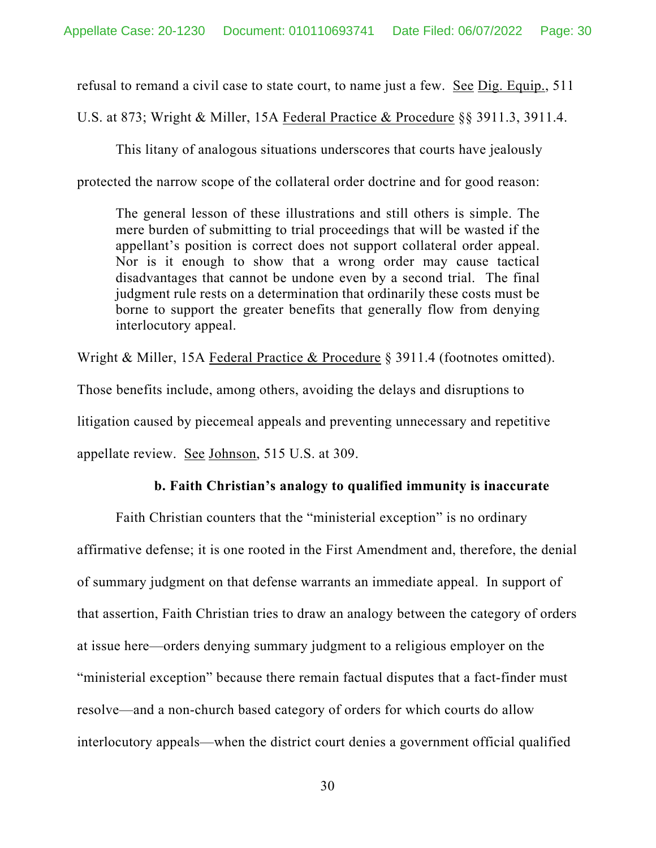refusal to remand a civil case to state court, to name just a few. See Dig. Equip., 511

U.S. at 873; Wright & Miller, 15A Federal Practice & Procedure §§ 3911.3, 3911.4.

This litany of analogous situations underscores that courts have jealously protected the narrow scope of the collateral order doctrine and for good reason:

The general lesson of these illustrations and still others is simple. The mere burden of submitting to trial proceedings that will be wasted if the appellant's position is correct does not support collateral order appeal. Nor is it enough to show that a wrong order may cause tactical disadvantages that cannot be undone even by a second trial. The final judgment rule rests on a determination that ordinarily these costs must be borne to support the greater benefits that generally flow from denying interlocutory appeal.

Wright & Miller, 15A Federal Practice & Procedure § 3911.4 (footnotes omitted). Those benefits include, among others, avoiding the delays and disruptions to litigation caused by piecemeal appeals and preventing unnecessary and repetitive appellate review. See Johnson, 515 U.S. at 309.

#### **b. Faith Christian's analogy to qualified immunity is inaccurate**

 Faith Christian counters that the "ministerial exception" is no ordinary affirmative defense; it is one rooted in the First Amendment and, therefore, the denial of summary judgment on that defense warrants an immediate appeal. In support of that assertion, Faith Christian tries to draw an analogy between the category of orders at issue here—orders denying summary judgment to a religious employer on the "ministerial exception" because there remain factual disputes that a fact-finder must resolve—and a non-church based category of orders for which courts do allow interlocutory appeals—when the district court denies a government official qualified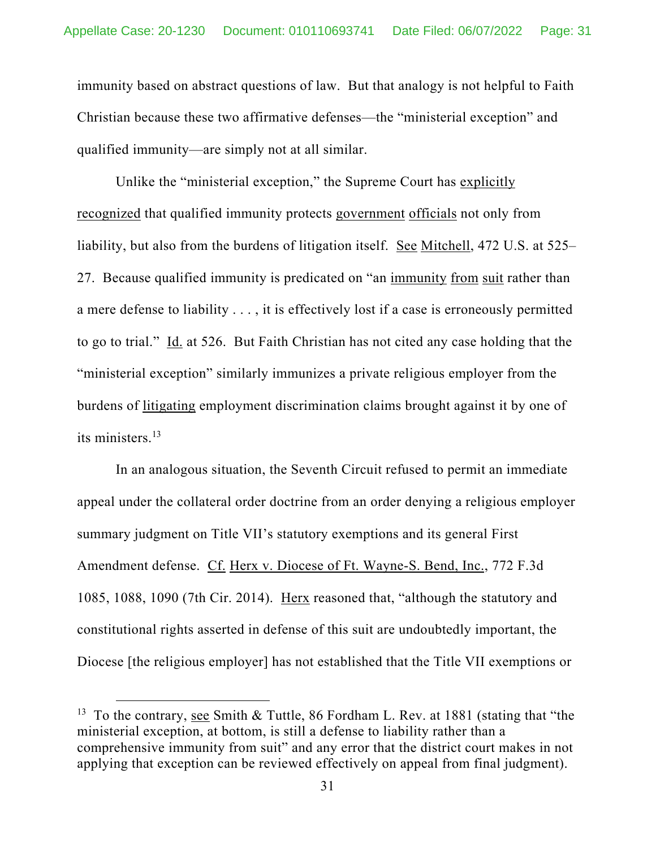immunity based on abstract questions of law. But that analogy is not helpful to Faith Christian because these two affirmative defenses—the "ministerial exception" and qualified immunity—are simply not at all similar.

Unlike the "ministerial exception," the Supreme Court has explicitly recognized that qualified immunity protects government officials not only from liability, but also from the burdens of litigation itself. See Mitchell, 472 U.S. at 525– 27. Because qualified immunity is predicated on "an immunity from suit rather than a mere defense to liability . . . , it is effectively lost if a case is erroneously permitted to go to trial." Id. at 526. But Faith Christian has not cited any case holding that the "ministerial exception" similarly immunizes a private religious employer from the burdens of litigating employment discrimination claims brought against it by one of its ministers.13

In an analogous situation, the Seventh Circuit refused to permit an immediate appeal under the collateral order doctrine from an order denying a religious employer summary judgment on Title VII's statutory exemptions and its general First Amendment defense. Cf. Herx v. Diocese of Ft. Wayne-S. Bend, Inc., 772 F.3d 1085, 1088, 1090 (7th Cir. 2014). Herx reasoned that, "although the statutory and constitutional rights asserted in defense of this suit are undoubtedly important, the Diocese [the religious employer] has not established that the Title VII exemptions or

<sup>&</sup>lt;sup>13</sup> To the contrary, see Smith & Tuttle, 86 Fordham L. Rev. at 1881 (stating that "the ministerial exception, at bottom, is still a defense to liability rather than a comprehensive immunity from suit" and any error that the district court makes in not applying that exception can be reviewed effectively on appeal from final judgment).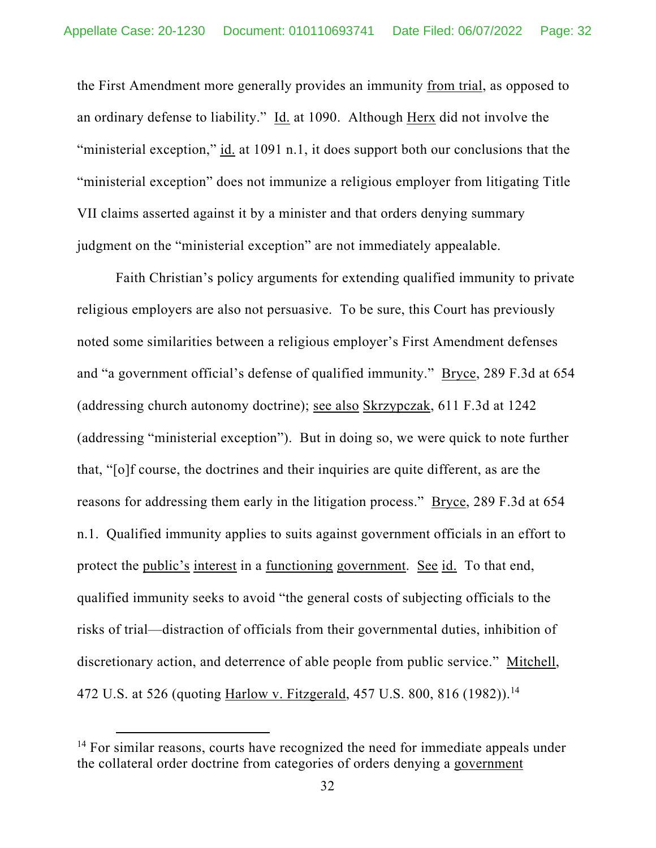the First Amendment more generally provides an immunity from trial, as opposed to an ordinary defense to liability." Id. at 1090. Although Herx did not involve the "ministerial exception," id. at 1091 n.1, it does support both our conclusions that the "ministerial exception" does not immunize a religious employer from litigating Title VII claims asserted against it by a minister and that orders denying summary judgment on the "ministerial exception" are not immediately appealable.

Faith Christian's policy arguments for extending qualified immunity to private religious employers are also not persuasive. To be sure, this Court has previously noted some similarities between a religious employer's First Amendment defenses and "a government official's defense of qualified immunity." Bryce, 289 F.3d at 654 (addressing church autonomy doctrine); see also Skrzypczak, 611 F.3d at 1242 (addressing "ministerial exception"). But in doing so, we were quick to note further that, "[o]f course, the doctrines and their inquiries are quite different, as are the reasons for addressing them early in the litigation process." Bryce, 289 F.3d at 654 n.1. Qualified immunity applies to suits against government officials in an effort to protect the public's interest in a functioning government. See id. To that end, qualified immunity seeks to avoid "the general costs of subjecting officials to the risks of trial—distraction of officials from their governmental duties, inhibition of discretionary action, and deterrence of able people from public service." Mitchell, 472 U.S. at 526 (quoting Harlow v. Fitzgerald, 457 U.S. 800, 816 (1982)).<sup>14</sup>

<sup>&</sup>lt;sup>14</sup> For similar reasons, courts have recognized the need for immediate appeals under the collateral order doctrine from categories of orders denying a government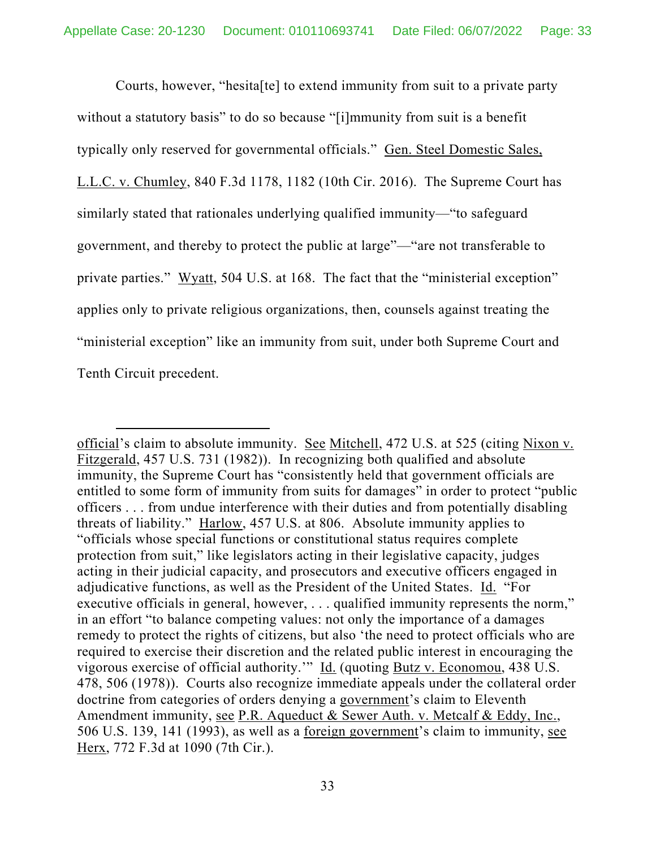Courts, however, "hesita[te] to extend immunity from suit to a private party without a statutory basis" to do so because "[i]mmunity from suit is a benefit typically only reserved for governmental officials." Gen. Steel Domestic Sales, L.L.C. v. Chumley, 840 F.3d 1178, 1182 (10th Cir. 2016). The Supreme Court has similarly stated that rationales underlying qualified immunity—"to safeguard government, and thereby to protect the public at large"—"are not transferable to private parties." Wyatt, 504 U.S. at 168. The fact that the "ministerial exception" applies only to private religious organizations, then, counsels against treating the "ministerial exception" like an immunity from suit, under both Supreme Court and Tenth Circuit precedent.

official's claim to absolute immunity. See Mitchell, 472 U.S. at 525 (citing Nixon v. Fitzgerald, 457 U.S. 731 (1982)). In recognizing both qualified and absolute immunity, the Supreme Court has "consistently held that government officials are entitled to some form of immunity from suits for damages" in order to protect "public officers . . . from undue interference with their duties and from potentially disabling threats of liability." Harlow, 457 U.S. at 806. Absolute immunity applies to "officials whose special functions or constitutional status requires complete protection from suit," like legislators acting in their legislative capacity, judges acting in their judicial capacity, and prosecutors and executive officers engaged in adjudicative functions, as well as the President of the United States. Id. "For executive officials in general, however, ... qualified immunity represents the norm," in an effort "to balance competing values: not only the importance of a damages remedy to protect the rights of citizens, but also 'the need to protect officials who are required to exercise their discretion and the related public interest in encouraging the vigorous exercise of official authority.'" Id. (quoting Butz v. Economou, 438 U.S. 478, 506 (1978)). Courts also recognize immediate appeals under the collateral order doctrine from categories of orders denying a government's claim to Eleventh Amendment immunity, see P.R. Aqueduct & Sewer Auth. v. Metcalf & Eddy, Inc., 506 U.S. 139, 141 (1993), as well as a foreign government's claim to immunity, see Herx, 772 F.3d at 1090 (7th Cir.).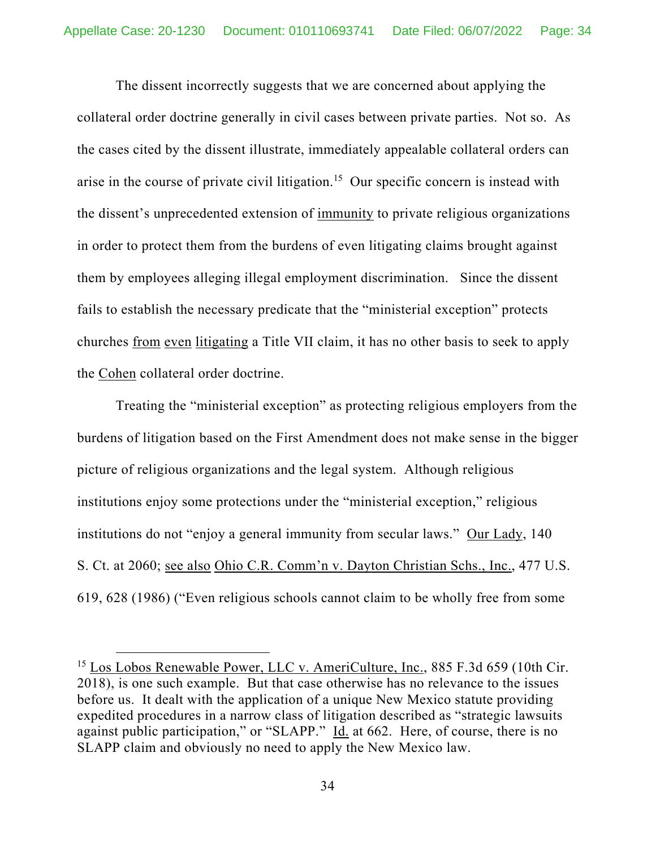The dissent incorrectly suggests that we are concerned about applying the collateral order doctrine generally in civil cases between private parties. Not so. As the cases cited by the dissent illustrate, immediately appealable collateral orders can arise in the course of private civil litigation.<sup>15</sup> Our specific concern is instead with the dissent's unprecedented extension of immunity to private religious organizations in order to protect them from the burdens of even litigating claims brought against them by employees alleging illegal employment discrimination. Since the dissent fails to establish the necessary predicate that the "ministerial exception" protects churches from even litigating a Title VII claim, it has no other basis to seek to apply the Cohen collateral order doctrine.

Treating the "ministerial exception" as protecting religious employers from the burdens of litigation based on the First Amendment does not make sense in the bigger picture of religious organizations and the legal system. Although religious institutions enjoy some protections under the "ministerial exception," religious institutions do not "enjoy a general immunity from secular laws." Our Lady, 140 S. Ct. at 2060; see also Ohio C.R. Comm'n v. Dayton Christian Schs., Inc., 477 U.S. 619, 628 (1986) ("Even religious schools cannot claim to be wholly free from some

<sup>&</sup>lt;sup>15</sup> Los Lobos Renewable Power, LLC v. AmeriCulture, Inc., 885 F.3d 659 (10th Cir. 2018), is one such example. But that case otherwise has no relevance to the issues before us. It dealt with the application of a unique New Mexico statute providing expedited procedures in a narrow class of litigation described as "strategic lawsuits against public participation," or "SLAPP." Id. at 662. Here, of course, there is no SLAPP claim and obviously no need to apply the New Mexico law.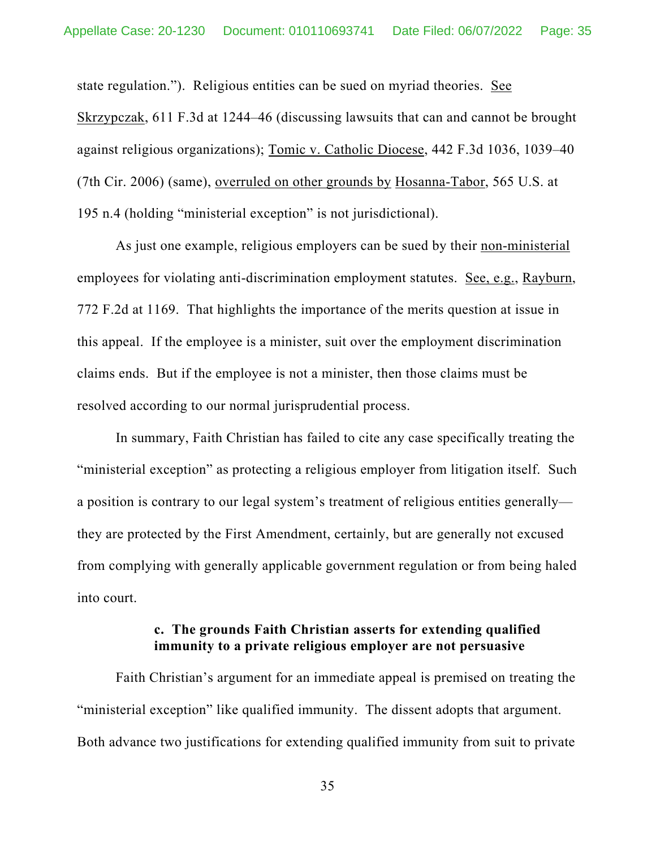state regulation."). Religious entities can be sued on myriad theories. See Skrzypczak, 611 F.3d at 1244–46 (discussing lawsuits that can and cannot be brought against religious organizations); Tomic v. Catholic Diocese, 442 F.3d 1036, 1039–40 (7th Cir. 2006) (same), overruled on other grounds by Hosanna-Tabor, 565 U.S. at 195 n.4 (holding "ministerial exception" is not jurisdictional).

As just one example, religious employers can be sued by their non-ministerial employees for violating anti-discrimination employment statutes. See, e.g., Rayburn, 772 F.2d at 1169. That highlights the importance of the merits question at issue in this appeal. If the employee is a minister, suit over the employment discrimination claims ends. But if the employee is not a minister, then those claims must be resolved according to our normal jurisprudential process.

In summary, Faith Christian has failed to cite any case specifically treating the "ministerial exception" as protecting a religious employer from litigation itself. Such a position is contrary to our legal system's treatment of religious entities generally they are protected by the First Amendment, certainly, but are generally not excused from complying with generally applicable government regulation or from being haled into court.

#### **c. The grounds Faith Christian asserts for extending qualified immunity to a private religious employer are not persuasive**

Faith Christian's argument for an immediate appeal is premised on treating the "ministerial exception" like qualified immunity. The dissent adopts that argument. Both advance two justifications for extending qualified immunity from suit to private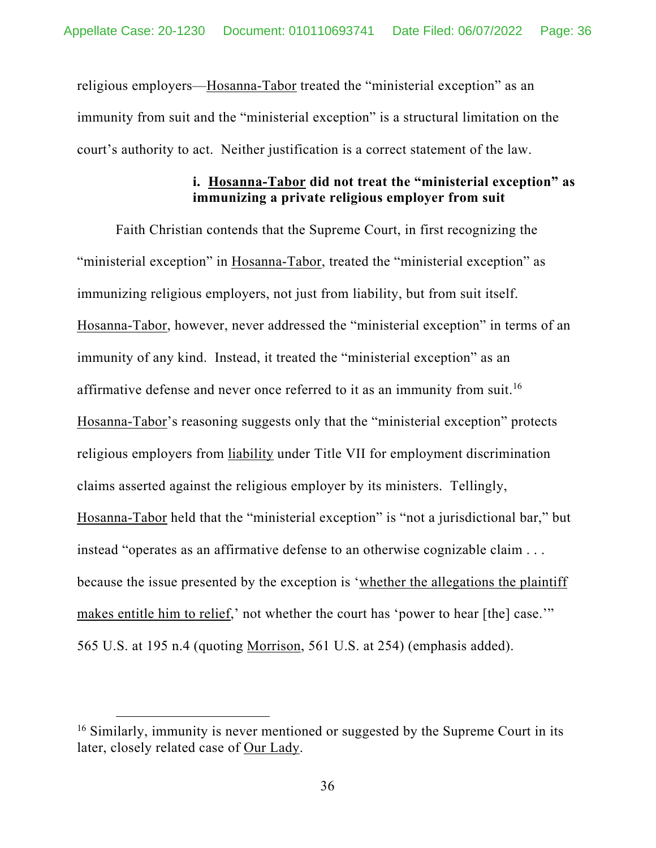religious employers—Hosanna-Tabor treated the "ministerial exception" as an immunity from suit and the "ministerial exception" is a structural limitation on the court's authority to act. Neither justification is a correct statement of the law.

## **i. Hosanna-Tabor did not treat the "ministerial exception" as immunizing a private religious employer from suit**

Faith Christian contends that the Supreme Court, in first recognizing the "ministerial exception" in Hosanna-Tabor, treated the "ministerial exception" as immunizing religious employers, not just from liability, but from suit itself. Hosanna-Tabor, however, never addressed the "ministerial exception" in terms of an immunity of any kind. Instead, it treated the "ministerial exception" as an affirmative defense and never once referred to it as an immunity from suit.<sup>16</sup> Hosanna-Tabor's reasoning suggests only that the "ministerial exception" protects religious employers from liability under Title VII for employment discrimination claims asserted against the religious employer by its ministers. Tellingly, Hosanna-Tabor held that the "ministerial exception" is "not a jurisdictional bar," but instead "operates as an affirmative defense to an otherwise cognizable claim . . . because the issue presented by the exception is 'whether the allegations the plaintiff makes entitle him to relief,' not whether the court has 'power to hear [the] case.'" 565 U.S. at 195 n.4 (quoting Morrison, 561 U.S. at 254) (emphasis added).

 $16$  Similarly, immunity is never mentioned or suggested by the Supreme Court in its later, closely related case of Our Lady.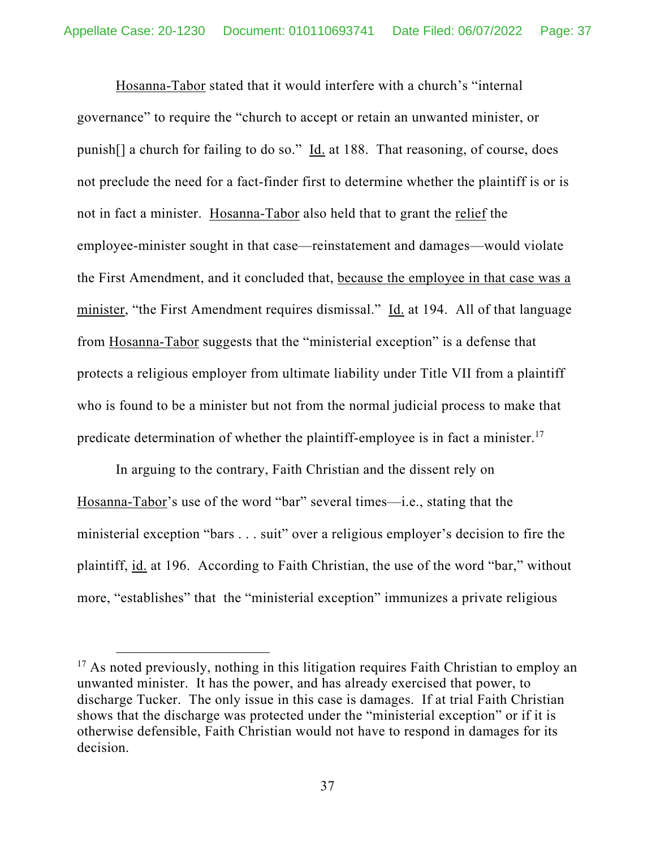Hosanna-Tabor stated that it would interfere with a church's "internal governance" to require the "church to accept or retain an unwanted minister, or punish[] a church for failing to do so." Id. at 188. That reasoning, of course, does not preclude the need for a fact-finder first to determine whether the plaintiff is or is not in fact a minister. Hosanna-Tabor also held that to grant the relief the employee-minister sought in that case—reinstatement and damages—would violate the First Amendment, and it concluded that, because the employee in that case was a minister, "the First Amendment requires dismissal." Id. at 194. All of that language from Hosanna-Tabor suggests that the "ministerial exception" is a defense that protects a religious employer from ultimate liability under Title VII from a plaintiff who is found to be a minister but not from the normal judicial process to make that predicate determination of whether the plaintiff-employee is in fact a minister.17

In arguing to the contrary, Faith Christian and the dissent rely on Hosanna-Tabor's use of the word "bar" several times—i.e., stating that the ministerial exception "bars . . . suit" over a religious employer's decision to fire the plaintiff, id. at 196. According to Faith Christian, the use of the word "bar," without more, "establishes" that the "ministerial exception" immunizes a private religious

<sup>&</sup>lt;sup>17</sup> As noted previously, nothing in this litigation requires Faith Christian to employ an unwanted minister. It has the power, and has already exercised that power, to discharge Tucker. The only issue in this case is damages. If at trial Faith Christian shows that the discharge was protected under the "ministerial exception" or if it is otherwise defensible, Faith Christian would not have to respond in damages for its decision.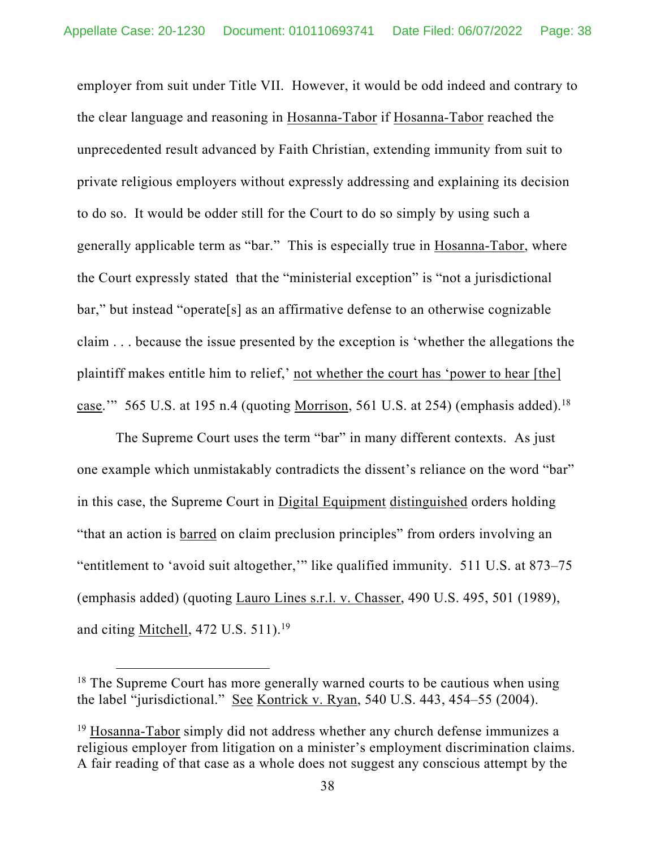employer from suit under Title VII. However, it would be odd indeed and contrary to the clear language and reasoning in Hosanna-Tabor if Hosanna-Tabor reached the unprecedented result advanced by Faith Christian, extending immunity from suit to private religious employers without expressly addressing and explaining its decision to do so. It would be odder still for the Court to do so simply by using such a generally applicable term as "bar." This is especially true in Hosanna-Tabor, where the Court expressly stated that the "ministerial exception" is "not a jurisdictional bar," but instead "operate[s] as an affirmative defense to an otherwise cognizable claim . . . because the issue presented by the exception is 'whether the allegations the plaintiff makes entitle him to relief,' not whether the court has 'power to hear [the] case." 565 U.S. at 195 n.4 (quoting Morrison, 561 U.S. at 254) (emphasis added).<sup>18</sup>

The Supreme Court uses the term "bar" in many different contexts. As just one example which unmistakably contradicts the dissent's reliance on the word "bar" in this case, the Supreme Court in Digital Equipment distinguished orders holding "that an action is barred on claim preclusion principles" from orders involving an "entitlement to 'avoid suit altogether,'" like qualified immunity. 511 U.S. at 873–75 (emphasis added) (quoting Lauro Lines s.r.l. v. Chasser, 490 U.S. 495, 501 (1989), and citing Mitchell, 472 U.S. 511).<sup>19</sup>

<sup>&</sup>lt;sup>18</sup> The Supreme Court has more generally warned courts to be cautious when using the label "jurisdictional." See Kontrick v. Ryan, 540 U.S. 443, 454–55 (2004).

<sup>&</sup>lt;sup>19</sup> Hosanna-Tabor simply did not address whether any church defense immunizes a religious employer from litigation on a minister's employment discrimination claims. A fair reading of that case as a whole does not suggest any conscious attempt by the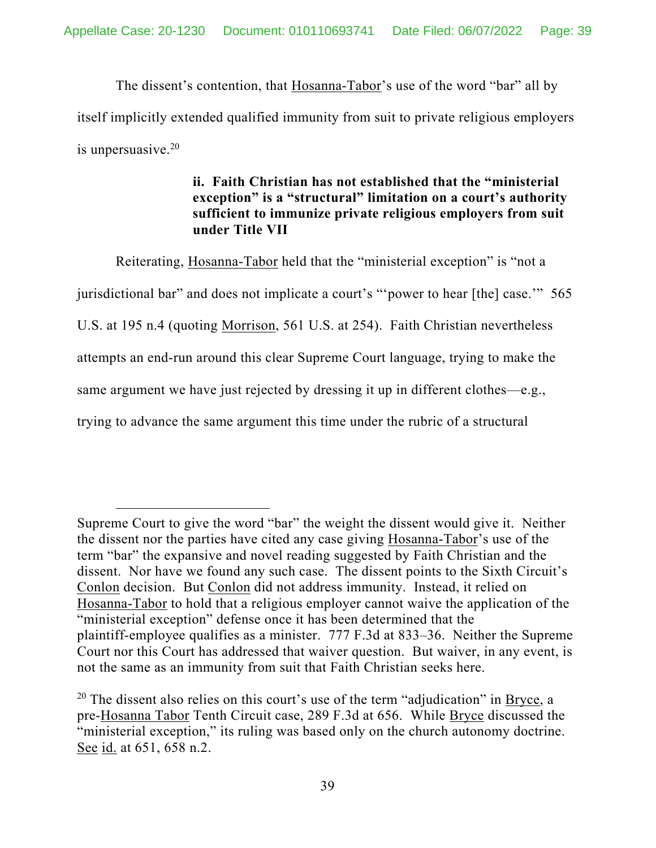The dissent's contention, that Hosanna-Tabor's use of the word "bar" all by itself implicitly extended qualified immunity from suit to private religious employers is unpersuasive.20

# **ii. Faith Christian has not established that the "ministerial exception" is a "structural" limitation on a court's authority sufficient to immunize private religious employers from suit under Title VII**

 Reiterating, Hosanna-Tabor held that the "ministerial exception" is "not a jurisdictional bar" and does not implicate a court's "'power to hear [the] case.'" 565 U.S. at 195 n.4 (quoting Morrison, 561 U.S. at 254). Faith Christian nevertheless attempts an end-run around this clear Supreme Court language, trying to make the same argument we have just rejected by dressing it up in different clothes—e.g., trying to advance the same argument this time under the rubric of a structural

Supreme Court to give the word "bar" the weight the dissent would give it. Neither the dissent nor the parties have cited any case giving Hosanna-Tabor's use of the term "bar" the expansive and novel reading suggested by Faith Christian and the dissent. Nor have we found any such case. The dissent points to the Sixth Circuit's Conlon decision. But Conlon did not address immunity. Instead, it relied on Hosanna-Tabor to hold that a religious employer cannot waive the application of the "ministerial exception" defense once it has been determined that the plaintiff-employee qualifies as a minister. 777 F.3d at 833–36. Neither the Supreme Court nor this Court has addressed that waiver question. But waiver, in any event, is not the same as an immunity from suit that Faith Christian seeks here.

<sup>&</sup>lt;sup>20</sup> The dissent also relies on this court's use of the term "adjudication" in Bryce, a pre-Hosanna Tabor Tenth Circuit case, 289 F.3d at 656. While Bryce discussed the "ministerial exception," its ruling was based only on the church autonomy doctrine. See id. at 651, 658 n.2.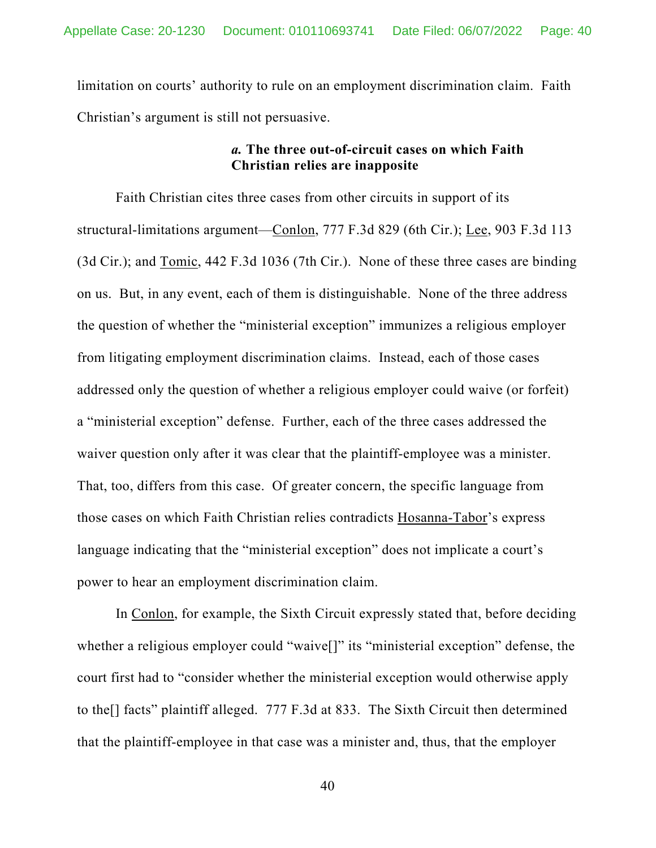limitation on courts' authority to rule on an employment discrimination claim. Faith Christian's argument is still not persuasive.

### *a.* **The three out-of-circuit cases on which Faith Christian relies are inapposite**

Faith Christian cites three cases from other circuits in support of its structural-limitations argument—Conlon, 777 F.3d 829 (6th Cir.); Lee, 903 F.3d 113 (3d Cir.); and Tomic, 442 F.3d 1036 (7th Cir.). None of these three cases are binding on us. But, in any event, each of them is distinguishable. None of the three address the question of whether the "ministerial exception" immunizes a religious employer from litigating employment discrimination claims. Instead, each of those cases addressed only the question of whether a religious employer could waive (or forfeit) a "ministerial exception" defense. Further, each of the three cases addressed the waiver question only after it was clear that the plaintiff-employee was a minister. That, too, differs from this case. Of greater concern, the specific language from those cases on which Faith Christian relies contradicts Hosanna-Tabor's express language indicating that the "ministerial exception" does not implicate a court's power to hear an employment discrimination claim.

 In Conlon, for example, the Sixth Circuit expressly stated that, before deciding whether a religious employer could "waive[]" its "ministerial exception" defense, the court first had to "consider whether the ministerial exception would otherwise apply to the[] facts" plaintiff alleged. 777 F.3d at 833. The Sixth Circuit then determined that the plaintiff-employee in that case was a minister and, thus, that the employer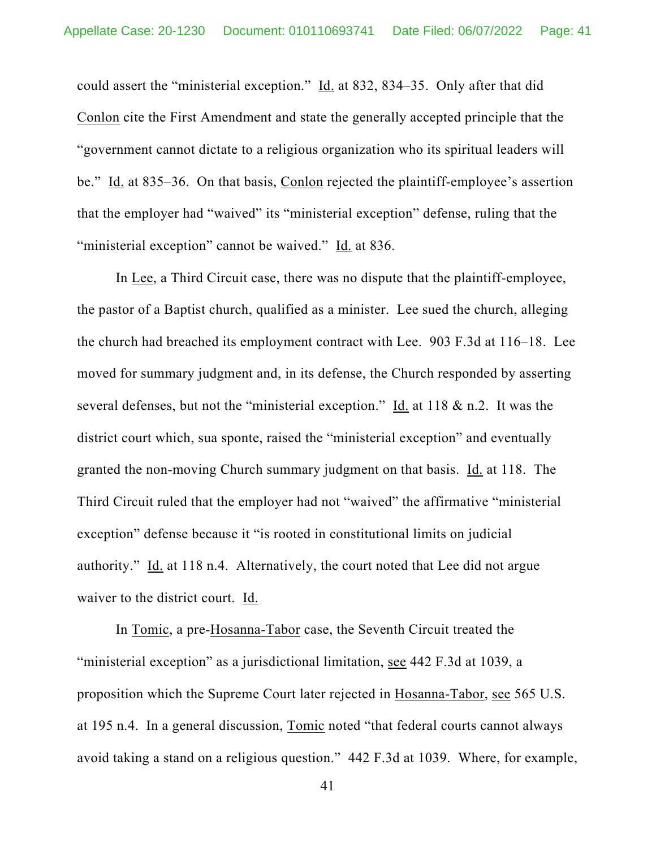could assert the "ministerial exception." Id. at 832, 834–35. Only after that did Conlon cite the First Amendment and state the generally accepted principle that the "government cannot dictate to a religious organization who its spiritual leaders will be." Id. at 835–36. On that basis, Conlon rejected the plaintiff-employee's assertion that the employer had "waived" its "ministerial exception" defense, ruling that the "ministerial exception" cannot be waived." Id. at 836.

 In Lee, a Third Circuit case, there was no dispute that the plaintiff-employee, the pastor of a Baptist church, qualified as a minister. Lee sued the church, alleging the church had breached its employment contract with Lee. 903 F.3d at 116–18. Lee moved for summary judgment and, in its defense, the Church responded by asserting several defenses, but not the "ministerial exception." Id. at 118  $\&$  n.2. It was the district court which, sua sponte, raised the "ministerial exception" and eventually granted the non-moving Church summary judgment on that basis. Id. at 118. The Third Circuit ruled that the employer had not "waived" the affirmative "ministerial exception" defense because it "is rooted in constitutional limits on judicial authority." Id. at 118 n.4. Alternatively, the court noted that Lee did not argue waiver to the district court. Id.

 In Tomic, a pre-Hosanna-Tabor case, the Seventh Circuit treated the "ministerial exception" as a jurisdictional limitation, see 442 F.3d at 1039, a proposition which the Supreme Court later rejected in Hosanna-Tabor, see 565 U.S. at 195 n.4. In a general discussion, Tomic noted "that federal courts cannot always avoid taking a stand on a religious question." 442 F.3d at 1039. Where, for example,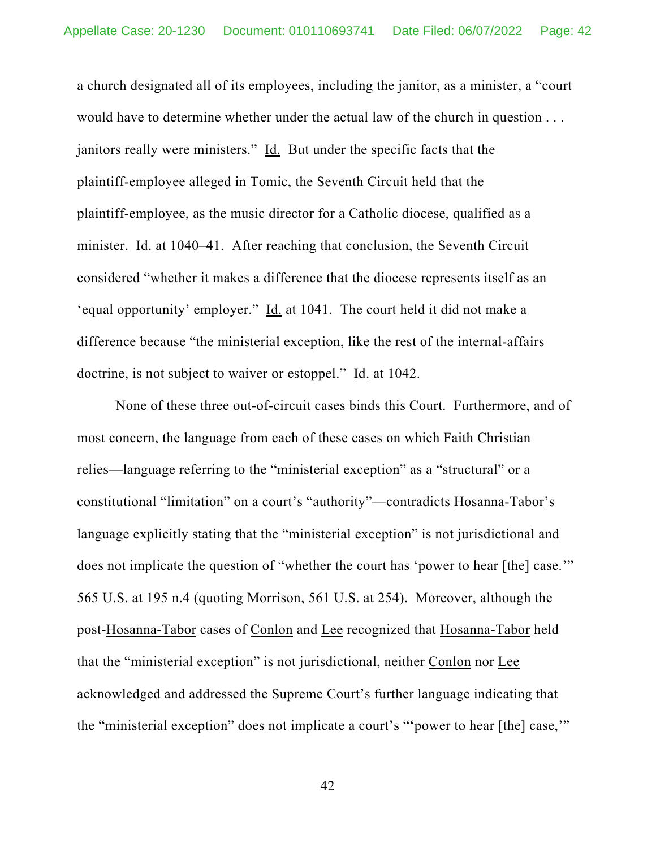a church designated all of its employees, including the janitor, as a minister, a "court would have to determine whether under the actual law of the church in question . . . janitors really were ministers." Id. But under the specific facts that the plaintiff-employee alleged in Tomic, the Seventh Circuit held that the plaintiff-employee, as the music director for a Catholic diocese, qualified as a minister. Id. at 1040–41. After reaching that conclusion, the Seventh Circuit considered "whether it makes a difference that the diocese represents itself as an 'equal opportunity' employer." Id. at 1041. The court held it did not make a difference because "the ministerial exception, like the rest of the internal-affairs doctrine, is not subject to waiver or estoppel." Id. at 1042.

 None of these three out-of-circuit cases binds this Court. Furthermore, and of most concern, the language from each of these cases on which Faith Christian relies—language referring to the "ministerial exception" as a "structural" or a constitutional "limitation" on a court's "authority"—contradicts Hosanna-Tabor's language explicitly stating that the "ministerial exception" is not jurisdictional and does not implicate the question of "whether the court has 'power to hear [the] case.'" 565 U.S. at 195 n.4 (quoting Morrison, 561 U.S. at 254). Moreover, although the post-Hosanna-Tabor cases of Conlon and Lee recognized that Hosanna-Tabor held that the "ministerial exception" is not jurisdictional, neither Conlon nor Lee acknowledged and addressed the Supreme Court's further language indicating that the "ministerial exception" does not implicate a court's "'power to hear [the] case,'"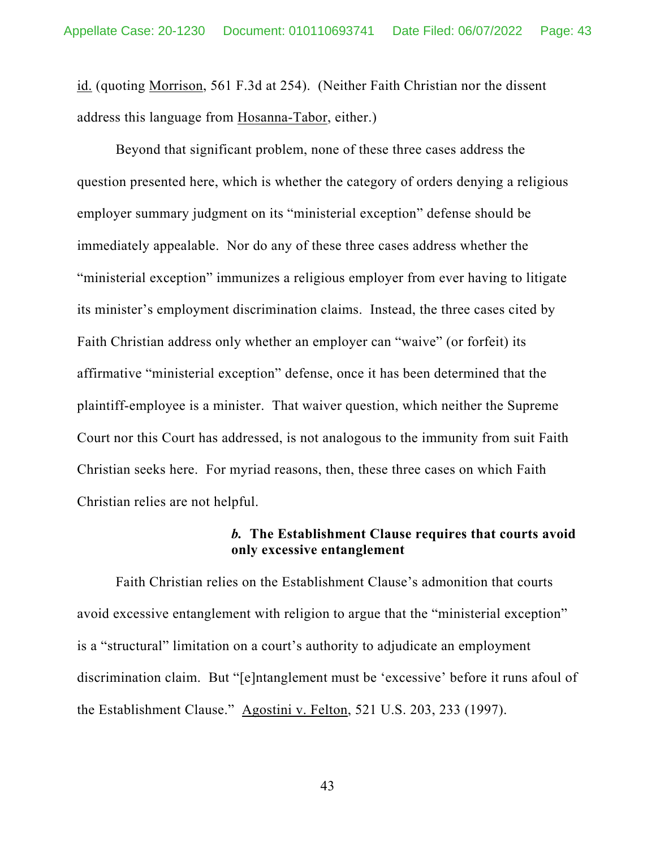id. (quoting Morrison, 561 F.3d at 254). (Neither Faith Christian nor the dissent address this language from Hosanna-Tabor, either.)

Beyond that significant problem, none of these three cases address the question presented here, which is whether the category of orders denying a religious employer summary judgment on its "ministerial exception" defense should be immediately appealable. Nor do any of these three cases address whether the "ministerial exception" immunizes a religious employer from ever having to litigate its minister's employment discrimination claims. Instead, the three cases cited by Faith Christian address only whether an employer can "waive" (or forfeit) its affirmative "ministerial exception" defense, once it has been determined that the plaintiff-employee is a minister. That waiver question, which neither the Supreme Court nor this Court has addressed, is not analogous to the immunity from suit Faith Christian seeks here. For myriad reasons, then, these three cases on which Faith Christian relies are not helpful.

### *b.* **The Establishment Clause requires that courts avoid only excessive entanglement**

 Faith Christian relies on the Establishment Clause's admonition that courts avoid excessive entanglement with religion to argue that the "ministerial exception" is a "structural" limitation on a court's authority to adjudicate an employment discrimination claim. But "[e]ntanglement must be 'excessive' before it runs afoul of the Establishment Clause." Agostini v. Felton, 521 U.S. 203, 233 (1997).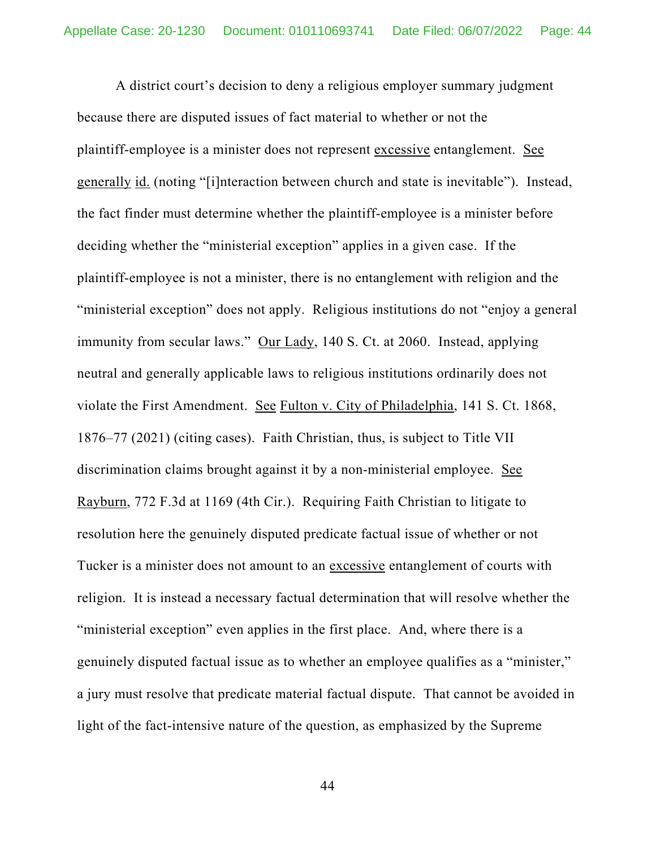A district court's decision to deny a religious employer summary judgment because there are disputed issues of fact material to whether or not the plaintiff-employee is a minister does not represent excessive entanglement. See generally id. (noting "[i]nteraction between church and state is inevitable"). Instead, the fact finder must determine whether the plaintiff-employee is a minister before deciding whether the "ministerial exception" applies in a given case. If the plaintiff-employee is not a minister, there is no entanglement with religion and the "ministerial exception" does not apply. Religious institutions do not "enjoy a general immunity from secular laws." Our Lady, 140 S. Ct. at 2060. Instead, applying neutral and generally applicable laws to religious institutions ordinarily does not violate the First Amendment. See Fulton v. City of Philadelphia, 141 S. Ct. 1868, 1876–77 (2021) (citing cases). Faith Christian, thus, is subject to Title VII discrimination claims brought against it by a non-ministerial employee. See Rayburn, 772 F.3d at 1169 (4th Cir.). Requiring Faith Christian to litigate to resolution here the genuinely disputed predicate factual issue of whether or not Tucker is a minister does not amount to an excessive entanglement of courts with religion. It is instead a necessary factual determination that will resolve whether the "ministerial exception" even applies in the first place. And, where there is a genuinely disputed factual issue as to whether an employee qualifies as a "minister," a jury must resolve that predicate material factual dispute. That cannot be avoided in light of the fact-intensive nature of the question, as emphasized by the Supreme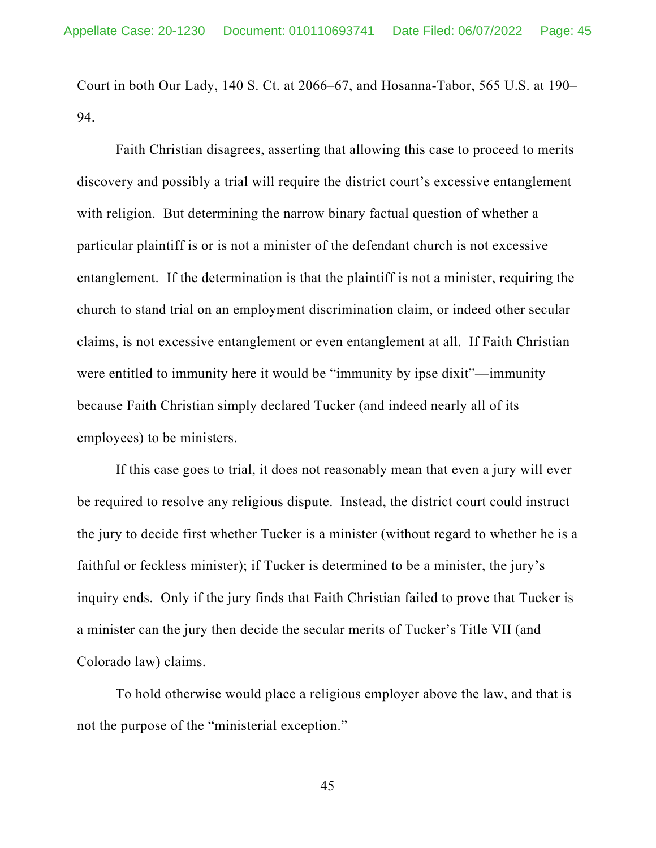Court in both Our Lady, 140 S. Ct. at 2066–67, and Hosanna-Tabor, 565 U.S. at 190– 94.

 Faith Christian disagrees, asserting that allowing this case to proceed to merits discovery and possibly a trial will require the district court's excessive entanglement with religion. But determining the narrow binary factual question of whether a particular plaintiff is or is not a minister of the defendant church is not excessive entanglement. If the determination is that the plaintiff is not a minister, requiring the church to stand trial on an employment discrimination claim, or indeed other secular claims, is not excessive entanglement or even entanglement at all. If Faith Christian were entitled to immunity here it would be "immunity by ipse dixit"—immunity because Faith Christian simply declared Tucker (and indeed nearly all of its employees) to be ministers.

If this case goes to trial, it does not reasonably mean that even a jury will ever be required to resolve any religious dispute. Instead, the district court could instruct the jury to decide first whether Tucker is a minister (without regard to whether he is a faithful or feckless minister); if Tucker is determined to be a minister, the jury's inquiry ends. Only if the jury finds that Faith Christian failed to prove that Tucker is a minister can the jury then decide the secular merits of Tucker's Title VII (and Colorado law) claims.

 To hold otherwise would place a religious employer above the law, and that is not the purpose of the "ministerial exception."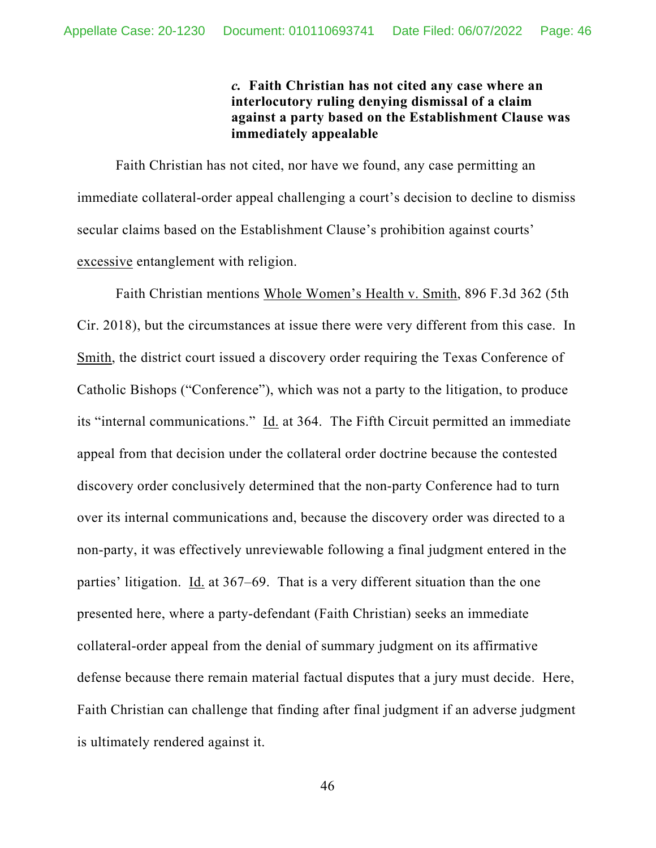*c.* **Faith Christian has not cited any case where an interlocutory ruling denying dismissal of a claim against a party based on the Establishment Clause was immediately appealable** 

 Faith Christian has not cited, nor have we found, any case permitting an immediate collateral-order appeal challenging a court's decision to decline to dismiss secular claims based on the Establishment Clause's prohibition against courts' excessive entanglement with religion.

 Faith Christian mentions Whole Women's Health v. Smith, 896 F.3d 362 (5th Cir. 2018), but the circumstances at issue there were very different from this case. In Smith, the district court issued a discovery order requiring the Texas Conference of Catholic Bishops ("Conference"), which was not a party to the litigation, to produce its "internal communications." Id. at 364. The Fifth Circuit permitted an immediate appeal from that decision under the collateral order doctrine because the contested discovery order conclusively determined that the non-party Conference had to turn over its internal communications and, because the discovery order was directed to a non-party, it was effectively unreviewable following a final judgment entered in the parties' litigation. Id. at 367–69. That is a very different situation than the one presented here, where a party-defendant (Faith Christian) seeks an immediate collateral-order appeal from the denial of summary judgment on its affirmative defense because there remain material factual disputes that a jury must decide. Here, Faith Christian can challenge that finding after final judgment if an adverse judgment is ultimately rendered against it.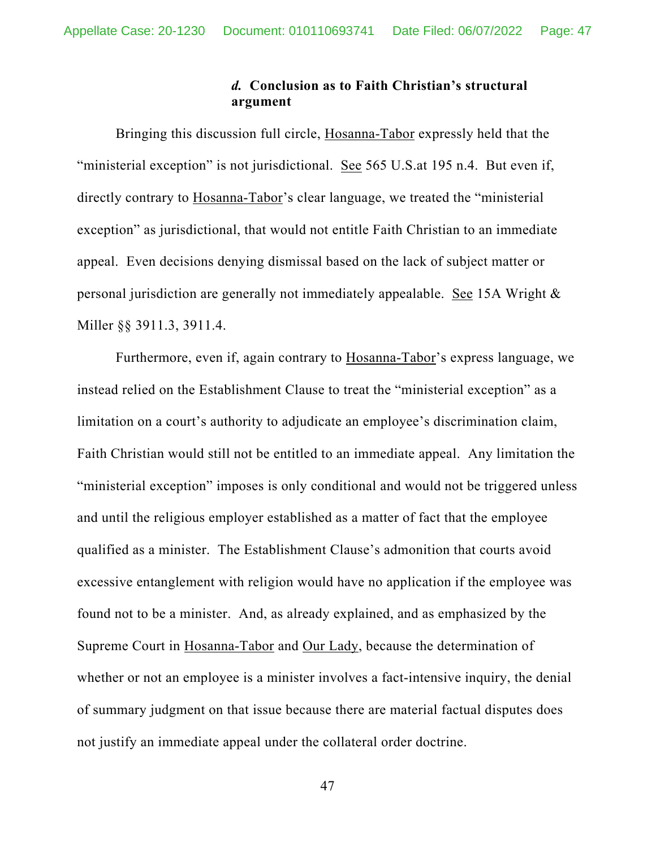### *d.* **Conclusion as to Faith Christian's structural argument**

 Bringing this discussion full circle, Hosanna-Tabor expressly held that the "ministerial exception" is not jurisdictional. See 565 U.S.at 195 n.4. But even if, directly contrary to Hosanna-Tabor's clear language, we treated the "ministerial" exception" as jurisdictional, that would not entitle Faith Christian to an immediate appeal. Even decisions denying dismissal based on the lack of subject matter or personal jurisdiction are generally not immediately appealable. See 15A Wright & Miller §§ 3911.3, 3911.4.

Furthermore, even if, again contrary to Hosanna-Tabor's express language, we instead relied on the Establishment Clause to treat the "ministerial exception" as a limitation on a court's authority to adjudicate an employee's discrimination claim, Faith Christian would still not be entitled to an immediate appeal. Any limitation the "ministerial exception" imposes is only conditional and would not be triggered unless and until the religious employer established as a matter of fact that the employee qualified as a minister. The Establishment Clause's admonition that courts avoid excessive entanglement with religion would have no application if the employee was found not to be a minister. And, as already explained, and as emphasized by the Supreme Court in Hosanna-Tabor and Our Lady, because the determination of whether or not an employee is a minister involves a fact-intensive inquiry, the denial of summary judgment on that issue because there are material factual disputes does not justify an immediate appeal under the collateral order doctrine.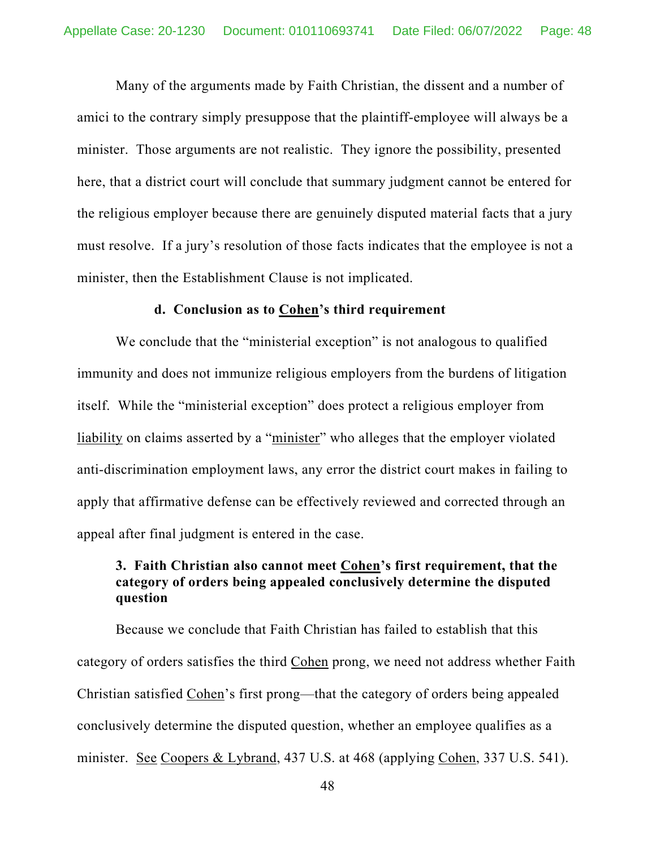Many of the arguments made by Faith Christian, the dissent and a number of amici to the contrary simply presuppose that the plaintiff-employee will always be a minister. Those arguments are not realistic. They ignore the possibility, presented here, that a district court will conclude that summary judgment cannot be entered for the religious employer because there are genuinely disputed material facts that a jury must resolve. If a jury's resolution of those facts indicates that the employee is not a minister, then the Establishment Clause is not implicated.

#### **d. Conclusion as to Cohen's third requirement**

We conclude that the "ministerial exception" is not analogous to qualified immunity and does not immunize religious employers from the burdens of litigation itself. While the "ministerial exception" does protect a religious employer from liability on claims asserted by a "minister" who alleges that the employer violated anti-discrimination employment laws, any error the district court makes in failing to apply that affirmative defense can be effectively reviewed and corrected through an appeal after final judgment is entered in the case.

## **3. Faith Christian also cannot meet Cohen's first requirement, that the category of orders being appealed conclusively determine the disputed question**

Because we conclude that Faith Christian has failed to establish that this category of orders satisfies the third Cohen prong, we need not address whether Faith Christian satisfied Cohen's first prong—that the category of orders being appealed conclusively determine the disputed question, whether an employee qualifies as a minister. See Coopers & Lybrand, 437 U.S. at 468 (applying Cohen, 337 U.S. 541).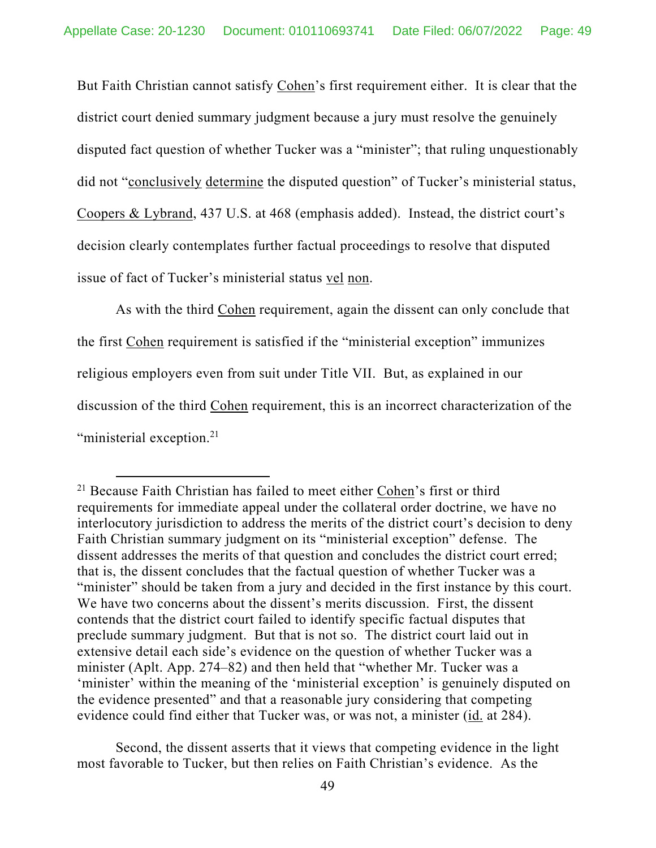But Faith Christian cannot satisfy Cohen's first requirement either. It is clear that the district court denied summary judgment because a jury must resolve the genuinely disputed fact question of whether Tucker was a "minister"; that ruling unquestionably did not "conclusively determine the disputed question" of Tucker's ministerial status, Coopers & Lybrand, 437 U.S. at 468 (emphasis added). Instead, the district court's decision clearly contemplates further factual proceedings to resolve that disputed issue of fact of Tucker's ministerial status vel non.

As with the third Cohen requirement, again the dissent can only conclude that the first Cohen requirement is satisfied if the "ministerial exception" immunizes religious employers even from suit under Title VII. But, as explained in our discussion of the third Cohen requirement, this is an incorrect characterization of the "ministerial exception.<sup>21</sup>

 Second, the dissent asserts that it views that competing evidence in the light most favorable to Tucker, but then relies on Faith Christian's evidence. As the

 $21$  Because Faith Christian has failed to meet either Cohen's first or third requirements for immediate appeal under the collateral order doctrine, we have no interlocutory jurisdiction to address the merits of the district court's decision to deny Faith Christian summary judgment on its "ministerial exception" defense. The dissent addresses the merits of that question and concludes the district court erred; that is, the dissent concludes that the factual question of whether Tucker was a "minister" should be taken from a jury and decided in the first instance by this court. We have two concerns about the dissent's merits discussion. First, the dissent contends that the district court failed to identify specific factual disputes that preclude summary judgment. But that is not so. The district court laid out in extensive detail each side's evidence on the question of whether Tucker was a minister (Aplt. App. 274–82) and then held that "whether Mr. Tucker was a 'minister' within the meaning of the 'ministerial exception' is genuinely disputed on the evidence presented" and that a reasonable jury considering that competing evidence could find either that Tucker was, or was not, a minister (id. at 284).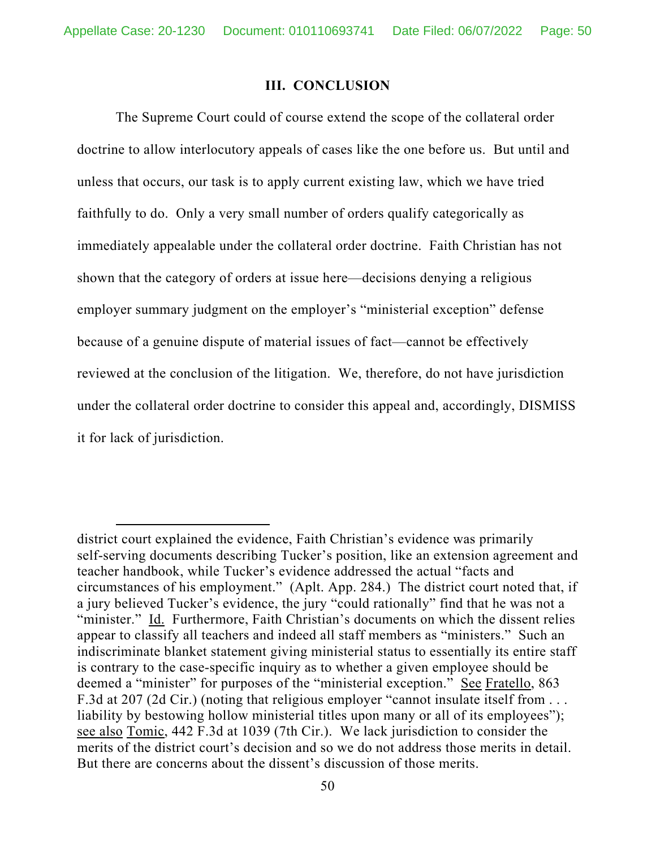#### **III. CONCLUSION**

The Supreme Court could of course extend the scope of the collateral order doctrine to allow interlocutory appeals of cases like the one before us. But until and unless that occurs, our task is to apply current existing law, which we have tried faithfully to do. Only a very small number of orders qualify categorically as immediately appealable under the collateral order doctrine. Faith Christian has not shown that the category of orders at issue here—decisions denying a religious employer summary judgment on the employer's "ministerial exception" defense because of a genuine dispute of material issues of fact—cannot be effectively reviewed at the conclusion of the litigation. We, therefore, do not have jurisdiction under the collateral order doctrine to consider this appeal and, accordingly, DISMISS it for lack of jurisdiction.

district court explained the evidence, Faith Christian's evidence was primarily self-serving documents describing Tucker's position, like an extension agreement and teacher handbook, while Tucker's evidence addressed the actual "facts and circumstances of his employment." (Aplt. App. 284.) The district court noted that, if a jury believed Tucker's evidence, the jury "could rationally" find that he was not a "minister." Id. Furthermore, Faith Christian's documents on which the dissent relies appear to classify all teachers and indeed all staff members as "ministers." Such an indiscriminate blanket statement giving ministerial status to essentially its entire staff is contrary to the case-specific inquiry as to whether a given employee should be deemed a "minister" for purposes of the "ministerial exception." See Fratello, 863 F.3d at 207 (2d Cir.) (noting that religious employer "cannot insulate itself from . . . liability by bestowing hollow ministerial titles upon many or all of its employees"); see also Tomic, 442 F.3d at 1039 (7th Cir.). We lack jurisdiction to consider the merits of the district court's decision and so we do not address those merits in detail. But there are concerns about the dissent's discussion of those merits.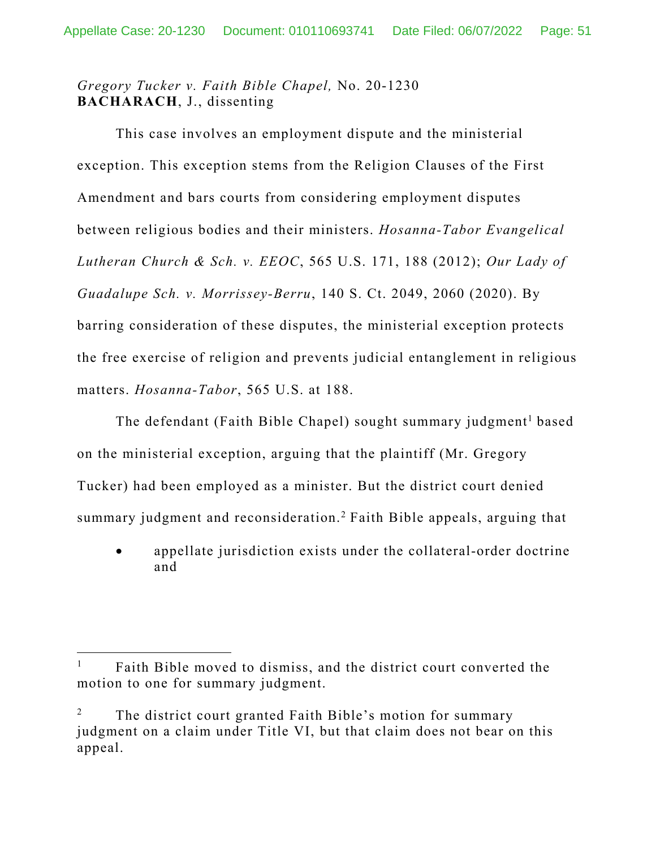# *Gregory Tucker v. Faith Bible Chapel,* No. 20-1230 **BACHARACH**, J., dissenting

This case involves an employment dispute and the ministerial exception. This exception stems from the Religion Clauses of the First Amendment and bars courts from considering employment disputes between religious bodies and their ministers. *Hosanna-Tabor Evangelical Lutheran Church & Sch. v. EEOC*, 565 U.S. 171, 188 (2012); *Our Lady of Guadalupe Sch. v. Morrissey-Berru*, 140 S. Ct. 2049, 2060 (2020). By barring consideration of these disputes, the ministerial exception protects the free exercise of religion and prevents judicial entanglement in religious matters. *Hosanna-Tabor*, 565 U.S. at 188.

The defendant (Faith Bible Chapel) sought summary judgment<sup>1</sup> based on the ministerial exception, arguing that the plaintiff (Mr. Gregory Tucker) had been employed as a minister. But the district court denied summary judgment and reconsideration.<sup>2</sup> Faith Bible appeals, arguing that

 appellate jurisdiction exists under the collateral-order doctrine and

<sup>1</sup> Faith Bible moved to dismiss, and the district court converted the motion to one for summary judgment.

<sup>2</sup> The district court granted Faith Bible's motion for summary judgment on a claim under Title VI, but that claim does not bear on this appeal.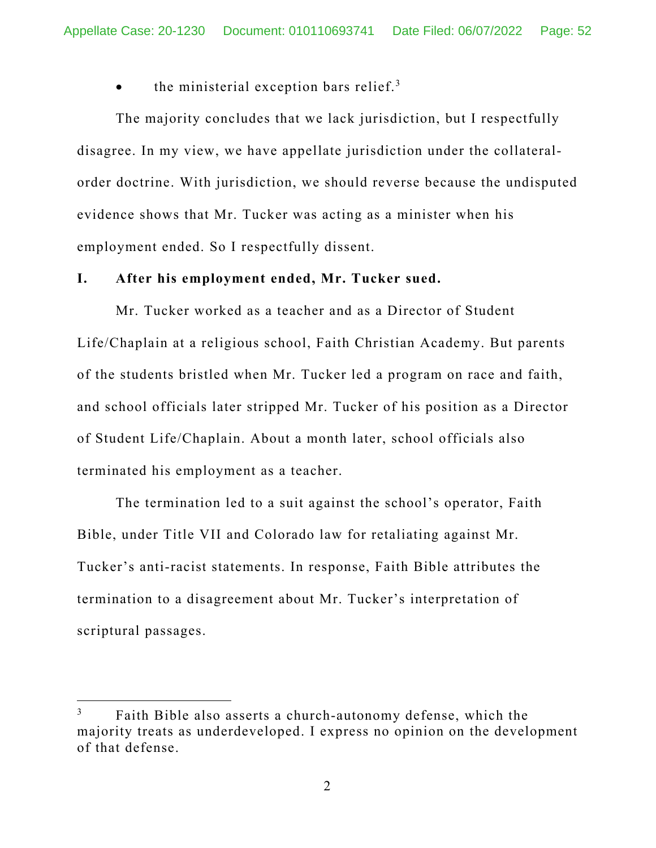$\bullet$  the ministerial exception bars relief.<sup>3</sup>

The majority concludes that we lack jurisdiction, but I respectfully disagree. In my view, we have appellate jurisdiction under the collateralorder doctrine. With jurisdiction, we should reverse because the undisputed evidence shows that Mr. Tucker was acting as a minister when his employment ended. So I respectfully dissent.

### **I. After his employment ended, Mr. Tucker sued.**

Mr. Tucker worked as a teacher and as a Director of Student Life/Chaplain at a religious school, Faith Christian Academy. But parents of the students bristled when Mr. Tucker led a program on race and faith, and school officials later stripped Mr. Tucker of his position as a Director of Student Life/Chaplain. About a month later, school officials also terminated his employment as a teacher.

The termination led to a suit against the school's operator, Faith Bible, under Title VII and Colorado law for retaliating against Mr. Tucker's anti-racist statements. In response, Faith Bible attributes the termination to a disagreement about Mr. Tucker's interpretation of scriptural passages.

<sup>3</sup> Faith Bible also asserts a church-autonomy defense, which the majority treats as underdeveloped. I express no opinion on the development of that defense.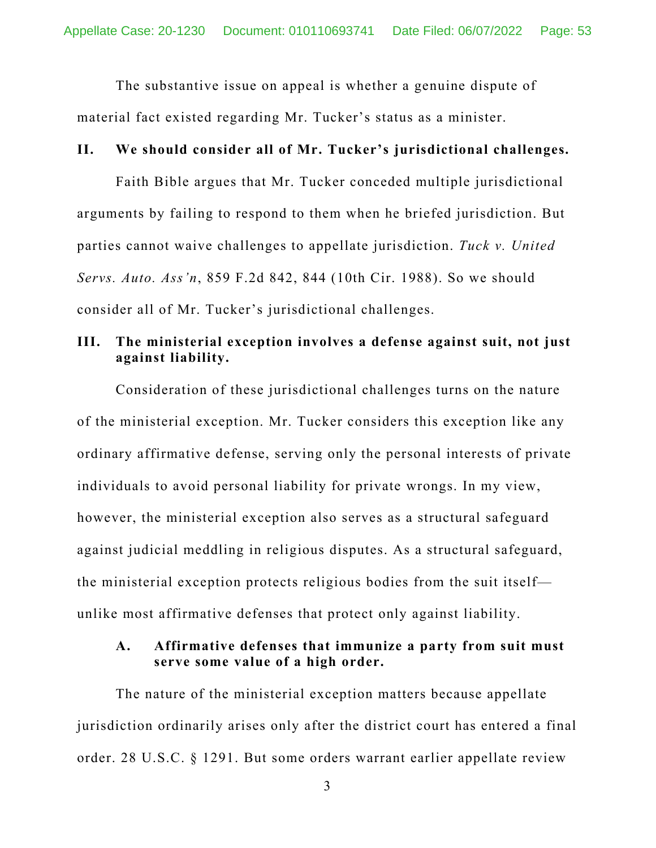The substantive issue on appeal is whether a genuine dispute of material fact existed regarding Mr. Tucker's status as a minister.

### **II. We should consider all of Mr. Tucker's jurisdictional challenges.**

Faith Bible argues that Mr. Tucker conceded multiple jurisdictional arguments by failing to respond to them when he briefed jurisdiction. But parties cannot waive challenges to appellate jurisdiction. *Tuck v. United Servs. Auto. Ass'n*, 859 F.2d 842, 844 (10th Cir. 1988). So we should consider all of Mr. Tucker's jurisdictional challenges.

## **III. The ministerial exception involves a defense against suit, not just against liability.**

Consideration of these jurisdictional challenges turns on the nature of the ministerial exception. Mr. Tucker considers this exception like any ordinary affirmative defense, serving only the personal interests of private individuals to avoid personal liability for private wrongs. In my view, however, the ministerial exception also serves as a structural safeguard against judicial meddling in religious disputes. As a structural safeguard, the ministerial exception protects religious bodies from the suit itself unlike most affirmative defenses that protect only against liability.

## **A. Affirmative defenses that immunize a party from suit must serve some value of a high order.**

The nature of the ministerial exception matters because appellate jurisdiction ordinarily arises only after the district court has entered a final order. 28 U.S.C. § 1291. But some orders warrant earlier appellate review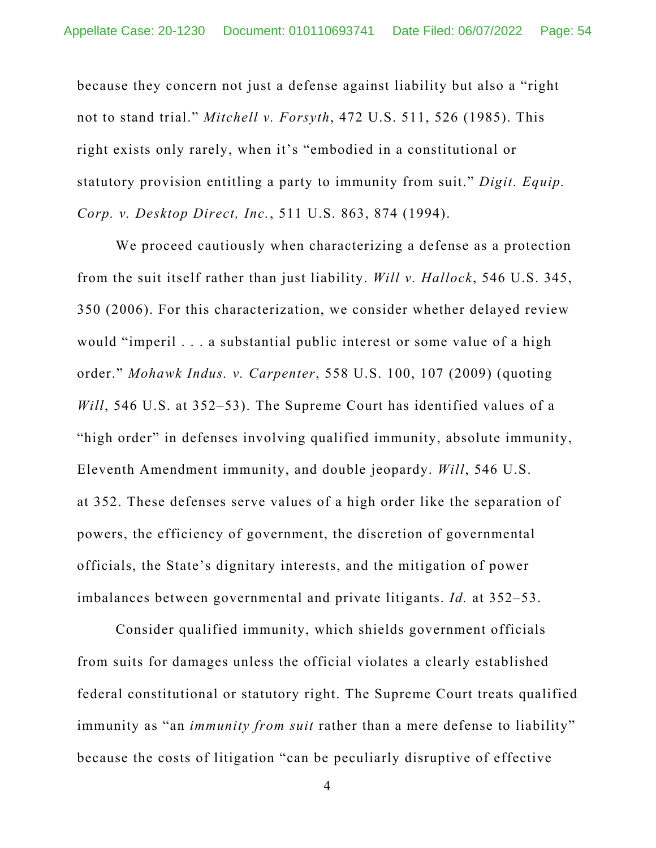because they concern not just a defense against liability but also a "right not to stand trial." *Mitchell v. Forsyth*, 472 U.S. 511, 526 (1985). This right exists only rarely, when it's "embodied in a constitutional or statutory provision entitling a party to immunity from suit." *Digit. Equip. Corp. v. Desktop Direct, Inc.*, 511 U.S. 863, 874 (1994).

 We proceed cautiously when characterizing a defense as a protection from the suit itself rather than just liability. *Will v. Hallock*, 546 U.S. 345, 350 (2006). For this characterization, we consider whether delayed review would "imperil . . . a substantial public interest or some value of a high order." *Mohawk Indus. v. Carpenter*, 558 U.S. 100, 107 (2009) (quoting *Will*, 546 U.S. at 352–53). The Supreme Court has identified values of a "high order" in defenses involving qualified immunity, absolute immunity, Eleventh Amendment immunity, and double jeopardy. *Will*, 546 U.S. at 352. These defenses serve values of a high order like the separation of powers, the efficiency of government, the discretion of governmental officials, the State's dignitary interests, and the mitigation of power imbalances between governmental and private litigants. *Id.* at 352–53.

 Consider qualified immunity, which shields government officials from suits for damages unless the official violates a clearly established federal constitutional or statutory right. The Supreme Court treats qualified immunity as "an *immunity from suit* rather than a mere defense to liability" because the costs of litigation "can be peculiarly disruptive of effective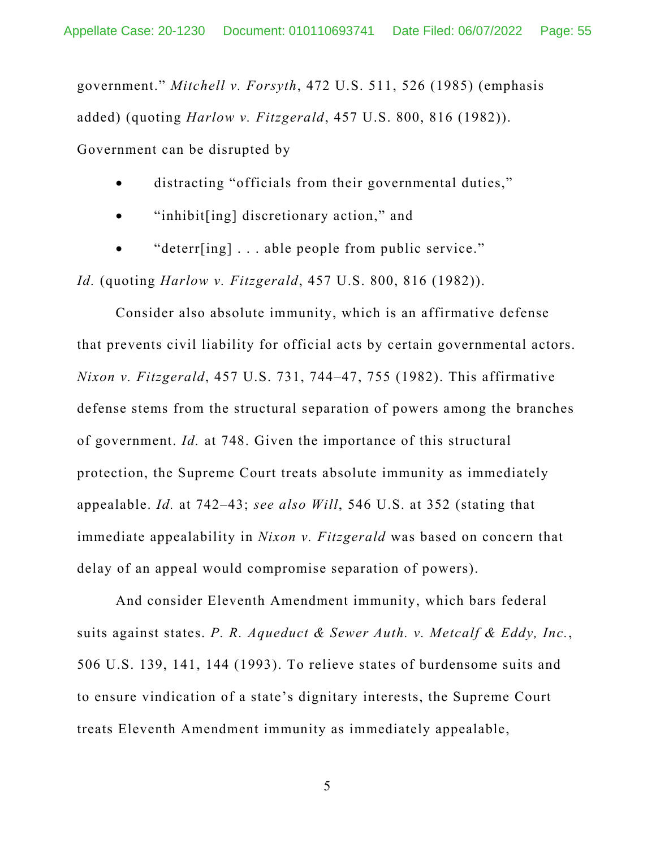government." *Mitchell v. Forsyth*, 472 U.S. 511, 526 (1985) (emphasis added) (quoting *Harlow v. Fitzgerald*, 457 U.S. 800, 816 (1982)). Government can be disrupted by

distracting "officials from their governmental duties,"

- "inhibit[ing] discretionary action," and
- "deterr[ing] . . . able people from public service."

*Id.* (quoting *Harlow v. Fitzgerald*, 457 U.S. 800, 816 (1982)).

Consider also absolute immunity, which is an affirmative defense that prevents civil liability for official acts by certain governmental actors. *Nixon v. Fitzgerald*, 457 U.S. 731, 744–47, 755 (1982). This affirmative defense stems from the structural separation of powers among the branches of government. *Id.* at 748. Given the importance of this structural protection, the Supreme Court treats absolute immunity as immediately appealable. *Id.* at 742–43; *see also Will*, 546 U.S. at 352 (stating that immediate appealability in *Nixon v. Fitzgerald* was based on concern that delay of an appeal would compromise separation of powers).

 And consider Eleventh Amendment immunity, which bars federal suits against states. *P. R. Aqueduct & Sewer Auth. v. Metcalf & Eddy, Inc.*, 506 U.S. 139, 141, 144 (1993). To relieve states of burdensome suits and to ensure vindication of a state's dignitary interests, the Supreme Court treats Eleventh Amendment immunity as immediately appealable,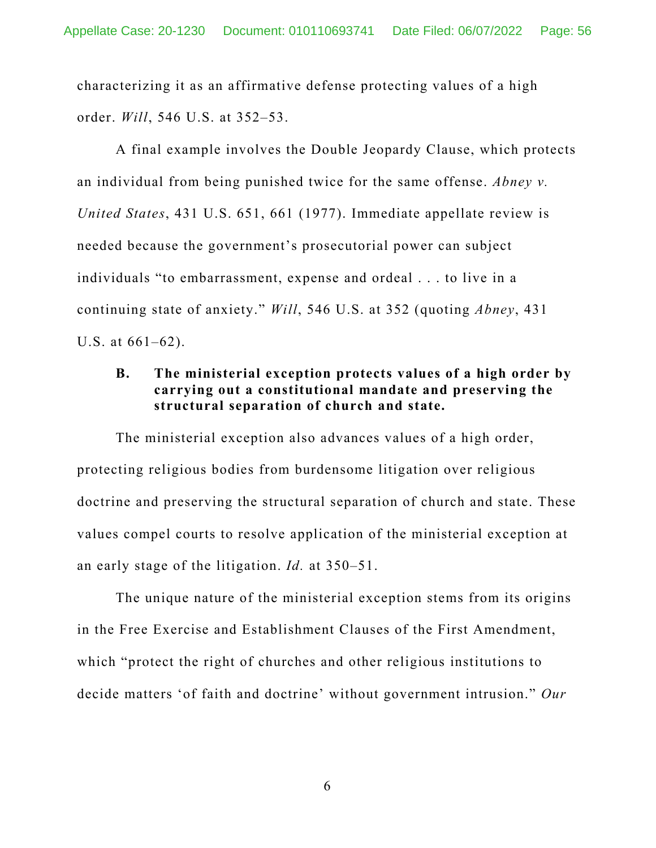characterizing it as an affirmative defense protecting values of a high order. *Will*, 546 U.S. at 352–53.

A final example involves the Double Jeopardy Clause, which protects an individual from being punished twice for the same offense. *Abney v. United States*, 431 U.S. 651, 661 (1977). Immediate appellate review is needed because the government's prosecutorial power can subject individuals "to embarrassment, expense and ordeal . . . to live in a continuing state of anxiety." *Will*, 546 U.S. at 352 (quoting *Abney*, 431 U.S. at 661–62).

## **B. The ministerial exception protects values of a high order by carrying out a constitutional mandate and preserving the structural separation of church and state.**

The ministerial exception also advances values of a high order, protecting religious bodies from burdensome litigation over religious doctrine and preserving the structural separation of church and state. These values compel courts to resolve application of the ministerial exception at an early stage of the litigation. *Id.* at 350–51.

The unique nature of the ministerial exception stems from its origins in the Free Exercise and Establishment Clauses of the First Amendment, which "protect the right of churches and other religious institutions to decide matters 'of faith and doctrine' without government intrusion." *Our*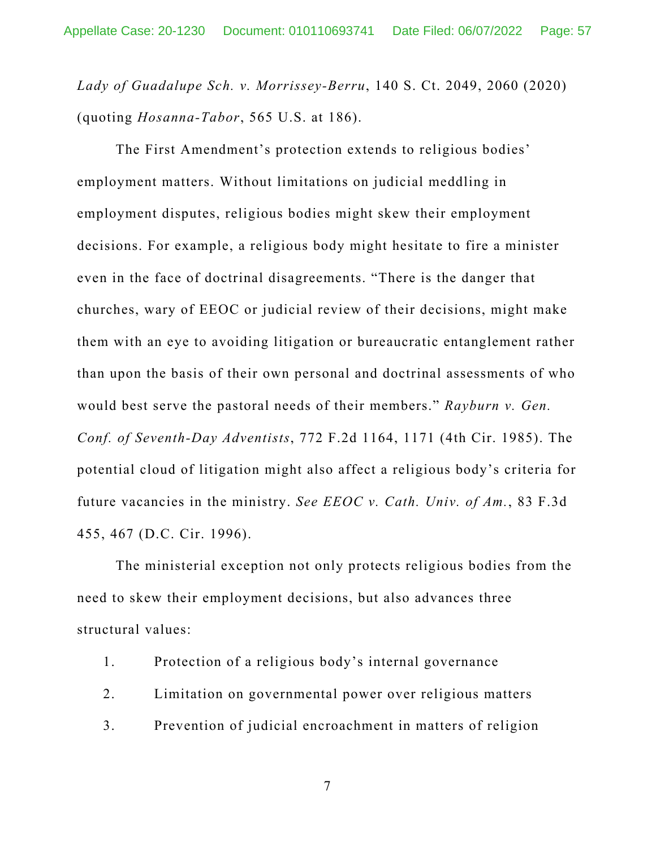*Lady of Guadalupe Sch. v. Morrissey-Berru*, 140 S. Ct. 2049, 2060 (2020) (quoting *Hosanna-Tabor*, 565 U.S. at 186).

The First Amendment's protection extends to religious bodies' employment matters. Without limitations on judicial meddling in employment disputes, religious bodies might skew their employment decisions. For example, a religious body might hesitate to fire a minister even in the face of doctrinal disagreements. "There is the danger that churches, wary of EEOC or judicial review of their decisions, might make them with an eye to avoiding litigation or bureaucratic entanglement rather than upon the basis of their own personal and doctrinal assessments of who would best serve the pastoral needs of their members." *Rayburn v. Gen. Conf. of Seventh-Day Adventists*, 772 F.2d 1164, 1171 (4th Cir. 1985). The potential cloud of litigation might also affect a religious body's criteria for future vacancies in the ministry. *See EEOC v. Cath. Univ. of Am.*, 83 F.3d 455, 467 (D.C. Cir. 1996).

The ministerial exception not only protects religious bodies from the need to skew their employment decisions, but also advances three structural values:

- 1. Protection of a religious body's internal governance
- 2. Limitation on governmental power over religious matters
- 3. Prevention of judicial encroachment in matters of religion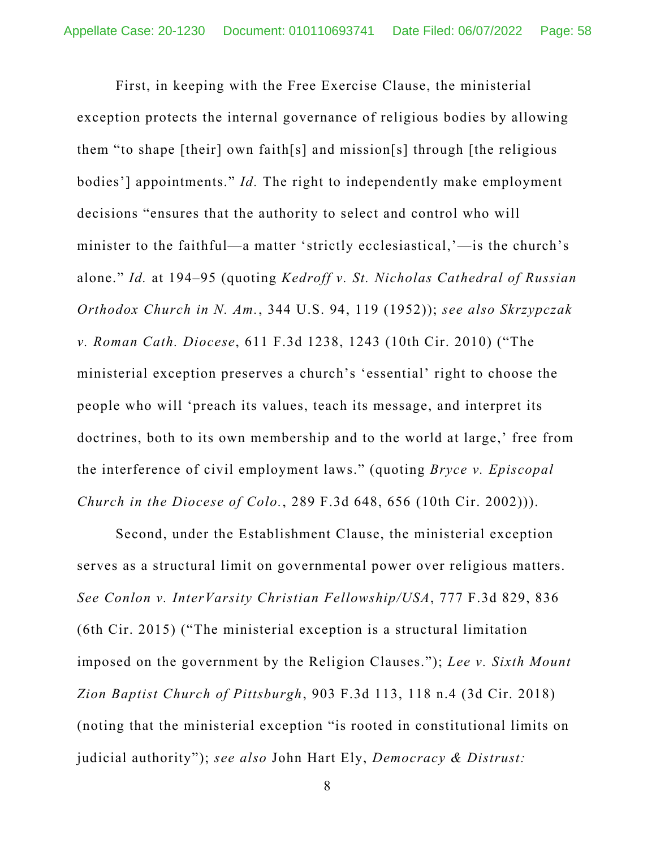First, in keeping with the Free Exercise Clause, the ministerial exception protects the internal governance of religious bodies by allowing them "to shape [their] own faith[s] and mission[s] through [the religious bodies'] appointments." *Id.* The right to independently make employment decisions "ensures that the authority to select and control who will minister to the faithful—a matter 'strictly ecclesiastical,'—is the church's alone." *Id.* at 194–95 (quoting *Kedroff v. St. Nicholas Cathedral of Russian Orthodox Church in N. Am.*, 344 U.S. 94, 119 (1952)); *see also Skrzypczak v. Roman Cath. Diocese*, 611 F.3d 1238, 1243 (10th Cir. 2010) ("The ministerial exception preserves a church's 'essential' right to choose the people who will 'preach its values, teach its message, and interpret its doctrines, both to its own membership and to the world at large,' free from the interference of civil employment laws." (quoting *Bryce v. Episcopal Church in the Diocese of Colo.*, 289 F.3d 648, 656 (10th Cir. 2002))).

Second, under the Establishment Clause, the ministerial exception serves as a structural limit on governmental power over religious matters. *See Conlon v. InterVarsity Christian Fellowship/USA*, 777 F.3d 829, 836 (6th Cir. 2015) ("The ministerial exception is a structural limitation imposed on the government by the Religion Clauses."); *Lee v. Sixth Mount Zion Baptist Church of Pittsburgh*, 903 F.3d 113, 118 n.4 (3d Cir. 2018) (noting that the ministerial exception "is rooted in constitutional limits on judicial authority"); *see also* John Hart Ely, *Democracy & Distrust:*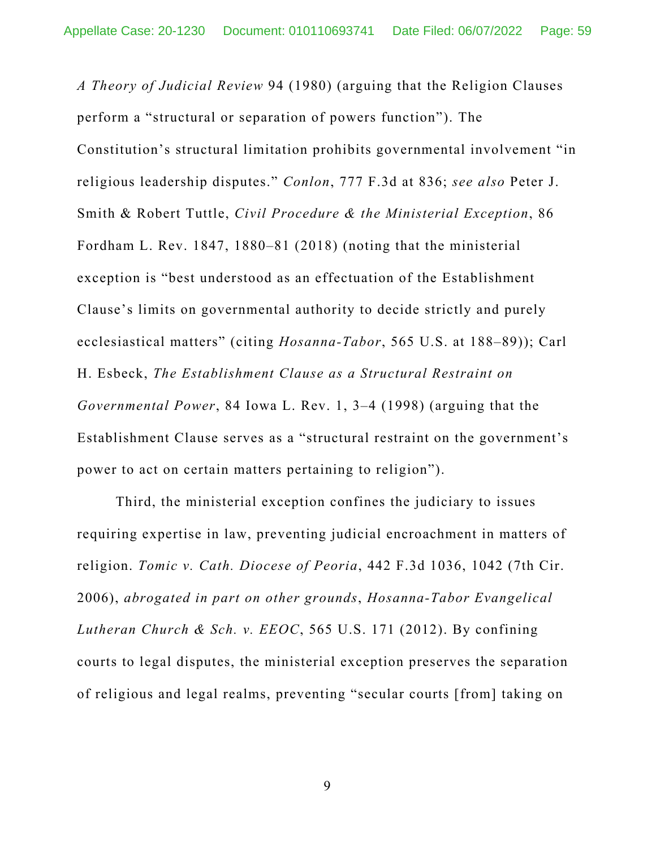*A Theory of Judicial Review* 94 (1980) (arguing that the Religion Clauses perform a "structural or separation of powers function"). The Constitution's structural limitation prohibits governmental involvement "in religious leadership disputes." *Conlon*, 777 F.3d at 836; *see also* Peter J. Smith & Robert Tuttle, *Civil Procedure & the Ministerial Exception*, 86 Fordham L. Rev. 1847, 1880–81 (2018) (noting that the ministerial exception is "best understood as an effectuation of the Establishment Clause's limits on governmental authority to decide strictly and purely ecclesiastical matters" (citing *Hosanna-Tabor*, 565 U.S. at 188–89)); Carl H. Esbeck, *The Establishment Clause as a Structural Restraint on Governmental Power*, 84 Iowa L. Rev. 1, 3–4 (1998) (arguing that the Establishment Clause serves as a "structural restraint on the government's power to act on certain matters pertaining to religion").

Third, the ministerial exception confines the judiciary to issues requiring expertise in law, preventing judicial encroachment in matters of religion. *Tomic v. Cath. Diocese of Peoria*, 442 F.3d 1036, 1042 (7th Cir. 2006), *abrogated in part on other grounds*, *Hosanna-Tabor Evangelical Lutheran Church & Sch. v. EEOC*, 565 U.S. 171 (2012). By confining courts to legal disputes, the ministerial exception preserves the separation of religious and legal realms, preventing "secular courts [from] taking on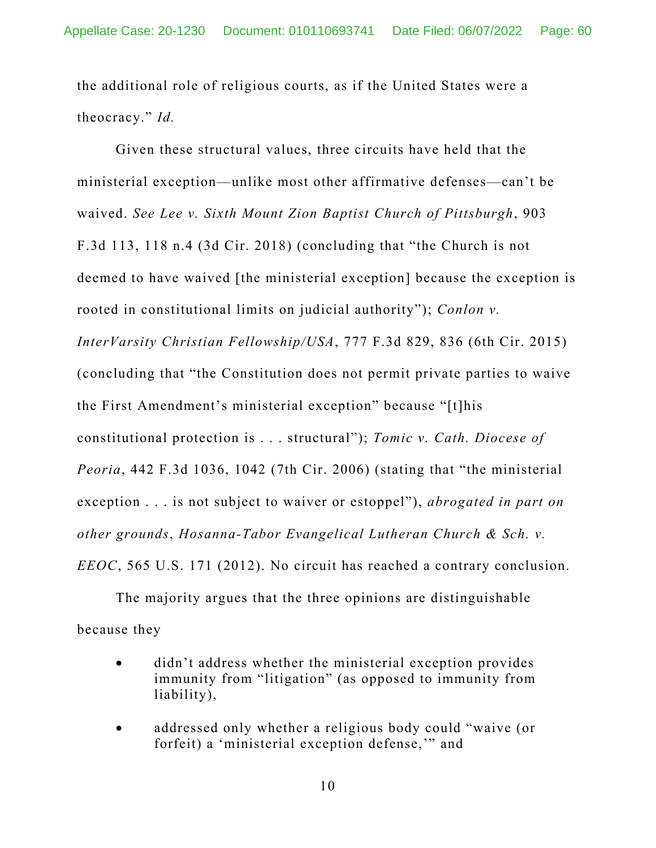the additional role of religious courts, as if the United States were a theocracy." *Id.* 

Given these structural values, three circuits have held that the ministerial exception—unlike most other affirmative defenses—can't be waived. *See Lee v. Sixth Mount Zion Baptist Church of Pittsburgh*, 903 F.3d 113, 118 n.4 (3d Cir. 2018) (concluding that "the Church is not deemed to have waived [the ministerial exception] because the exception is rooted in constitutional limits on judicial authority"); *Conlon v. InterVarsity Christian Fellowship/USA*, 777 F.3d 829, 836 (6th Cir. 2015) (concluding that "the Constitution does not permit private parties to waive the First Amendment's ministerial exception" because "[t]his constitutional protection is . . . structural"); *Tomic v. Cath. Diocese of Peoria*, 442 F.3d 1036, 1042 (7th Cir. 2006) (stating that "the ministerial exception . . . is not subject to waiver or estoppel"), *abrogated in part on other grounds*, *Hosanna-Tabor Evangelical Lutheran Church & Sch. v. EEOC*, 565 U.S. 171 (2012). No circuit has reached a contrary conclusion.

The majority argues that the three opinions are distinguishable because they

- didn't address whether the ministerial exception provides immunity from "litigation" (as opposed to immunity from liability),
- addressed only whether a religious body could "waive (or forfeit) a 'ministerial exception defense,'" and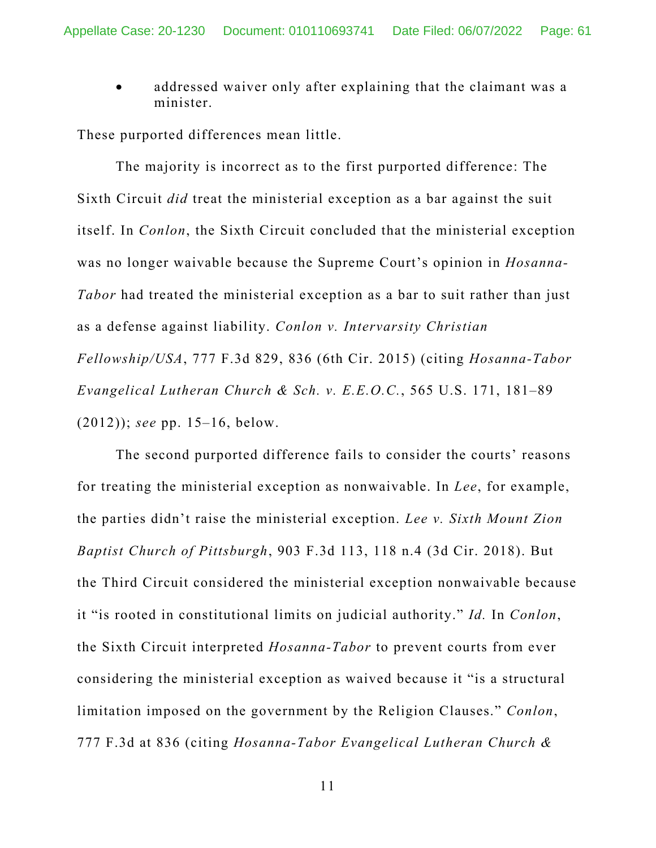addressed waiver only after explaining that the claimant was a minister.

These purported differences mean little.

The majority is incorrect as to the first purported difference: The Sixth Circuit *did* treat the ministerial exception as a bar against the suit itself. In *Conlon*, the Sixth Circuit concluded that the ministerial exception was no longer waivable because the Supreme Court's opinion in *Hosanna-Tabor* had treated the ministerial exception as a bar to suit rather than just as a defense against liability. *Conlon v. Intervarsity Christian Fellowship/USA*, 777 F.3d 829, 836 (6th Cir. 2015) (citing *Hosanna-Tabor Evangelical Lutheran Church & Sch. v. E.E.O.C.*, 565 U.S. 171, 181–89 (2012)); *see* pp. 15–16, below.

The second purported difference fails to consider the courts' reasons for treating the ministerial exception as nonwaivable. In *Lee*, for example, the parties didn't raise the ministerial exception. *Lee v. Sixth Mount Zion Baptist Church of Pittsburgh*, 903 F.3d 113, 118 n.4 (3d Cir. 2018). But the Third Circuit considered the ministerial exception nonwaivable because it "is rooted in constitutional limits on judicial authority." *Id.* In *Conlon*, the Sixth Circuit interpreted *Hosanna-Tabor* to prevent courts from ever considering the ministerial exception as waived because it "is a structural limitation imposed on the government by the Religion Clauses." *Conlon*, 777 F.3d at 836 (citing *Hosanna-Tabor Evangelical Lutheran Church &*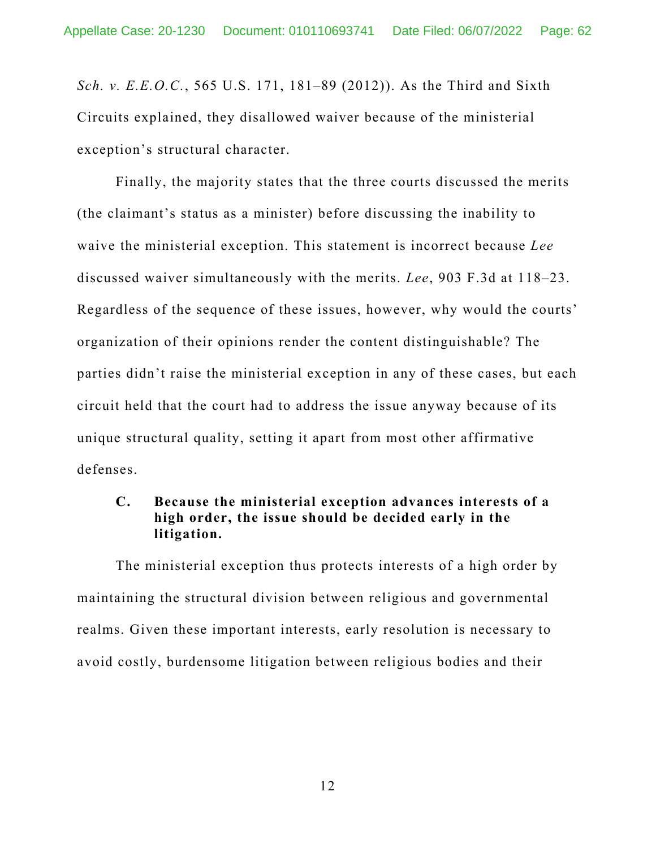*Sch. v. E.E.O.C.*, 565 U.S. 171, 181–89 (2012)). As the Third and Sixth Circuits explained, they disallowed waiver because of the ministerial exception's structural character.

Finally, the majority states that the three courts discussed the merits (the claimant's status as a minister) before discussing the inability to waive the ministerial exception. This statement is incorrect because *Lee*  discussed waiver simultaneously with the merits. *Lee*, 903 F.3d at 118–23. Regardless of the sequence of these issues, however, why would the courts' organization of their opinions render the content distinguishable? The parties didn't raise the ministerial exception in any of these cases, but each circuit held that the court had to address the issue anyway because of its unique structural quality, setting it apart from most other affirmative defenses.

## **C. Because the ministerial exception advances interests of a high order, the issue should be decided early in the litigation.**

The ministerial exception thus protects interests of a high order by maintaining the structural division between religious and governmental realms. Given these important interests, early resolution is necessary to avoid costly, burdensome litigation between religious bodies and their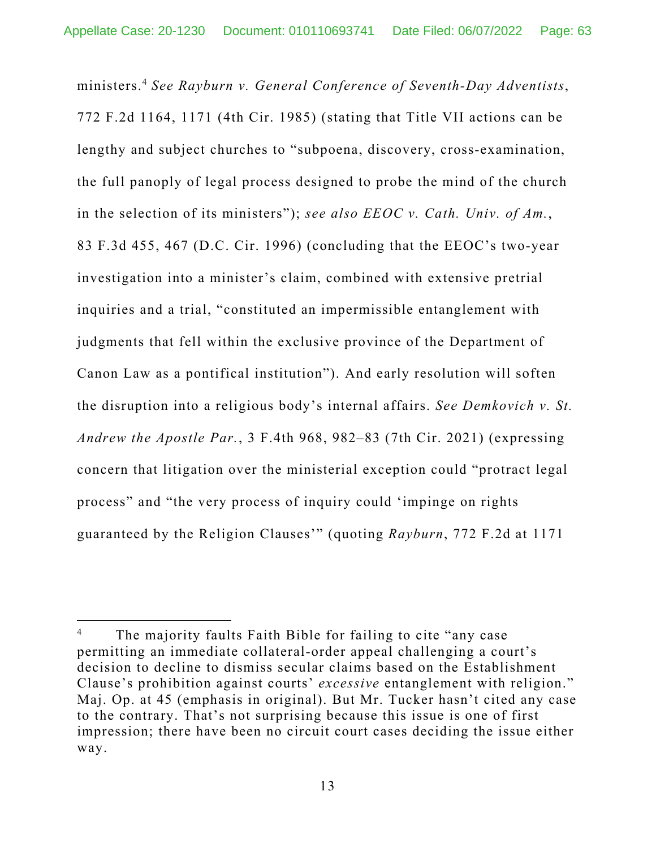ministers.4 *See Rayburn v. General Conference of Seventh-Day Adventists*, 772 F.2d 1164, 1171 (4th Cir. 1985) (stating that Title VII actions can be lengthy and subject churches to "subpoena, discovery, cross-examination, the full panoply of legal process designed to probe the mind of the church in the selection of its ministers"); *see also EEOC v. Cath. Univ. of Am.*, 83 F.3d 455, 467 (D.C. Cir. 1996) (concluding that the EEOC's two-year investigation into a minister's claim, combined with extensive pretrial inquiries and a trial, "constituted an impermissible entanglement with judgments that fell within the exclusive province of the Department of Canon Law as a pontifical institution"). And early resolution will soften the disruption into a religious body's internal affairs. *See Demkovich v. St. Andrew the Apostle Par.*, 3 F.4th 968, 982–83 (7th Cir. 2021) (expressing concern that litigation over the ministerial exception could "protract legal process" and "the very process of inquiry could 'impinge on rights guaranteed by the Religion Clauses'" (quoting *Rayburn*, 772 F.2d at 1171

<sup>4</sup> The majority faults Faith Bible for failing to cite "any case permitting an immediate collateral-order appeal challenging a court's decision to decline to dismiss secular claims based on the Establishment Clause's prohibition against courts' *excessive* entanglement with religion." Maj. Op. at 45 (emphasis in original). But Mr. Tucker hasn't cited any case to the contrary. That's not surprising because this issue is one of first impression; there have been no circuit court cases deciding the issue either way.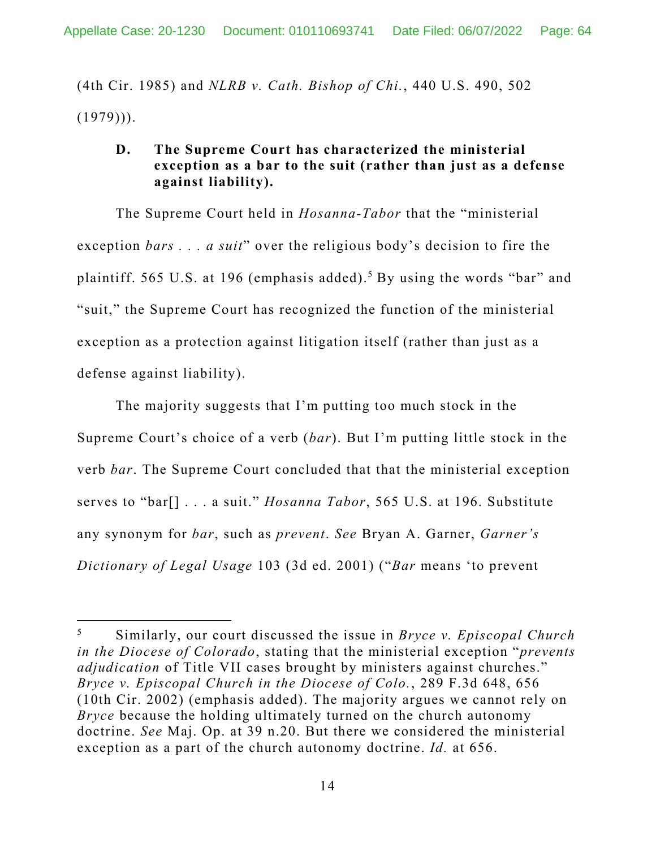(4th Cir. 1985) and *NLRB v. Cath. Bishop of Chi.*, 440 U.S. 490, 502  $(1979))$ .

## **D. The Supreme Court has characterized the ministerial exception as a bar to the suit (rather than just as a defense against liability).**

The Supreme Court held in *Hosanna-Tabor* that the "ministerial exception *bars . . . a suit*" over the religious body's decision to fire the plaintiff. 565 U.S. at 196 (emphasis added).<sup>5</sup> By using the words "bar" and "suit," the Supreme Court has recognized the function of the ministerial exception as a protection against litigation itself (rather than just as a defense against liability).

The majority suggests that I'm putting too much stock in the Supreme Court's choice of a verb (*bar*). But I'm putting little stock in the verb *bar*. The Supreme Court concluded that that the ministerial exception serves to "bar[] . . . a suit." *Hosanna Tabor*, 565 U.S. at 196. Substitute any synonym for *bar*, such as *prevent*. *See* Bryan A. Garner, *Garner's Dictionary of Legal Usage* 103 (3d ed. 2001) ("*Bar* means 'to prevent

<sup>5</sup> Similarly, our court discussed the issue in *Bryce v. Episcopal Church in the Diocese of Colorado*, stating that the ministerial exception "*prevents adjudication* of Title VII cases brought by ministers against churches." *Bryce v. Episcopal Church in the Diocese of Colo.*, 289 F.3d 648, 656 (10th Cir. 2002) (emphasis added). The majority argues we cannot rely on *Bryce* because the holding ultimately turned on the church autonomy doctrine. *See* Maj. Op. at 39 n.20. But there we considered the ministerial exception as a part of the church autonomy doctrine. *Id.* at 656.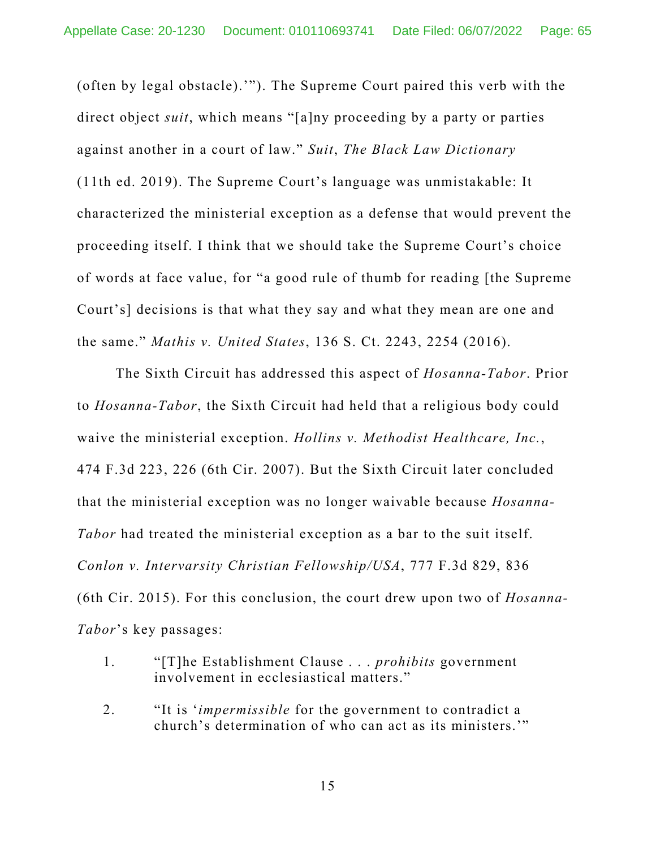(often by legal obstacle).'"). The Supreme Court paired this verb with the direct object *suit*, which means "[a]ny proceeding by a party or parties against another in a court of law." *Suit*, *The Black Law Dictionary* (11th ed. 2019). The Supreme Court's language was unmistakable: It characterized the ministerial exception as a defense that would prevent the proceeding itself. I think that we should take the Supreme Court's choice of words at face value, for "a good rule of thumb for reading [the Supreme Court's] decisions is that what they say and what they mean are one and the same." *Mathis v. United States*, 136 S. Ct. 2243, 2254 (2016).

The Sixth Circuit has addressed this aspect of *Hosanna-Tabor*. Prior to *Hosanna-Tabor*, the Sixth Circuit had held that a religious body could waive the ministerial exception. *Hollins v. Methodist Healthcare, Inc.*, 474 F.3d 223, 226 (6th Cir. 2007). But the Sixth Circuit later concluded that the ministerial exception was no longer waivable because *Hosanna-Tabor* had treated the ministerial exception as a bar to the suit itself. *Conlon v. Intervarsity Christian Fellowship/USA*, 777 F.3d 829, 836 (6th Cir. 2015). For this conclusion, the court drew upon two of *Hosanna-Tabor*'s key passages:

- 1. "[T]he Establishment Clause . . . *prohibits* government involvement in ecclesiastical matters."
- 2. "It is '*impermissible* for the government to contradict a church's determination of who can act as its ministers.'"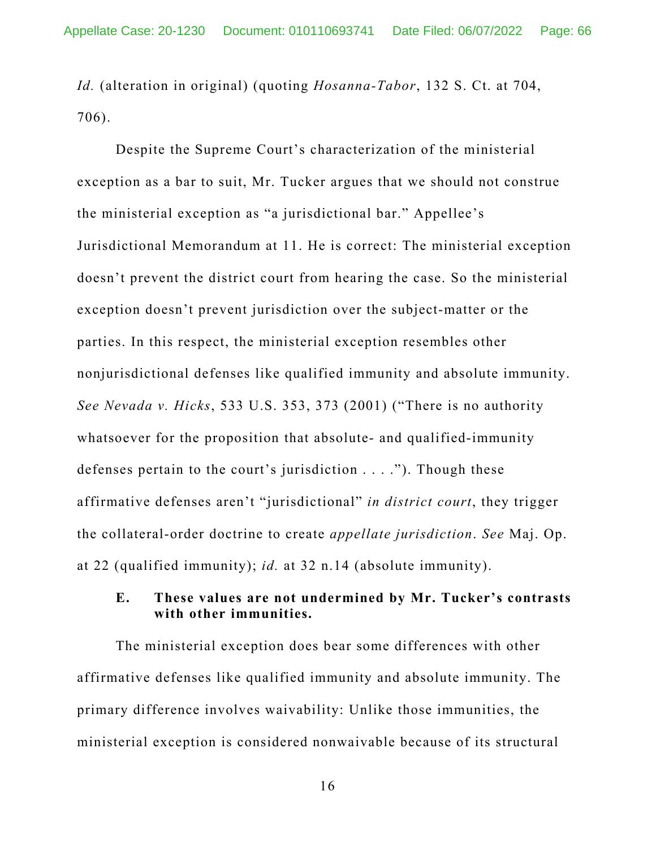*Id.* (alteration in original) (quoting *Hosanna-Tabor*, 132 S. Ct. at 704, 706).

Despite the Supreme Court's characterization of the ministerial exception as a bar to suit, Mr. Tucker argues that we should not construe the ministerial exception as "a jurisdictional bar." Appellee's Jurisdictional Memorandum at 11. He is correct: The ministerial exception doesn't prevent the district court from hearing the case. So the ministerial exception doesn't prevent jurisdiction over the subject-matter or the parties. In this respect, the ministerial exception resembles other nonjurisdictional defenses like qualified immunity and absolute immunity. *See Nevada v. Hicks*, 533 U.S. 353, 373 (2001) ("There is no authority whatsoever for the proposition that absolute- and qualified-immunity defenses pertain to the court's jurisdiction . . . ."). Though these affirmative defenses aren't "jurisdictional" *in district court*, they trigger the collateral-order doctrine to create *appellate jurisdiction*. *See* Maj. Op. at 22 (qualified immunity); *id.* at 32 n.14 (absolute immunity).

### **E. These values are not undermined by Mr. Tucker's contrasts with other immunities.**

The ministerial exception does bear some differences with other affirmative defenses like qualified immunity and absolute immunity. The primary difference involves waivability: Unlike those immunities, the ministerial exception is considered nonwaivable because of its structural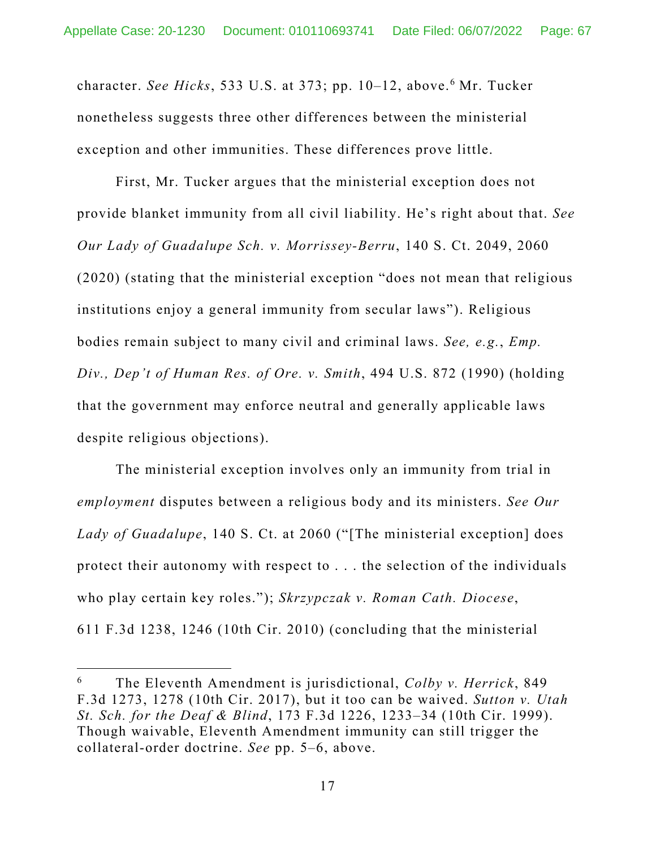character. *See Hicks*, 533 U.S. at 373; pp. 10–12, above.6 Mr. Tucker nonetheless suggests three other differences between the ministerial exception and other immunities. These differences prove little.

First, Mr. Tucker argues that the ministerial exception does not provide blanket immunity from all civil liability. He's right about that. *See Our Lady of Guadalupe Sch. v. Morrissey-Berru*, 140 S. Ct. 2049, 2060 (2020) (stating that the ministerial exception "does not mean that religious institutions enjoy a general immunity from secular laws"). Religious bodies remain subject to many civil and criminal laws. *See, e.g.*, *Emp. Div., Dep't of Human Res. of Ore. v. Smith*, 494 U.S. 872 (1990) (holding that the government may enforce neutral and generally applicable laws despite religious objections).

The ministerial exception involves only an immunity from trial in *employment* disputes between a religious body and its ministers. *See Our Lady of Guadalupe*, 140 S. Ct. at 2060 ("[The ministerial exception] does protect their autonomy with respect to . . . the selection of the individuals who play certain key roles."); *Skrzypczak v. Roman Cath. Diocese*, 611 F.3d 1238, 1246 (10th Cir. 2010) (concluding that the ministerial

<sup>6</sup> The Eleventh Amendment is jurisdictional, *Colby v. Herrick*, 849 F.3d 1273, 1278 (10th Cir. 2017), but it too can be waived. *Sutton v. Utah St. Sch. for the Deaf & Blind*, 173 F.3d 1226, 1233–34 (10th Cir. 1999). Though waivable, Eleventh Amendment immunity can still trigger the collateral-order doctrine. *See* pp. 5–6, above.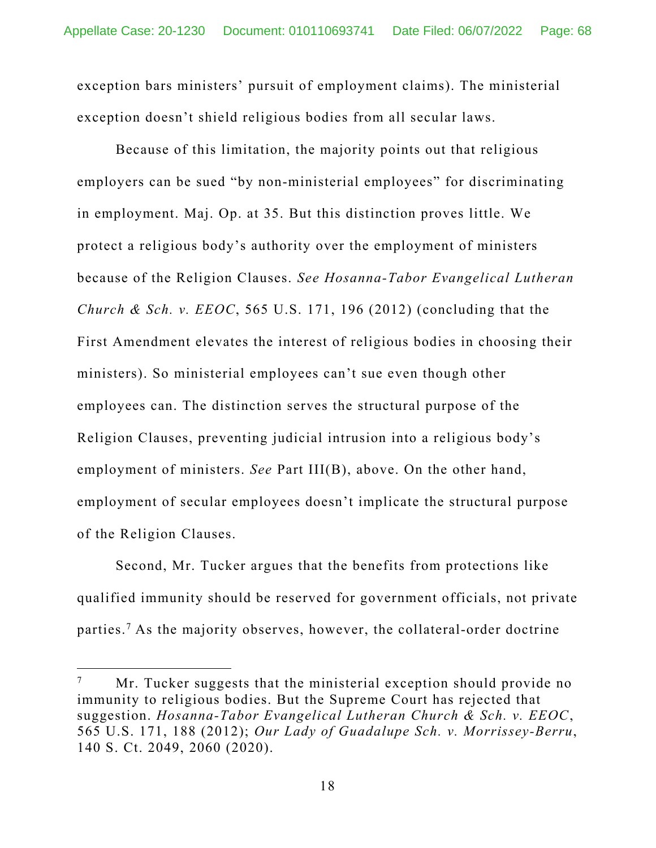exception bars ministers' pursuit of employment claims). The ministerial exception doesn't shield religious bodies from all secular laws.

Because of this limitation, the majority points out that religious employers can be sued "by non-ministerial employees" for discriminating in employment. Maj. Op. at 35. But this distinction proves little. We protect a religious body's authority over the employment of ministers because of the Religion Clauses. *See Hosanna-Tabor Evangelical Lutheran Church & Sch. v. EEOC*, 565 U.S. 171, 196 (2012) (concluding that the First Amendment elevates the interest of religious bodies in choosing their ministers). So ministerial employees can't sue even though other employees can. The distinction serves the structural purpose of the Religion Clauses, preventing judicial intrusion into a religious body's employment of ministers. *See* Part III(B), above. On the other hand, employment of secular employees doesn't implicate the structural purpose of the Religion Clauses.

 Second, Mr. Tucker argues that the benefits from protections like qualified immunity should be reserved for government officials, not private parties.7 As the majority observes, however, the collateral-order doctrine

<sup>7</sup> Mr. Tucker suggests that the ministerial exception should provide no immunity to religious bodies. But the Supreme Court has rejected that suggestion. *Hosanna-Tabor Evangelical Lutheran Church & Sch. v. EEOC*, 565 U.S. 171, 188 (2012); *Our Lady of Guadalupe Sch. v. Morrissey-Berru*, 140 S. Ct. 2049, 2060 (2020).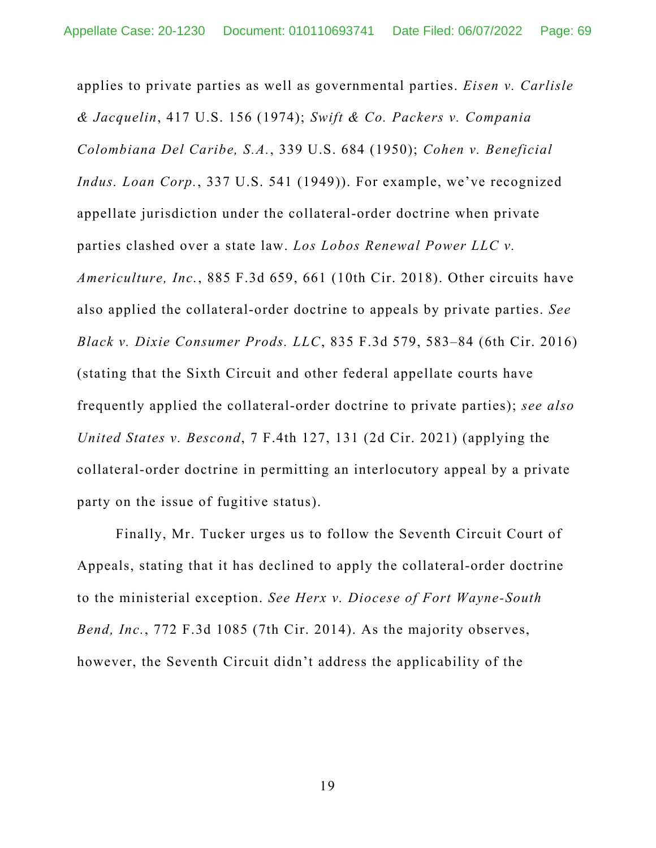applies to private parties as well as governmental parties. *Eisen v. Carlisle & Jacquelin*, 417 U.S. 156 (1974); *Swift & Co. Packers v. Compania Colombiana Del Caribe, S.A.*, 339 U.S. 684 (1950); *Cohen v. Beneficial Indus. Loan Corp.*, 337 U.S. 541 (1949)). For example, we've recognized appellate jurisdiction under the collateral-order doctrine when private parties clashed over a state law. *Los Lobos Renewal Power LLC v. Americulture, Inc.*, 885 F.3d 659, 661 (10th Cir. 2018). Other circuits have also applied the collateral-order doctrine to appeals by private parties. *See Black v. Dixie Consumer Prods. LLC*, 835 F.3d 579, 583–84 (6th Cir. 2016) (stating that the Sixth Circuit and other federal appellate courts have frequently applied the collateral-order doctrine to private parties); *see also United States v. Bescond*, 7 F.4th 127, 131 (2d Cir. 2021) (applying the collateral-order doctrine in permitting an interlocutory appeal by a private party on the issue of fugitive status).

 Finally, Mr. Tucker urges us to follow the Seventh Circuit Court of Appeals, stating that it has declined to apply the collateral-order doctrine to the ministerial exception. *See Herx v. Diocese of Fort Wayne-South Bend, Inc.*, 772 F.3d 1085 (7th Cir. 2014). As the majority observes, however, the Seventh Circuit didn't address the applicability of the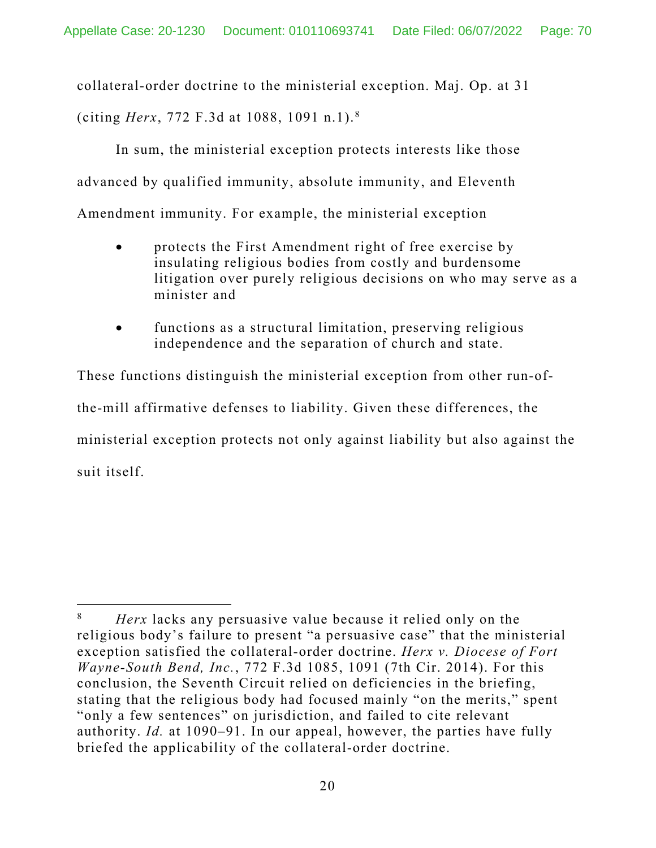collateral-order doctrine to the ministerial exception. Maj. Op. at 31 (citing *Herx*, 772 F.3d at 1088, 1091 n.1).8

 In sum, the ministerial exception protects interests like those advanced by qualified immunity, absolute immunity, and Eleventh Amendment immunity. For example, the ministerial exception

- protects the First Amendment right of free exercise by insulating religious bodies from costly and burdensome litigation over purely religious decisions on who may serve as a minister and
- functions as a structural limitation, preserving religious independence and the separation of church and state.

These functions distinguish the ministerial exception from other run-ofthe-mill affirmative defenses to liability. Given these differences, the ministerial exception protects not only against liability but also against the suit itself.

<sup>8</sup> *Herx* lacks any persuasive value because it relied only on the religious body's failure to present "a persuasive case" that the ministerial exception satisfied the collateral-order doctrine. *Herx v. Diocese of Fort Wayne-South Bend, Inc.*, 772 F.3d 1085, 1091 (7th Cir. 2014). For this conclusion, the Seventh Circuit relied on deficiencies in the briefing, stating that the religious body had focused mainly "on the merits," spent "only a few sentences" on jurisdiction, and failed to cite relevant authority. *Id.* at 1090–91. In our appeal, however, the parties have fully briefed the applicability of the collateral-order doctrine.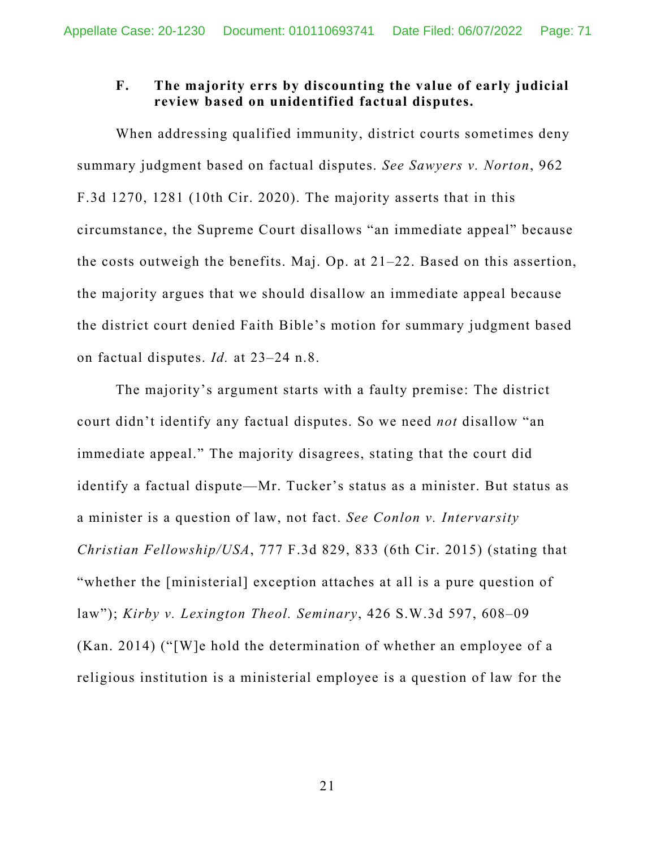## **F. The majority errs by discounting the value of early judicial review based on unidentified factual disputes.**

When addressing qualified immunity, district courts sometimes deny summary judgment based on factual disputes. *See Sawyers v. Norton*, 962 F.3d 1270, 1281 (10th Cir. 2020). The majority asserts that in this circumstance, the Supreme Court disallows "an immediate appeal" because the costs outweigh the benefits. Maj. Op. at 21–22. Based on this assertion, the majority argues that we should disallow an immediate appeal because the district court denied Faith Bible's motion for summary judgment based on factual disputes. *Id.* at 23–24 n.8.

The majority's argument starts with a faulty premise: The district court didn't identify any factual disputes. So we need *not* disallow "an immediate appeal." The majority disagrees, stating that the court did identify a factual dispute—Mr. Tucker's status as a minister. But status as a minister is a question of law, not fact. *See Conlon v. Intervarsity Christian Fellowship/USA*, 777 F.3d 829, 833 (6th Cir. 2015) (stating that "whether the [ministerial] exception attaches at all is a pure question of law"); *Kirby v. Lexington Theol. Seminary*, 426 S.W.3d 597, 608–09 (Kan. 2014) ("[W]e hold the determination of whether an employee of a religious institution is a ministerial employee is a question of law for the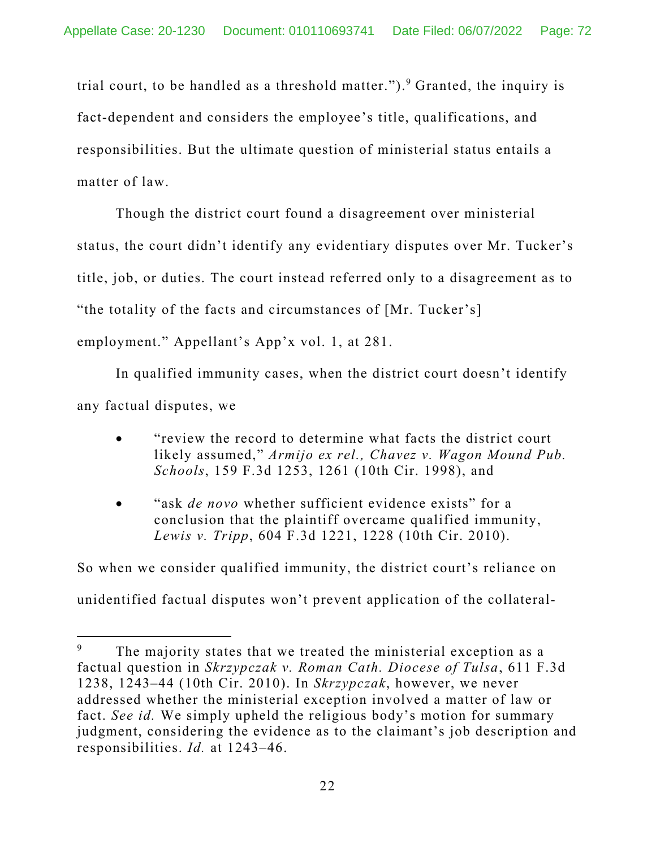trial court, to be handled as a threshold matter.").<sup>9</sup> Granted, the inquiry is fact-dependent and considers the employee's title, qualifications, and responsibilities. But the ultimate question of ministerial status entails a matter of law.

Though the district court found a disagreement over ministerial status, the court didn't identify any evidentiary disputes over Mr. Tucker's title, job, or duties. The court instead referred only to a disagreement as to "the totality of the facts and circumstances of [Mr. Tucker's] employment." Appellant's App'x vol. 1, at 281.

In qualified immunity cases, when the district court doesn't identify any factual disputes, we

- "review the record to determine what facts the district court likely assumed," *Armijo ex rel., Chavez v. Wagon Mound Pub. Schools*, 159 F.3d 1253, 1261 (10th Cir. 1998), and
- "ask *de novo* whether sufficient evidence exists" for a conclusion that the plaintiff overcame qualified immunity, *Lewis v. Tripp*, 604 F.3d 1221, 1228 (10th Cir. 2010).

So when we consider qualified immunity, the district court's reliance on unidentified factual disputes won't prevent application of the collateral-

<sup>9</sup> The majority states that we treated the ministerial exception as a factual question in *Skrzypczak v. Roman Cath. Diocese of Tulsa*, 611 F.3d 1238, 1243–44 (10th Cir. 2010). In *Skrzypczak*, however, we never addressed whether the ministerial exception involved a matter of law or fact. *See id.* We simply upheld the religious body's motion for summary judgment, considering the evidence as to the claimant's job description and responsibilities. *Id.* at 1243–46.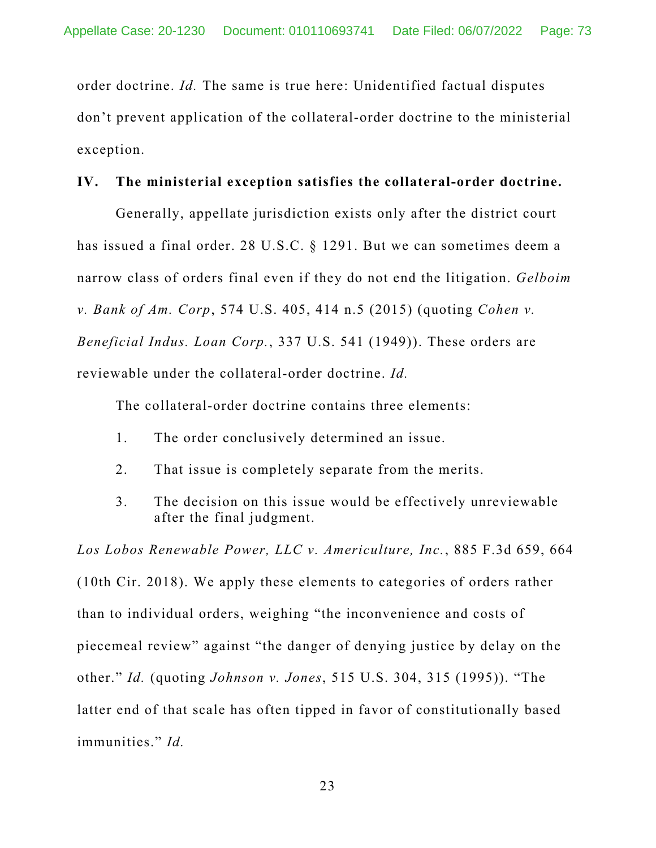order doctrine. *Id.* The same is true here: Unidentified factual disputes don't prevent application of the collateral-order doctrine to the ministerial exception.

### **IV. The ministerial exception satisfies the collateral-order doctrine.**

Generally, appellate jurisdiction exists only after the district court has issued a final order. 28 U.S.C. § 1291. But we can sometimes deem a narrow class of orders final even if they do not end the litigation. *Gelboim v. Bank of Am. Corp*, 574 U.S. 405, 414 n.5 (2015) (quoting *Cohen v. Beneficial Indus. Loan Corp.*, 337 U.S. 541 (1949)). These orders are reviewable under the collateral-order doctrine. *Id.* 

The collateral-order doctrine contains three elements:

- 1. The order conclusively determined an issue.
- 2. That issue is completely separate from the merits.
- 3. The decision on this issue would be effectively unreviewable after the final judgment.

*Los Lobos Renewable Power, LLC v. Americulture, Inc.*, 885 F.3d 659, 664 (10th Cir. 2018). We apply these elements to categories of orders rather than to individual orders, weighing "the inconvenience and costs of piecemeal review" against "the danger of denying justice by delay on the other." *Id.* (quoting *Johnson v. Jones*, 515 U.S. 304, 315 (1995)). "The latter end of that scale has often tipped in favor of constitutionally based immunities." *Id.*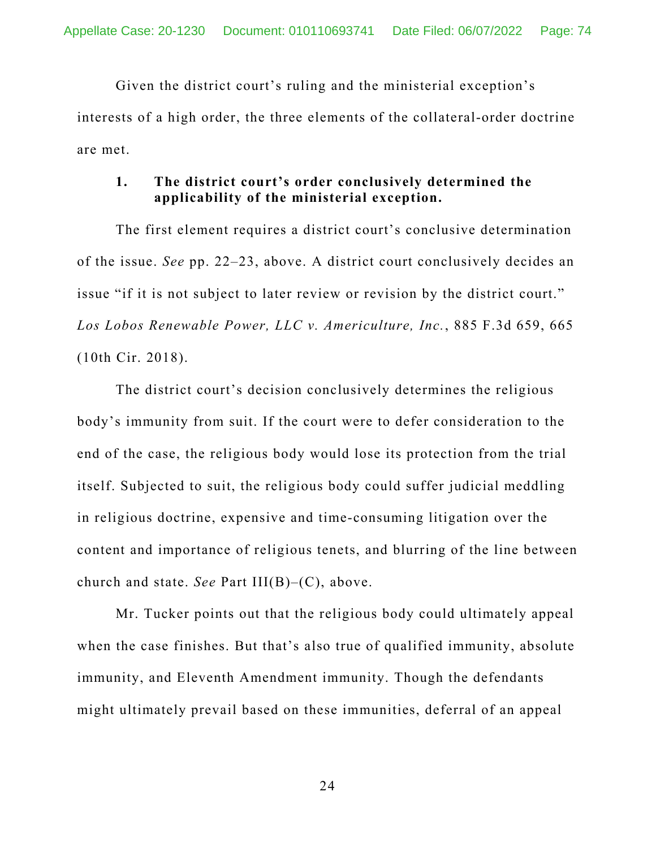Given the district court's ruling and the ministerial exception's interests of a high order, the three elements of the collateral-order doctrine are met.

## **1. The district court's order conclusively determined the applicability of the ministerial exception.**

The first element requires a district court's conclusive determination of the issue. *See* pp. 22–23, above. A district court conclusively decides an issue "if it is not subject to later review or revision by the district court." *Los Lobos Renewable Power, LLC v. Americulture, Inc.*, 885 F.3d 659, 665 (10th Cir. 2018).

The district court's decision conclusively determines the religious body's immunity from suit. If the court were to defer consideration to the end of the case, the religious body would lose its protection from the trial itself. Subjected to suit, the religious body could suffer judicial meddling in religious doctrine, expensive and time-consuming litigation over the content and importance of religious tenets, and blurring of the line between church and state. *See* Part III(B)–(C), above.

Mr. Tucker points out that the religious body could ultimately appeal when the case finishes. But that's also true of qualified immunity, absolute immunity, and Eleventh Amendment immunity. Though the defendants might ultimately prevail based on these immunities, deferral of an appeal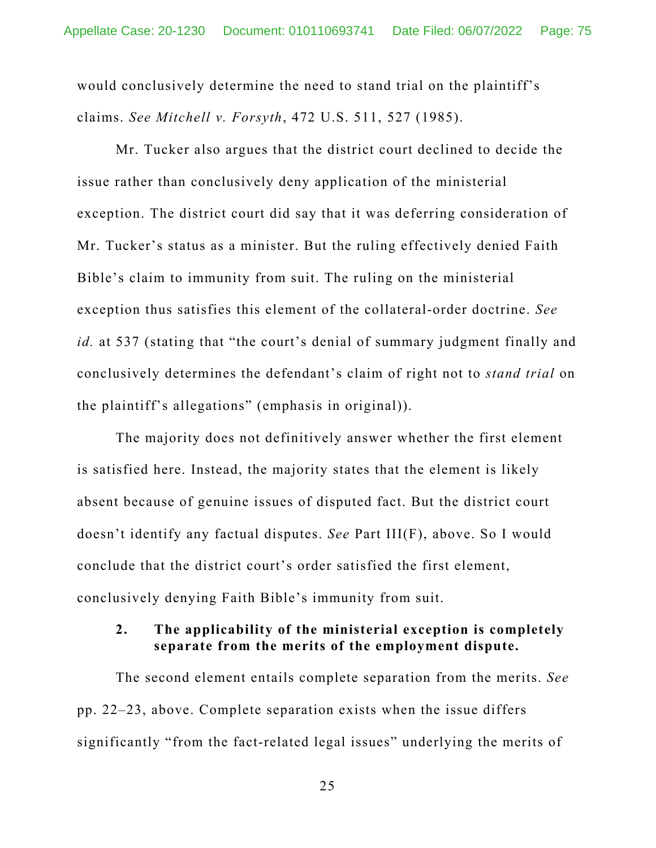would conclusively determine the need to stand trial on the plaintiff's claims. *See Mitchell v. Forsyth*, 472 U.S. 511, 527 (1985).

Mr. Tucker also argues that the district court declined to decide the issue rather than conclusively deny application of the ministerial exception. The district court did say that it was deferring consideration of Mr. Tucker's status as a minister. But the ruling effectively denied Faith Bible's claim to immunity from suit. The ruling on the ministerial exception thus satisfies this element of the collateral-order doctrine. *See id.* at 537 (stating that "the court's denial of summary judgment finally and conclusively determines the defendant's claim of right not to *stand trial* on the plaintiff's allegations" (emphasis in original)).

The majority does not definitively answer whether the first element is satisfied here. Instead, the majority states that the element is likely absent because of genuine issues of disputed fact. But the district court doesn't identify any factual disputes. *See* Part III(F), above. So I would conclude that the district court's order satisfied the first element, conclusively denying Faith Bible's immunity from suit.

### **2. The applicability of the ministerial exception is completely separate from the merits of the employment dispute.**

The second element entails complete separation from the merits. *See*  pp. 22–23, above. Complete separation exists when the issue differs significantly "from the fact-related legal issues" underlying the merits of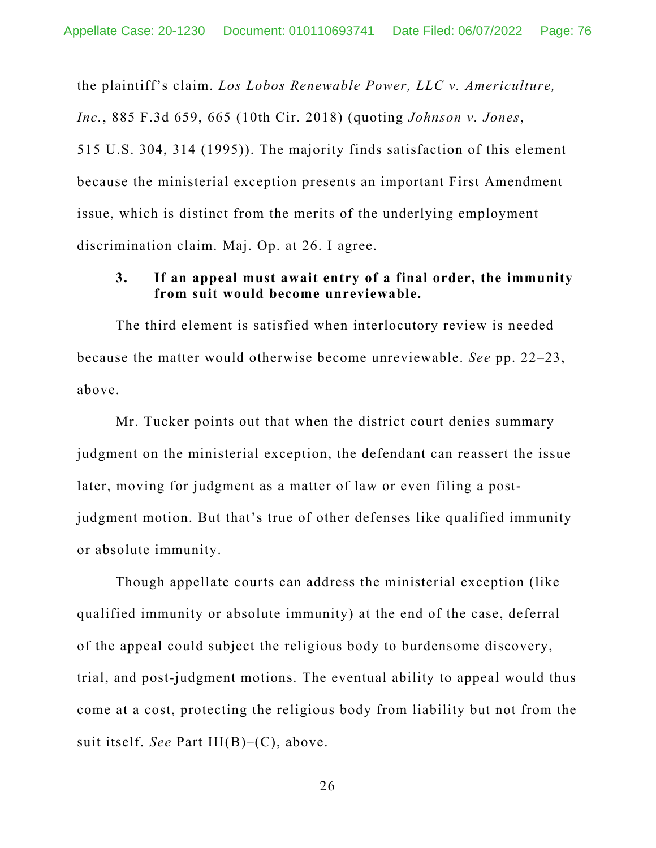the plaintiff's claim. *Los Lobos Renewable Power, LLC v. Americulture, Inc.*, 885 F.3d 659, 665 (10th Cir. 2018) (quoting *Johnson v. Jones*, 515 U.S. 304, 314 (1995)). The majority finds satisfaction of this element because the ministerial exception presents an important First Amendment issue, which is distinct from the merits of the underlying employment discrimination claim. Maj. Op. at 26. I agree.

## **3. If an appeal must await entry of a final order, the immunity from suit would become unreviewable.**

The third element is satisfied when interlocutory review is needed because the matter would otherwise become unreviewable. *See* pp. 22–23, above.

Mr. Tucker points out that when the district court denies summary judgment on the ministerial exception, the defendant can reassert the issue later, moving for judgment as a matter of law or even filing a postjudgment motion. But that's true of other defenses like qualified immunity or absolute immunity.

Though appellate courts can address the ministerial exception (like qualified immunity or absolute immunity) at the end of the case, deferral of the appeal could subject the religious body to burdensome discovery, trial, and post-judgment motions. The eventual ability to appeal would thus come at a cost, protecting the religious body from liability but not from the suit itself. *See* Part III(B)–(C), above.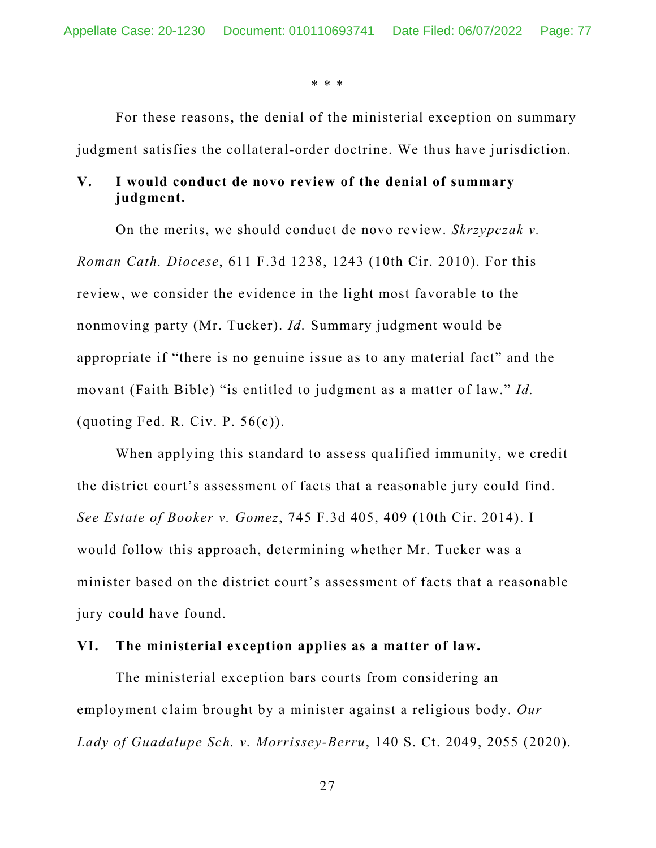\* \* \*

For these reasons, the denial of the ministerial exception on summary judgment satisfies the collateral-order doctrine. We thus have jurisdiction.

## **V. I would conduct de novo review of the denial of summary judgment.**

On the merits, we should conduct de novo review. *Skrzypczak v. Roman Cath. Diocese*, 611 F.3d 1238, 1243 (10th Cir. 2010). For this review, we consider the evidence in the light most favorable to the nonmoving party (Mr. Tucker). *Id.* Summary judgment would be appropriate if "there is no genuine issue as to any material fact" and the movant (Faith Bible) "is entitled to judgment as a matter of law." *Id.* (quoting Fed. R. Civ. P.  $56(c)$ ).

When applying this standard to assess qualified immunity, we credit the district court's assessment of facts that a reasonable jury could find. *See Estate of Booker v. Gomez*, 745 F.3d 405, 409 (10th Cir. 2014). I would follow this approach, determining whether Mr. Tucker was a minister based on the district court's assessment of facts that a reasonable jury could have found.

### **VI. The ministerial exception applies as a matter of law.**

The ministerial exception bars courts from considering an employment claim brought by a minister against a religious body. *Our Lady of Guadalupe Sch. v. Morrissey-Berru*, 140 S. Ct. 2049, 2055 (2020).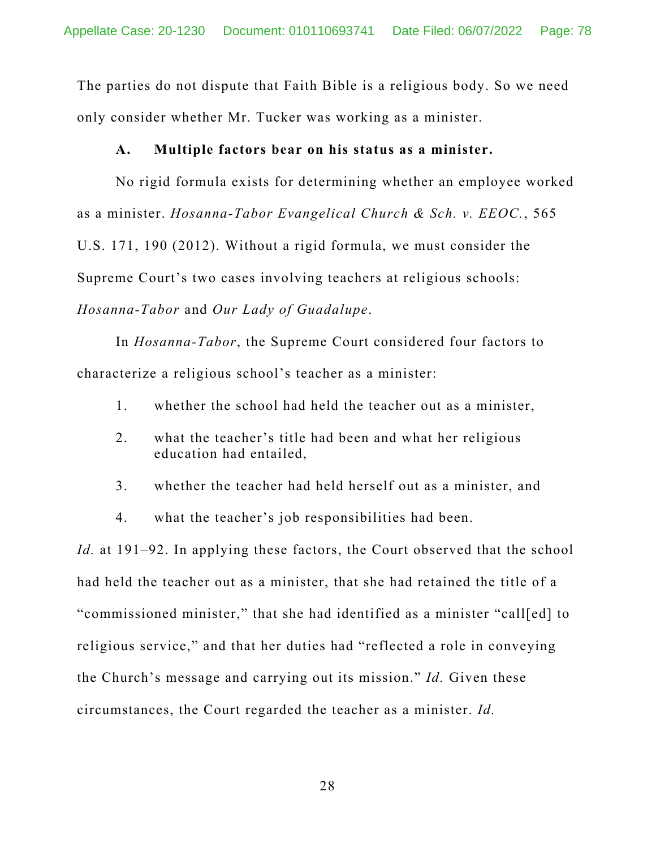The parties do not dispute that Faith Bible is a religious body. So we need only consider whether Mr. Tucker was working as a minister.

### **A. Multiple factors bear on his status as a minister.**

No rigid formula exists for determining whether an employee worked as a minister. *Hosanna-Tabor Evangelical Church & Sch. v. EEOC.*, 565 U.S. 171, 190 (2012). Without a rigid formula, we must consider the Supreme Court's two cases involving teachers at religious schools: *Hosanna-Tabor* and *Our Lady of Guadalupe*.

In *Hosanna-Tabor*, the Supreme Court considered four factors to characterize a religious school's teacher as a minister:

- 1. whether the school had held the teacher out as a minister,
- 2. what the teacher's title had been and what her religious education had entailed,
- 3. whether the teacher had held herself out as a minister, and
- 4. what the teacher's job responsibilities had been.

*Id.* at 191–92. In applying these factors, the Court observed that the school had held the teacher out as a minister, that she had retained the title of a "commissioned minister," that she had identified as a minister "call[ed] to religious service," and that her duties had "reflected a role in conveying the Church's message and carrying out its mission." *Id.* Given these circumstances, the Court regarded the teacher as a minister. *Id.*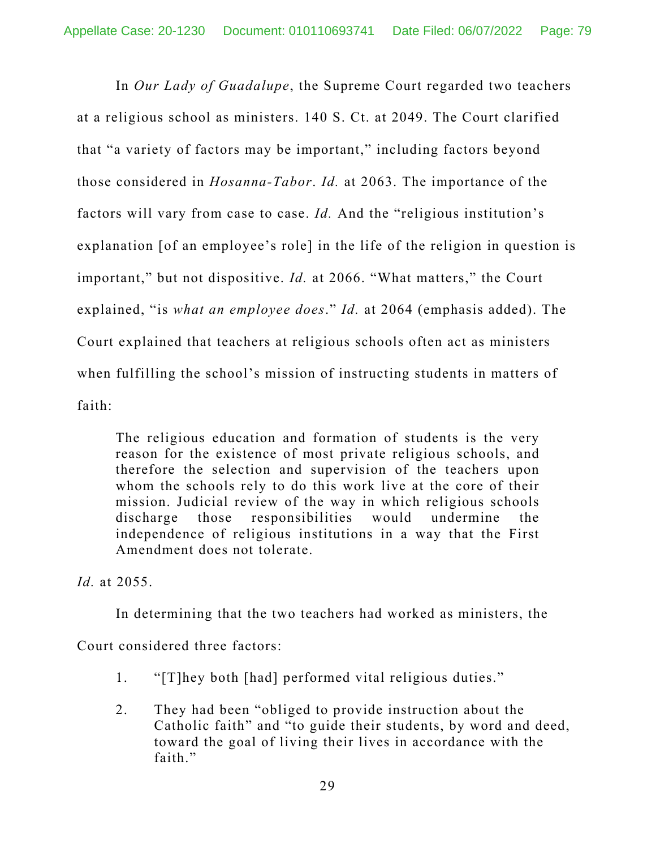In *Our Lady of Guadalupe*, the Supreme Court regarded two teachers at a religious school as ministers. 140 S. Ct. at 2049. The Court clarified that "a variety of factors may be important," including factors beyond those considered in *Hosanna-Tabor*. *Id.* at 2063. The importance of the factors will vary from case to case. *Id.* And the "religious institution's explanation [of an employee's role] in the life of the religion in question is important," but not dispositive. *Id.* at 2066. "What matters," the Court explained, "is *what an employee does*." *Id.* at 2064 (emphasis added). The Court explained that teachers at religious schools often act as ministers when fulfilling the school's mission of instructing students in matters of faith:

The religious education and formation of students is the very reason for the existence of most private religious schools, and therefore the selection and supervision of the teachers upon whom the schools rely to do this work live at the core of their mission. Judicial review of the way in which religious schools discharge those responsibilities would undermine the independence of religious institutions in a way that the First Amendment does not tolerate.

*Id.* at 2055.

In determining that the two teachers had worked as ministers, the

Court considered three factors:

- 1. "[T]hey both [had] performed vital religious duties."
- 2. They had been "obliged to provide instruction about the Catholic faith" and "to guide their students, by word and deed, toward the goal of living their lives in accordance with the faith."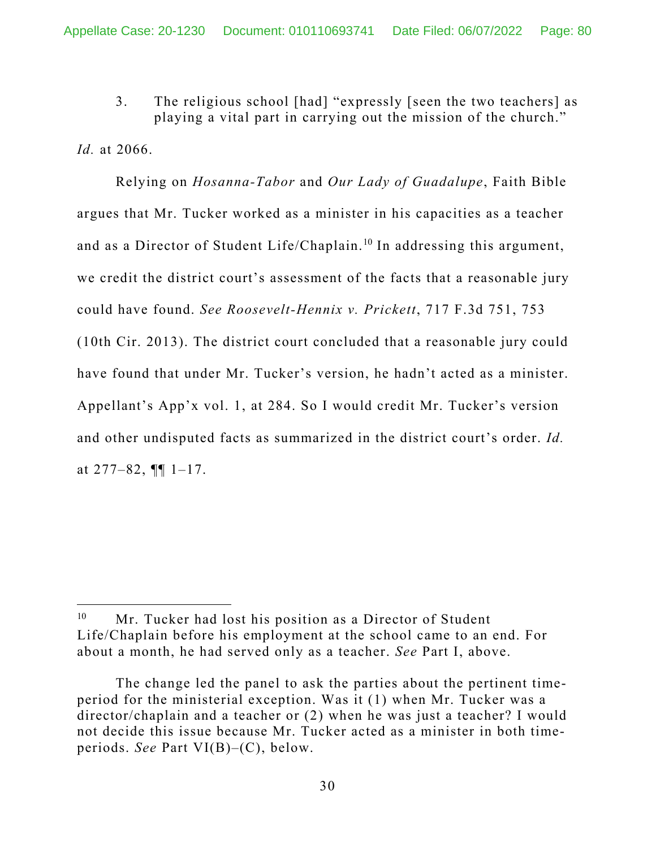3. The religious school [had] "expressly [seen the two teachers] as playing a vital part in carrying out the mission of the church."

*Id.* at 2066.

 Relying on *Hosanna-Tabor* and *Our Lady of Guadalupe*, Faith Bible argues that Mr. Tucker worked as a minister in his capacities as a teacher and as a Director of Student Life/Chaplain.<sup>10</sup> In addressing this argument, we credit the district court's assessment of the facts that a reasonable jury could have found. *See Roosevelt-Hennix v. Prickett*, 717 F.3d 751, 753 (10th Cir. 2013). The district court concluded that a reasonable jury could have found that under Mr. Tucker's version, he hadn't acted as a minister. Appellant's App'x vol. 1, at 284. So I would credit Mr. Tucker's version and other undisputed facts as summarized in the district court's order. *Id.* at  $277-82$ ,  $\P\P$  1-17.

<sup>&</sup>lt;sup>10</sup> Mr. Tucker had lost his position as a Director of Student Life/Chaplain before his employment at the school came to an end. For about a month, he had served only as a teacher. *See* Part I, above.

The change led the panel to ask the parties about the pertinent timeperiod for the ministerial exception. Was it (1) when Mr. Tucker was a director/chaplain and a teacher or (2) when he was just a teacher? I would not decide this issue because Mr. Tucker acted as a minister in both timeperiods. *See* Part VI(B)–(C), below.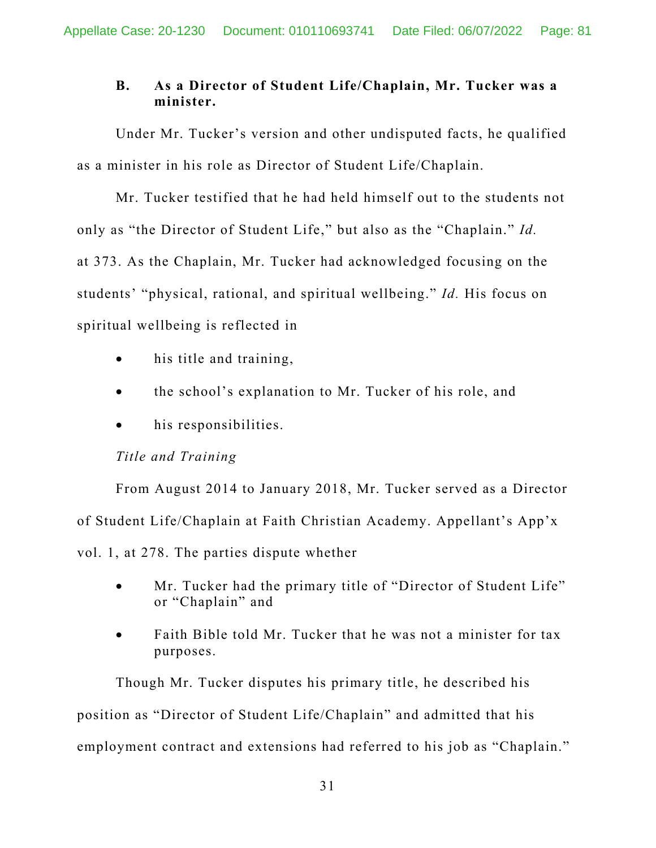## **B. As a Director of Student Life/Chaplain, Mr. Tucker was a minister.**

Under Mr. Tucker's version and other undisputed facts, he qualified as a minister in his role as Director of Student Life/Chaplain.

Mr. Tucker testified that he had held himself out to the students not only as "the Director of Student Life," but also as the "Chaplain." *Id.*  at 373. As the Chaplain, Mr. Tucker had acknowledged focusing on the students' "physical, rational, and spiritual wellbeing." *Id.* His focus on spiritual wellbeing is reflected in

- his title and training,
- the school's explanation to Mr. Tucker of his role, and
- his responsibilities.

## *Title and Training*

From August 2014 to January 2018, Mr. Tucker served as a Director of Student Life/Chaplain at Faith Christian Academy. Appellant's App'x vol. 1, at 278. The parties dispute whether

- Mr. Tucker had the primary title of "Director of Student Life" or "Chaplain" and
- Faith Bible told Mr. Tucker that he was not a minister for tax purposes.

Though Mr. Tucker disputes his primary title, he described his position as "Director of Student Life/Chaplain" and admitted that his employment contract and extensions had referred to his job as "Chaplain."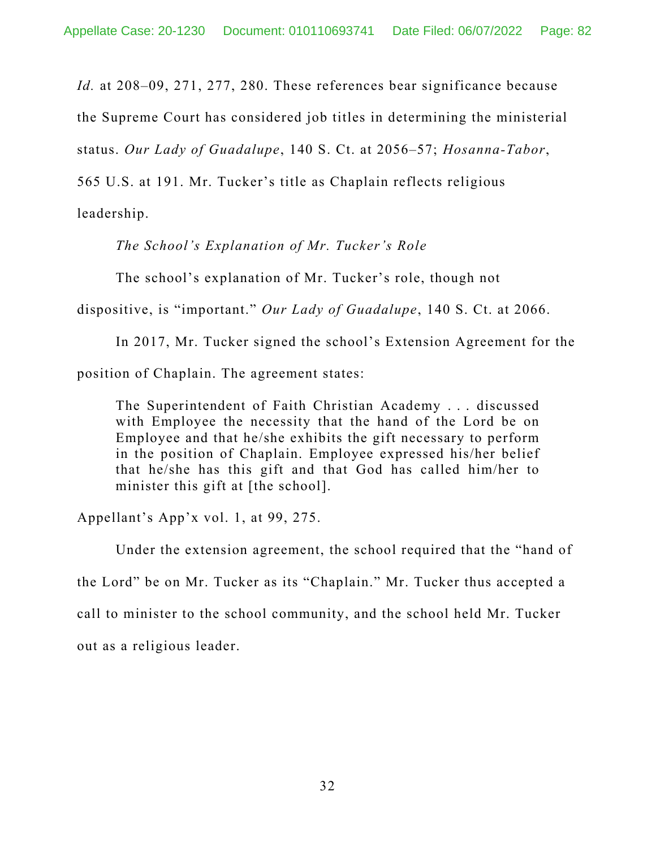*Id.* at 208–09, 271, 277, 280. These references bear significance because

the Supreme Court has considered job titles in determining the ministerial

status. *Our Lady of Guadalupe*, 140 S. Ct. at 2056–57; *Hosanna-Tabor*,

565 U.S. at 191. Mr. Tucker's title as Chaplain reflects religious

leadership.

*The School's Explanation of Mr. Tucker's Role* 

The school's explanation of Mr. Tucker's role, though not

dispositive, is "important." *Our Lady of Guadalupe*, 140 S. Ct. at 2066.

In 2017, Mr. Tucker signed the school's Extension Agreement for the

position of Chaplain. The agreement states:

The Superintendent of Faith Christian Academy . . . discussed with Employee the necessity that the hand of the Lord be on Employee and that he/she exhibits the gift necessary to perform in the position of Chaplain. Employee expressed his/her belief that he/she has this gift and that God has called him/her to minister this gift at [the school].

Appellant's App'x vol. 1, at 99, 275.

Under the extension agreement, the school required that the "hand of the Lord" be on Mr. Tucker as its "Chaplain." Mr. Tucker thus accepted a call to minister to the school community, and the school held Mr. Tucker out as a religious leader.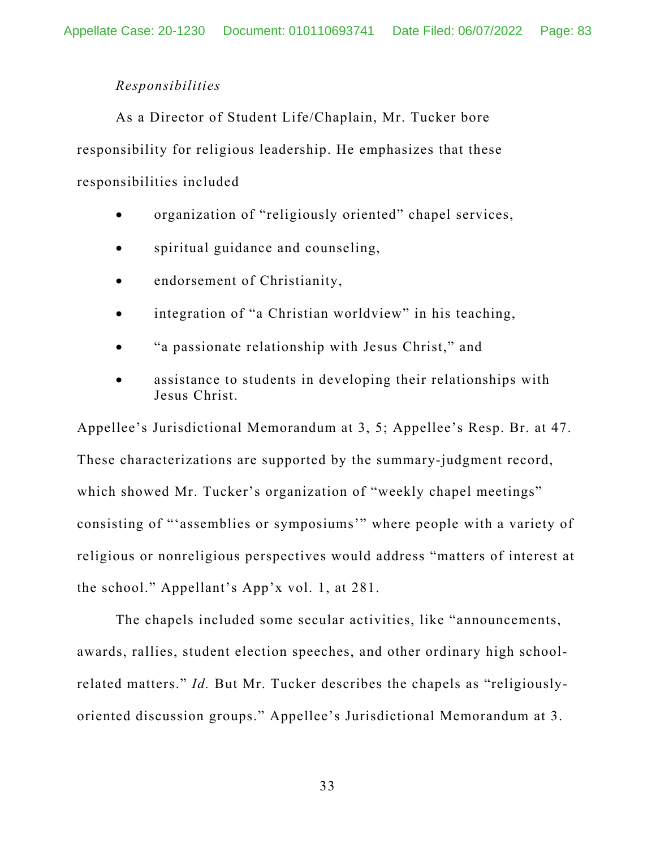### *Responsibilities*

As a Director of Student Life/Chaplain, Mr. Tucker bore responsibility for religious leadership. He emphasizes that these responsibilities included

- organization of "religiously oriented" chapel services,
- spiritual guidance and counseling,
- endorsement of Christianity,
- integration of "a Christian worldview" in his teaching,
- "a passionate relationship with Jesus Christ," and
- assistance to students in developing their relationships with Jesus Christ.

Appellee's Jurisdictional Memorandum at 3, 5; Appellee's Resp. Br. at 47. These characterizations are supported by the summary-judgment record, which showed Mr. Tucker's organization of "weekly chapel meetings" consisting of "'assemblies or symposiums'" where people with a variety of religious or nonreligious perspectives would address "matters of interest at the school." Appellant's App'x vol. 1, at 281.

The chapels included some secular activities, like "announcements, awards, rallies, student election speeches, and other ordinary high schoolrelated matters." *Id.* But Mr. Tucker describes the chapels as "religiouslyoriented discussion groups." Appellee's Jurisdictional Memorandum at 3.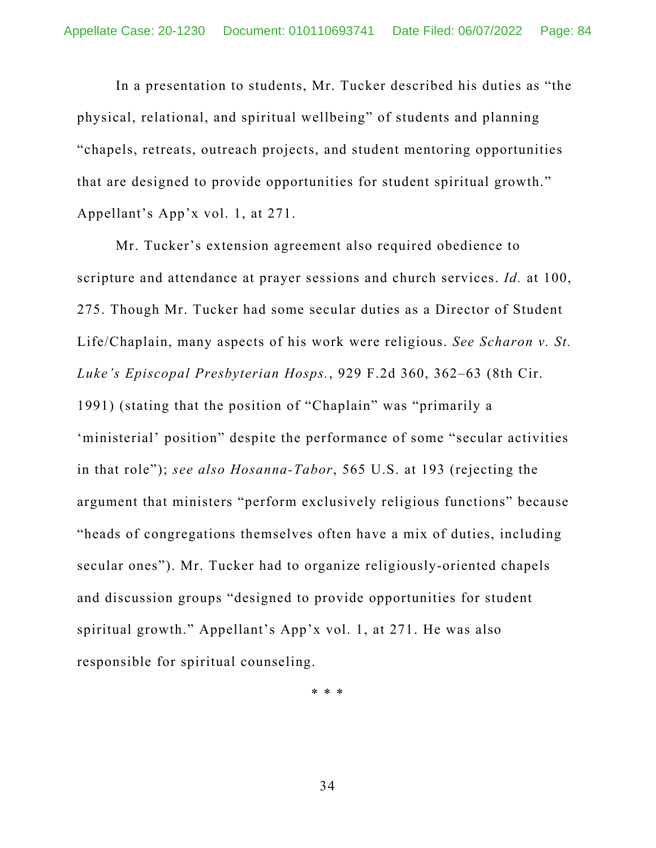In a presentation to students, Mr. Tucker described his duties as "the physical, relational, and spiritual wellbeing" of students and planning "chapels, retreats, outreach projects, and student mentoring opportunities that are designed to provide opportunities for student spiritual growth." Appellant's App'x vol. 1, at 271.

Mr. Tucker's extension agreement also required obedience to scripture and attendance at prayer sessions and church services. *Id.* at 100, 275. Though Mr. Tucker had some secular duties as a Director of Student Life/Chaplain, many aspects of his work were religious. *See Scharon v. St. Luke's Episcopal Presbyterian Hosps.*, 929 F.2d 360, 362–63 (8th Cir. 1991) (stating that the position of "Chaplain" was "primarily a 'ministerial' position" despite the performance of some "secular activities in that role"); *see also Hosanna-Tabor*, 565 U.S. at 193 (rejecting the argument that ministers "perform exclusively religious functions" because "heads of congregations themselves often have a mix of duties, including secular ones"). Mr. Tucker had to organize religiously-oriented chapels and discussion groups "designed to provide opportunities for student spiritual growth." Appellant's App'x vol. 1, at 271. He was also responsible for spiritual counseling.

\* \* \*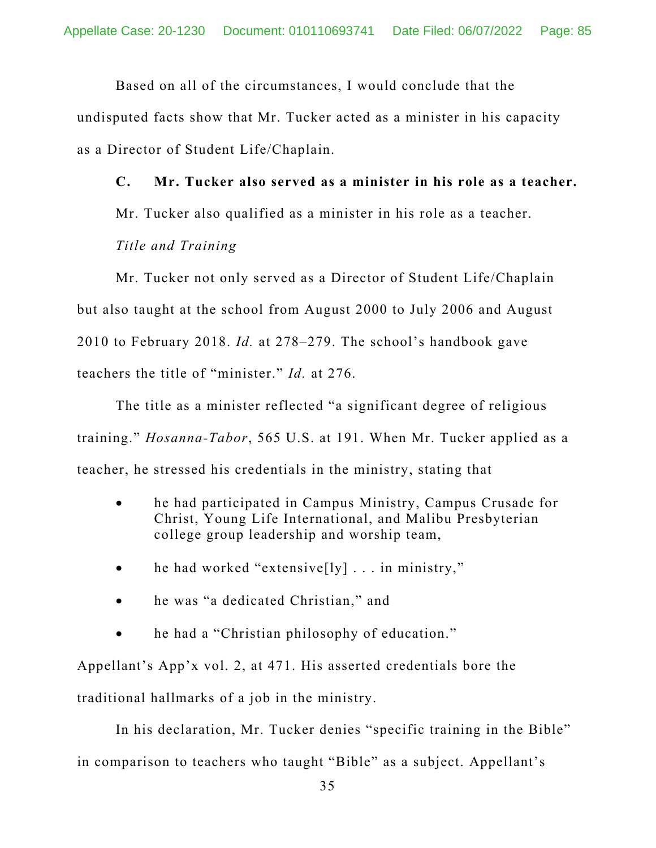Based on all of the circumstances, I would conclude that the

undisputed facts show that Mr. Tucker acted as a minister in his capacity as a Director of Student Life/Chaplain.

**C. Mr. Tucker also served as a minister in his role as a teacher.**  Mr. Tucker also qualified as a minister in his role as a teacher. *Title and Training* 

Mr. Tucker not only served as a Director of Student Life/Chaplain but also taught at the school from August 2000 to July 2006 and August 2010 to February 2018. *Id.* at 278–279. The school's handbook gave teachers the title of "minister." *Id.* at 276.

The title as a minister reflected "a significant degree of religious training." *Hosanna-Tabor*, 565 U.S. at 191. When Mr. Tucker applied as a teacher, he stressed his credentials in the ministry, stating that

- he had participated in Campus Ministry, Campus Crusade for Christ, Young Life International, and Malibu Presbyterian college group leadership and worship team,
- he had worked "extensive $[1y] \dots$  in ministry,"
- he was "a dedicated Christian," and
- he had a "Christian philosophy of education."

Appellant's App'x vol. 2, at 471. His asserted credentials bore the traditional hallmarks of a job in the ministry.

In his declaration, Mr. Tucker denies "specific training in the Bible" in comparison to teachers who taught "Bible" as a subject. Appellant's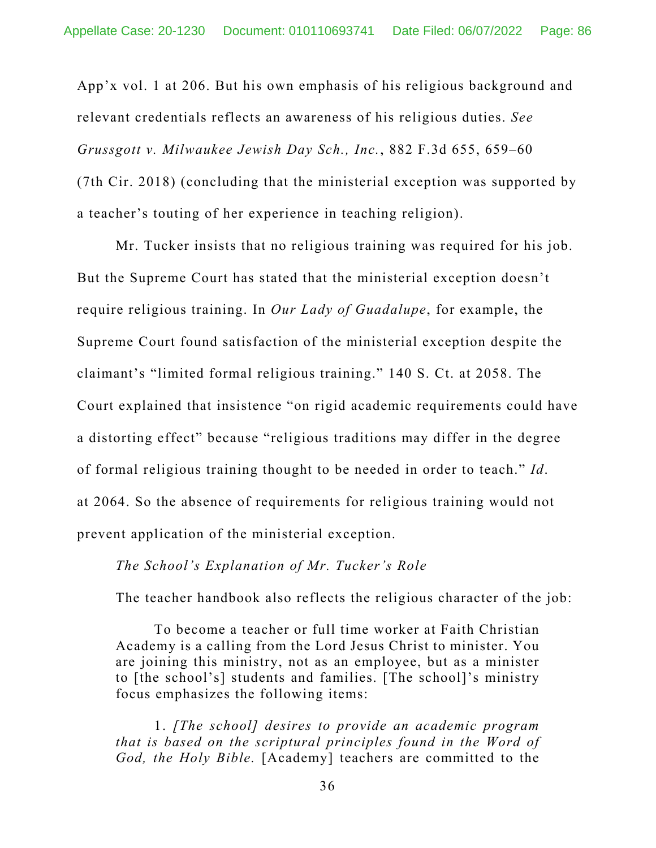App'x vol. 1 at 206. But his own emphasis of his religious background and relevant credentials reflects an awareness of his religious duties. *See Grussgott v. Milwaukee Jewish Day Sch., Inc.*, 882 F.3d 655, 659–60 (7th Cir. 2018) (concluding that the ministerial exception was supported by a teacher's touting of her experience in teaching religion).

 Mr. Tucker insists that no religious training was required for his job. But the Supreme Court has stated that the ministerial exception doesn't require religious training. In *Our Lady of Guadalupe*, for example, the Supreme Court found satisfaction of the ministerial exception despite the claimant's "limited formal religious training." 140 S. Ct. at 2058. The Court explained that insistence "on rigid academic requirements could have a distorting effect" because "religious traditions may differ in the degree of formal religious training thought to be needed in order to teach." *Id*. at 2064. So the absence of requirements for religious training would not prevent application of the ministerial exception.

### *The School's Explanation of Mr. Tucker's Role*

The teacher handbook also reflects the religious character of the job:

To become a teacher or full time worker at Faith Christian Academy is a calling from the Lord Jesus Christ to minister. You are joining this ministry, not as an employee, but as a minister to [the school's] students and families. [The school]'s ministry focus emphasizes the following items:

1. *[The school] desires to provide an academic program that is based on the scriptural principles found in the Word of God, the Holy Bible.* [Academy] teachers are committed to the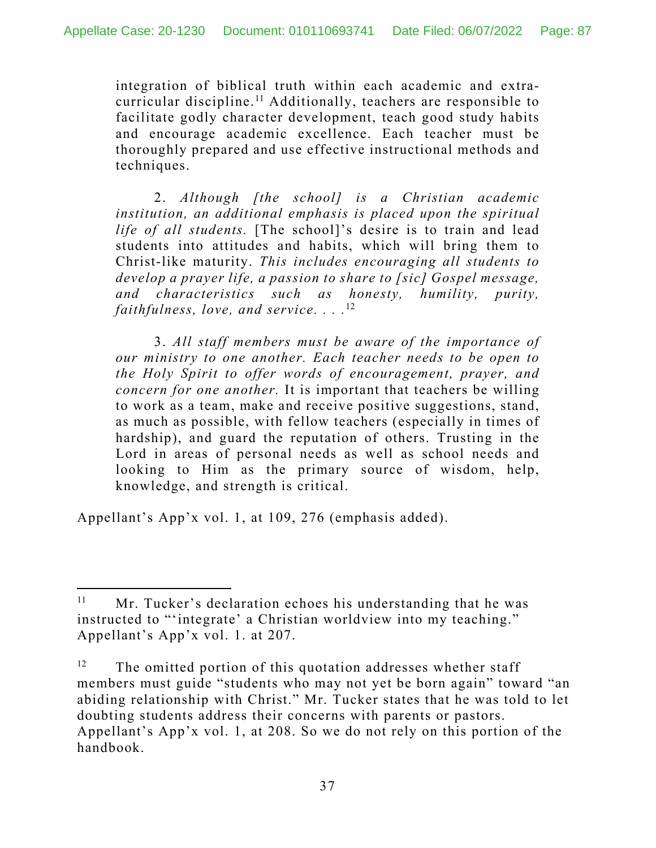integration of biblical truth within each academic and extracurricular discipline.11 Additionally, teachers are responsible to facilitate godly character development, teach good study habits and encourage academic excellence. Each teacher must be thoroughly prepared and use effective instructional methods and techniques.

2. *Although [the school] is a Christian academic institution, an additional emphasis is placed upon the spiritual life of all students.* [The school]'s desire is to train and lead students into attitudes and habits, which will bring them to Christ-like maturity. *This includes encouraging all students to develop a prayer life, a passion to share to [sic] Gospel message, and characteristics such as honesty, humility, purity, faithfulness, love, and service. . . .*<sup>12</sup>

3. *All staff members must be aware of the importance of our ministry to one another. Each teacher needs to be open to the Holy Spirit to offer words of encouragement, prayer, and concern for one another.* It is important that teachers be willing to work as a team, make and receive positive suggestions, stand, as much as possible, with fellow teachers (especially in times of hardship), and guard the reputation of others. Trusting in the Lord in areas of personal needs as well as school needs and looking to Him as the primary source of wisdom, help, knowledge, and strength is critical.

Appellant's App'x vol. 1, at 109, 276 (emphasis added).

 $11$  Mr. Tucker's declaration echoes his understanding that he was instructed to "'integrate' a Christian worldview into my teaching." Appellant's App'x vol. 1. at 207.

<sup>&</sup>lt;sup>12</sup> The omitted portion of this quotation addresses whether staff members must guide "students who may not yet be born again" toward "an abiding relationship with Christ." Mr. Tucker states that he was told to let doubting students address their concerns with parents or pastors. Appellant's App'x vol. 1, at 208. So we do not rely on this portion of the handbook.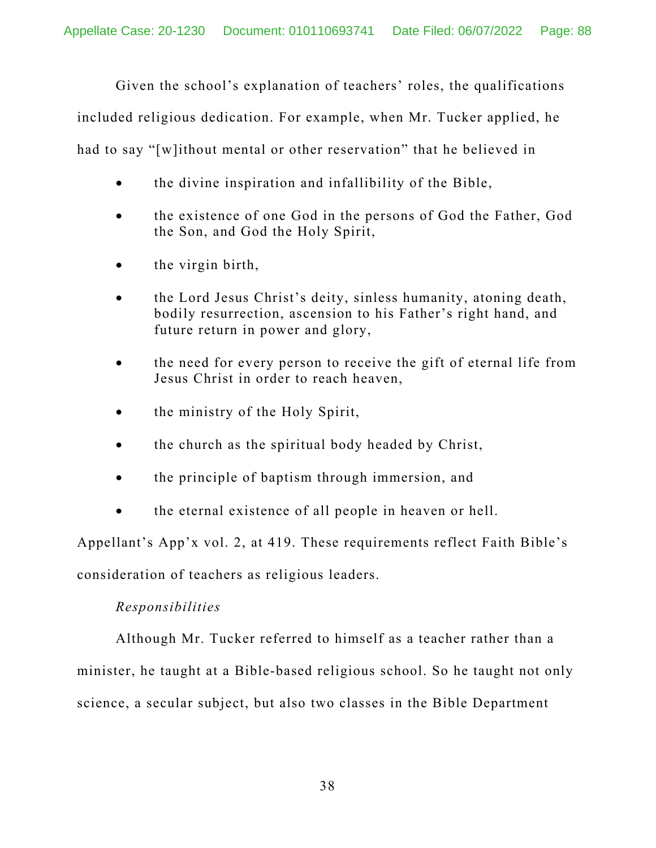Given the school's explanation of teachers' roles, the qualifications

included religious dedication. For example, when Mr. Tucker applied, he

had to say "[w]ithout mental or other reservation" that he believed in

- the divine inspiration and infallibility of the Bible,
- the existence of one God in the persons of God the Father, God the Son, and God the Holy Spirit,
- the virgin birth,
- the Lord Jesus Christ's deity, sinless humanity, atoning death, bodily resurrection, ascension to his Father's right hand, and future return in power and glory,
- the need for every person to receive the gift of eternal life from Jesus Christ in order to reach heaven,
- the ministry of the Holy Spirit,
- the church as the spiritual body headed by Christ,
- the principle of baptism through immersion, and
- the eternal existence of all people in heaven or hell.

Appellant's App'x vol. 2, at 419. These requirements reflect Faith Bible's consideration of teachers as religious leaders.

# *Responsibilities*

Although Mr. Tucker referred to himself as a teacher rather than a minister, he taught at a Bible-based religious school. So he taught not only science, a secular subject, but also two classes in the Bible Department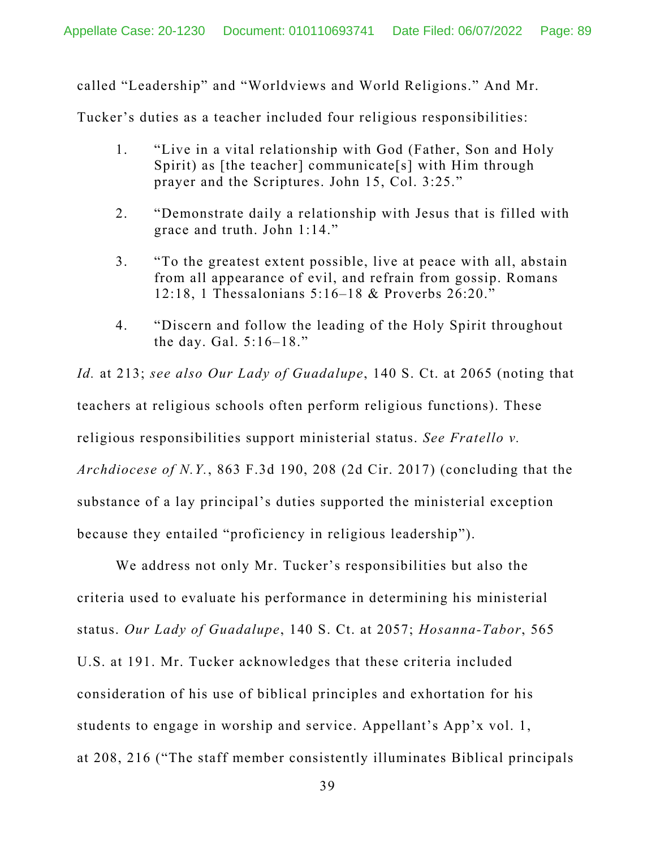called "Leadership" and "Worldviews and World Religions." And Mr.

Tucker's duties as a teacher included four religious responsibilities:

- 1. "Live in a vital relationship with God (Father, Son and Holy Spirit) as [the teacher] communicate[s] with Him through prayer and the Scriptures. John 15, Col. 3:25."
- 2. "Demonstrate daily a relationship with Jesus that is filled with grace and truth. John 1:14."
- 3. "To the greatest extent possible, live at peace with all, abstain from all appearance of evil, and refrain from gossip. Romans 12:18, 1 Thessalonians 5:16–18 & Proverbs 26:20."
- 4. "Discern and follow the leading of the Holy Spirit throughout the day. Gal. 5:16–18."

*Id.* at 213; *see also Our Lady of Guadalupe*, 140 S. Ct. at 2065 (noting that teachers at religious schools often perform religious functions). These religious responsibilities support ministerial status. *See Fratello v. Archdiocese of N.Y.*, 863 F.3d 190, 208 (2d Cir. 2017) (concluding that the substance of a lay principal's duties supported the ministerial exception because they entailed "proficiency in religious leadership").

We address not only Mr. Tucker's responsibilities but also the criteria used to evaluate his performance in determining his ministerial status. *Our Lady of Guadalupe*, 140 S. Ct. at 2057; *Hosanna-Tabor*, 565 U.S. at 191. Mr. Tucker acknowledges that these criteria included consideration of his use of biblical principles and exhortation for his students to engage in worship and service. Appellant's App'x vol. 1, at 208, 216 ("The staff member consistently illuminates Biblical principals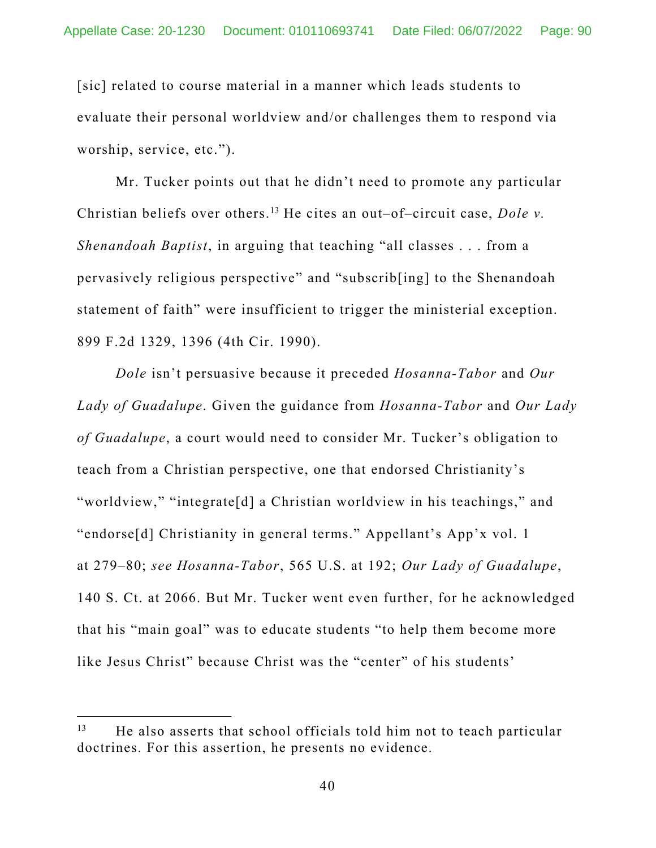[sic] related to course material in a manner which leads students to evaluate their personal worldview and/or challenges them to respond via worship, service, etc.").

Mr. Tucker points out that he didn't need to promote any particular Christian beliefs over others.13 He cites an out–of–circuit case, *Dole v. Shenandoah Baptist*, in arguing that teaching "all classes . . . from a pervasively religious perspective" and "subscrib[ing] to the Shenandoah statement of faith" were insufficient to trigger the ministerial exception. 899 F.2d 1329, 1396 (4th Cir. 1990).

*Dole* isn't persuasive because it preceded *Hosanna-Tabor* and *Our Lady of Guadalupe*. Given the guidance from *Hosanna-Tabor* and *Our Lady of Guadalupe*, a court would need to consider Mr. Tucker's obligation to teach from a Christian perspective, one that endorsed Christianity's "worldview," "integrate[d] a Christian worldview in his teachings," and "endorse[d] Christianity in general terms." Appellant's App'x vol. 1 at 279–80; *see Hosanna-Tabor*, 565 U.S. at 192; *Our Lady of Guadalupe*, 140 S. Ct. at 2066. But Mr. Tucker went even further, for he acknowledged that his "main goal" was to educate students "to help them become more like Jesus Christ" because Christ was the "center" of his students'

 $13$  He also asserts that school officials told him not to teach particular doctrines. For this assertion, he presents no evidence.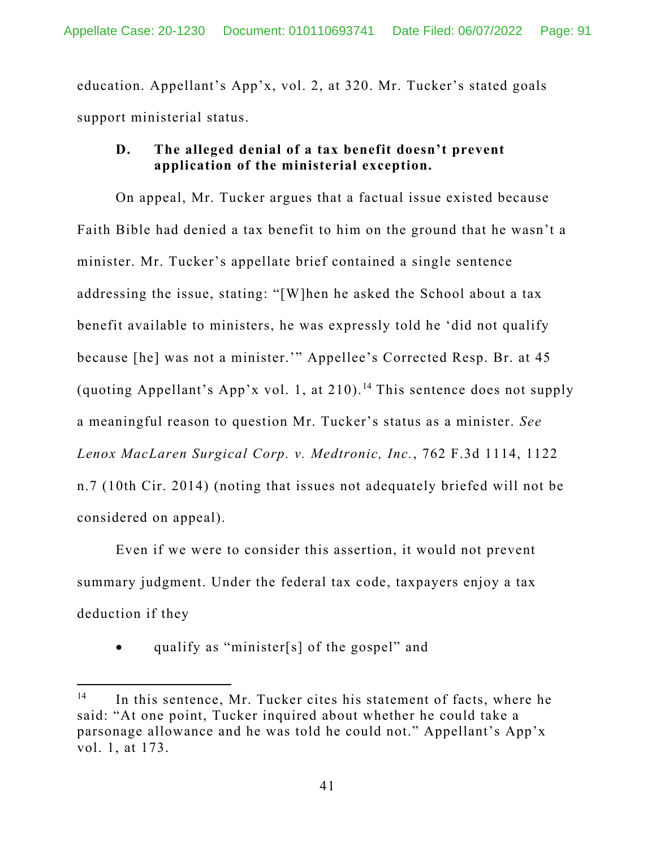education. Appellant's App'x, vol. 2, at 320. Mr. Tucker's stated goals support ministerial status.

## **D. The alleged denial of a tax benefit doesn't prevent application of the ministerial exception.**

On appeal, Mr. Tucker argues that a factual issue existed because Faith Bible had denied a tax benefit to him on the ground that he wasn't a minister. Mr. Tucker's appellate brief contained a single sentence addressing the issue, stating: "[W]hen he asked the School about a tax benefit available to ministers, he was expressly told he 'did not qualify because [he] was not a minister.'" Appellee's Corrected Resp. Br. at 45 (quoting Appellant's App'x vol. 1, at  $210$ ).<sup>14</sup> This sentence does not supply a meaningful reason to question Mr. Tucker's status as a minister. *See Lenox MacLaren Surgical Corp. v. Medtronic, Inc.*, 762 F.3d 1114, 1122 n.7 (10th Cir. 2014) (noting that issues not adequately briefed will not be considered on appeal).

Even if we were to consider this assertion, it would not prevent summary judgment. Under the federal tax code, taxpayers enjoy a tax deduction if they

qualify as "minister[s] of the gospel" and

<sup>&</sup>lt;sup>14</sup> In this sentence, Mr. Tucker cites his statement of facts, where he said: "At one point, Tucker inquired about whether he could take a parsonage allowance and he was told he could not." Appellant's App'x vol. 1, at 173.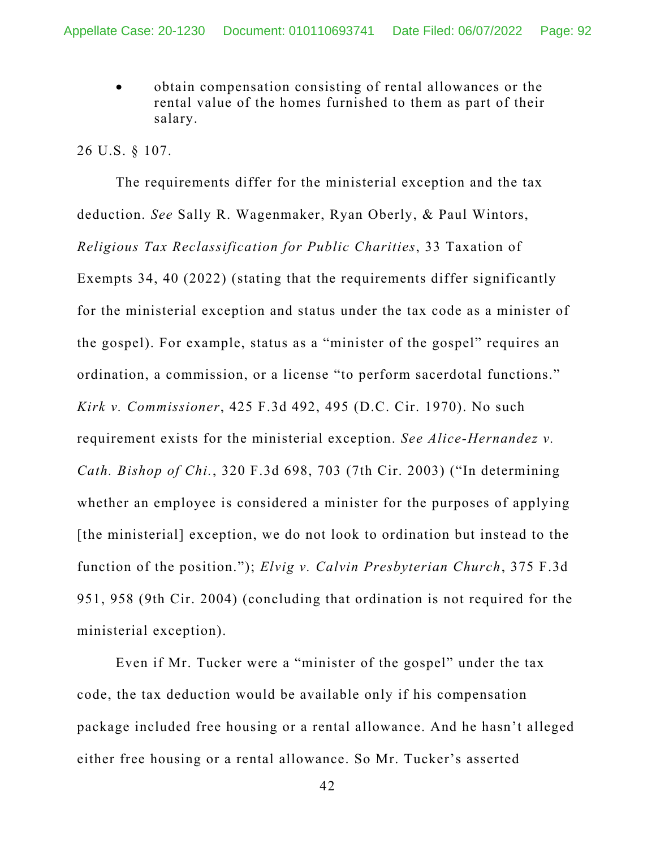obtain compensation consisting of rental allowances or the rental value of the homes furnished to them as part of their salary.

#### 26 U.S. § 107.

The requirements differ for the ministerial exception and the tax deduction. *See* Sally R. Wagenmaker, Ryan Oberly, & Paul Wintors, *Religious Tax Reclassification for Public Charities*, 33 Taxation of Exempts 34, 40 (2022) (stating that the requirements differ significantly for the ministerial exception and status under the tax code as a minister of the gospel). For example, status as a "minister of the gospel" requires an ordination, a commission, or a license "to perform sacerdotal functions." *Kirk v. Commissioner*, 425 F.3d 492, 495 (D.C. Cir. 1970). No such requirement exists for the ministerial exception. *See Alice-Hernandez v. Cath. Bishop of Chi.*, 320 F.3d 698, 703 (7th Cir. 2003) ("In determining whether an employee is considered a minister for the purposes of applying [the ministerial] exception, we do not look to ordination but instead to the function of the position."); *Elvig v. Calvin Presbyterian Church*, 375 F.3d 951, 958 (9th Cir. 2004) (concluding that ordination is not required for the ministerial exception).

Even if Mr. Tucker were a "minister of the gospel" under the tax code, the tax deduction would be available only if his compensation package included free housing or a rental allowance. And he hasn't alleged either free housing or a rental allowance. So Mr. Tucker's asserted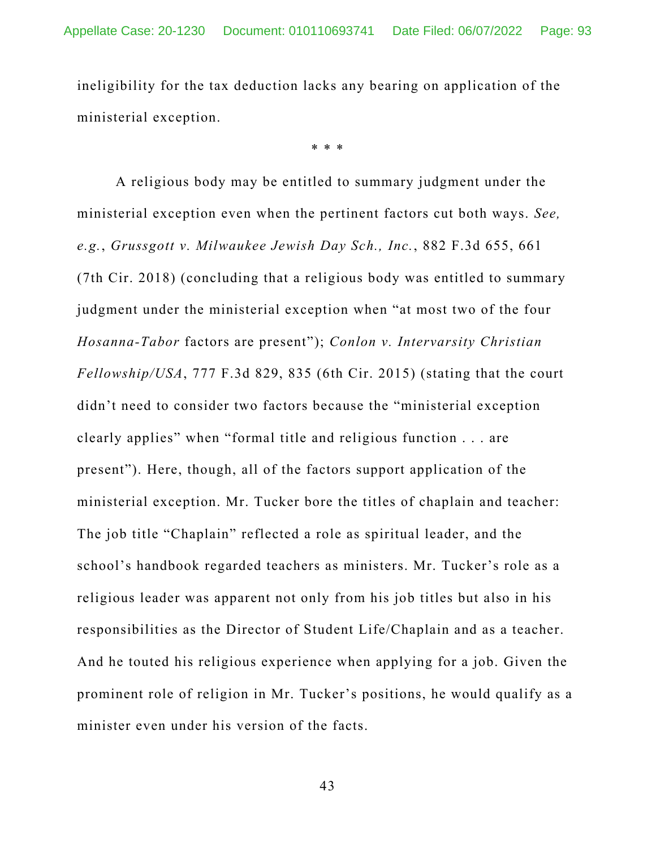ineligibility for the tax deduction lacks any bearing on application of the ministerial exception.

\* \* \*

A religious body may be entitled to summary judgment under the ministerial exception even when the pertinent factors cut both ways. *See, e.g.*, *Grussgott v. Milwaukee Jewish Day Sch., Inc.*, 882 F.3d 655, 661 (7th Cir. 2018) (concluding that a religious body was entitled to summary judgment under the ministerial exception when "at most two of the four *Hosanna-Tabor* factors are present"); *Conlon v. Intervarsity Christian Fellowship/USA*, 777 F.3d 829, 835 (6th Cir. 2015) (stating that the court didn't need to consider two factors because the "ministerial exception clearly applies" when "formal title and religious function . . . are present"). Here, though, all of the factors support application of the ministerial exception. Mr. Tucker bore the titles of chaplain and teacher: The job title "Chaplain" reflected a role as spiritual leader, and the school's handbook regarded teachers as ministers. Mr. Tucker's role as a religious leader was apparent not only from his job titles but also in his responsibilities as the Director of Student Life/Chaplain and as a teacher. And he touted his religious experience when applying for a job. Given the prominent role of religion in Mr. Tucker's positions, he would qualify as a minister even under his version of the facts.